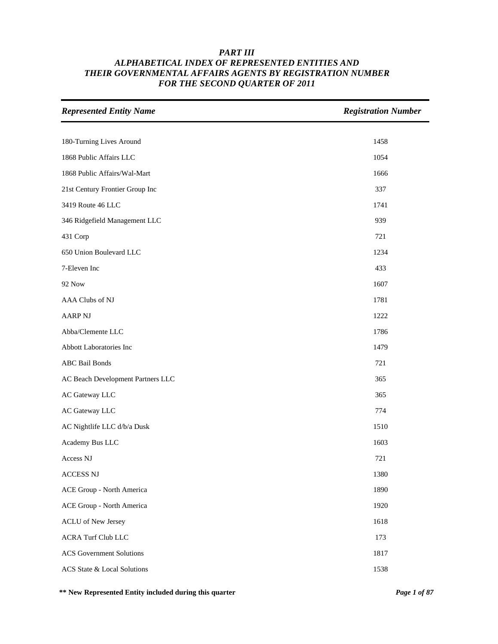| <b>Represented Entity Name</b>     | <b>Registration Number</b> |
|------------------------------------|----------------------------|
|                                    |                            |
| 180-Turning Lives Around           | 1458                       |
| 1868 Public Affairs LLC            | 1054                       |
| 1868 Public Affairs/Wal-Mart       | 1666                       |
| 21st Century Frontier Group Inc    | 337                        |
| 3419 Route 46 LLC                  | 1741                       |
| 346 Ridgefield Management LLC      | 939                        |
| 431 Corp                           | 721                        |
| 650 Union Boulevard LLC            | 1234                       |
| 7-Eleven Inc                       | 433                        |
| <b>92 Now</b>                      | 1607                       |
| AAA Clubs of NJ                    | 1781                       |
| <b>AARP NJ</b>                     | 1222                       |
| Abba/Clemente LLC                  | 1786                       |
| Abbott Laboratories Inc            | 1479                       |
| <b>ABC</b> Bail Bonds              | 721                        |
| AC Beach Development Partners LLC  | 365                        |
| AC Gateway LLC                     | 365                        |
| AC Gateway LLC                     | 774                        |
| AC Nightlife LLC d/b/a Dusk        | 1510                       |
| Academy Bus LLC                    | 1603                       |
| Access NJ                          | 721                        |
| <b>ACCESS NJ</b>                   | 1380                       |
| ACE Group - North America          | 1890                       |
| ACE Group - North America          | 1920                       |
| <b>ACLU</b> of New Jersey          | 1618                       |
| <b>ACRA Turf Club LLC</b>          | 173                        |
| <b>ACS</b> Government Solutions    | 1817                       |
| <b>ACS</b> State & Local Solutions | 1538                       |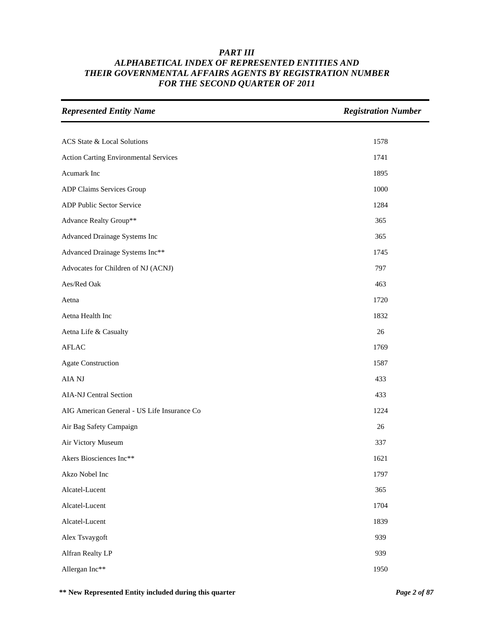| <b>Represented Entity Name</b>               | <b>Registration Number</b> |
|----------------------------------------------|----------------------------|
|                                              |                            |
| ACS State & Local Solutions                  | 1578                       |
| <b>Action Carting Environmental Services</b> | 1741                       |
| Acumark Inc                                  | 1895                       |
| ADP Claims Services Group                    | 1000                       |
| ADP Public Sector Service                    | 1284                       |
| Advance Realty Group**                       | 365                        |
| Advanced Drainage Systems Inc                | 365                        |
| Advanced Drainage Systems Inc**              | 1745                       |
| Advocates for Children of NJ (ACNJ)          | 797                        |
| Aes/Red Oak                                  | 463                        |
| Aetna                                        | 1720                       |
| Aetna Health Inc                             | 1832                       |
| Aetna Life & Casualty                        | 26                         |
| <b>AFLAC</b>                                 | 1769                       |
| <b>Agate Construction</b>                    | 1587                       |
| AIA NJ                                       | 433                        |
| AIA-NJ Central Section                       | 433                        |
| AIG American General - US Life Insurance Co  | 1224                       |
| Air Bag Safety Campaign                      | 26                         |
| Air Victory Museum                           | 337                        |
| Akers Biosciences Inc**                      | 1621                       |
| Akzo Nobel Inc                               | 1797                       |
| Alcatel-Lucent                               | 365                        |
| Alcatel-Lucent                               | 1704                       |
| Alcatel-Lucent                               | 1839                       |
| Alex Tsvaygoft                               | 939                        |
| Alfran Realty LP                             | 939                        |
| Allergan Inc**                               | 1950                       |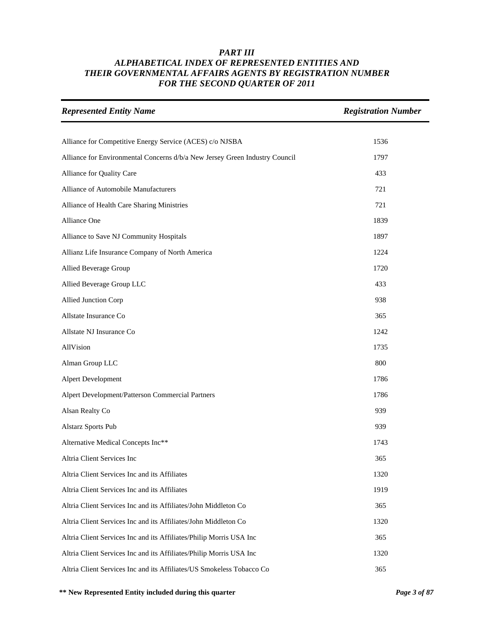| <b>Represented Entity Name</b>                                              | <b>Registration Number</b> |
|-----------------------------------------------------------------------------|----------------------------|
|                                                                             |                            |
| Alliance for Competitive Energy Service (ACES) c/o NJSBA                    | 1536                       |
| Alliance for Environmental Concerns d/b/a New Jersey Green Industry Council | 1797                       |
| Alliance for Quality Care                                                   | 433                        |
| Alliance of Automobile Manufacturers                                        | 721                        |
| Alliance of Health Care Sharing Ministries                                  | 721                        |
| Alliance One                                                                | 1839                       |
| Alliance to Save NJ Community Hospitals                                     | 1897                       |
| Allianz Life Insurance Company of North America                             | 1224                       |
| Allied Beverage Group                                                       | 1720                       |
| Allied Beverage Group LLC                                                   | 433                        |
| Allied Junction Corp                                                        | 938                        |
| Allstate Insurance Co                                                       | 365                        |
| Allstate NJ Insurance Co                                                    | 1242                       |
| AllVision                                                                   | 1735                       |
| Alman Group LLC                                                             | 800                        |
| Alpert Development                                                          | 1786                       |
| Alpert Development/Patterson Commercial Partners                            | 1786                       |
| Alsan Realty Co                                                             | 939                        |
| Alstarz Sports Pub                                                          | 939                        |
| Alternative Medical Concepts Inc**                                          | 1743                       |
| Altria Client Services Inc                                                  | 365                        |
| Altria Client Services Inc and its Affiliates                               | 1320                       |
| Altria Client Services Inc and its Affiliates                               | 1919                       |
| Altria Client Services Inc and its Affiliates/John Middleton Co             | 365                        |
| Altria Client Services Inc and its Affiliates/John Middleton Co             | 1320                       |
| Altria Client Services Inc and its Affiliates/Philip Morris USA Inc         | 365                        |
| Altria Client Services Inc and its Affiliates/Philip Morris USA Inc         | 1320                       |
| Altria Client Services Inc and its Affiliates/US Smokeless Tobacco Co       | 365                        |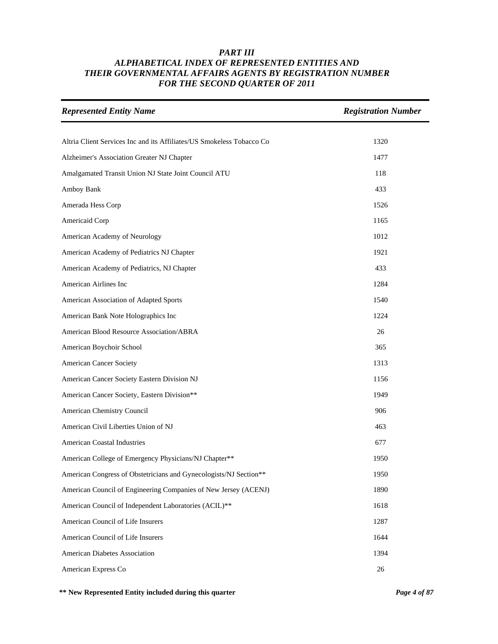| <b>Represented Entity Name</b>                                        | <b>Registration Number</b> |
|-----------------------------------------------------------------------|----------------------------|
|                                                                       |                            |
| Altria Client Services Inc and its Affiliates/US Smokeless Tobacco Co | 1320                       |
| Alzheimer's Association Greater NJ Chapter                            | 1477                       |
| Amalgamated Transit Union NJ State Joint Council ATU                  | 118                        |
| Amboy Bank                                                            | 433                        |
| Amerada Hess Corp                                                     | 1526                       |
| Americaid Corp                                                        | 1165                       |
| American Academy of Neurology                                         | 1012                       |
| American Academy of Pediatrics NJ Chapter                             | 1921                       |
| American Academy of Pediatrics, NJ Chapter                            | 433                        |
| American Airlines Inc                                                 | 1284                       |
| American Association of Adapted Sports                                | 1540                       |
| American Bank Note Holographics Inc                                   | 1224                       |
| American Blood Resource Association/ABRA                              | 26                         |
| American Boychoir School                                              | 365                        |
| <b>American Cancer Society</b>                                        | 1313                       |
| American Cancer Society Eastern Division NJ                           | 1156                       |
| American Cancer Society, Eastern Division**                           | 1949                       |
| American Chemistry Council                                            | 906                        |
| American Civil Liberties Union of NJ                                  | 463                        |
| <b>American Coastal Industries</b>                                    | 677                        |
| American College of Emergency Physicians/NJ Chapter**                 | 1950                       |
| American Congress of Obstetricians and Gynecologists/NJ Section**     | 1950                       |
| American Council of Engineering Companies of New Jersey (ACENJ)       | 1890                       |
| American Council of Independent Laboratories (ACIL)**                 | 1618                       |
| American Council of Life Insurers                                     | 1287                       |
| American Council of Life Insurers                                     | 1644                       |
| American Diabetes Association                                         | 1394                       |
| American Express Co                                                   | 26                         |

**\*\* New Represented Entity included during this quarter** *Page 4 of 87*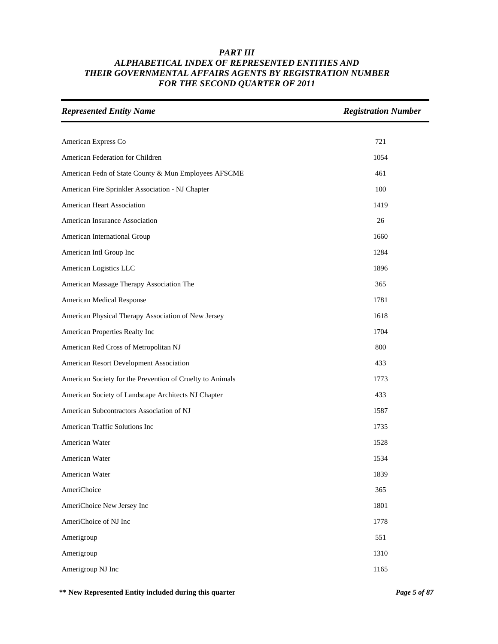| <b>Represented Entity Name</b>                            | <b>Registration Number</b> |
|-----------------------------------------------------------|----------------------------|
|                                                           |                            |
| American Express Co                                       | 721                        |
| American Federation for Children                          | 1054                       |
| American Fedn of State County & Mun Employees AFSCME      | 461                        |
| American Fire Sprinkler Association - NJ Chapter          | 100                        |
| American Heart Association                                | 1419                       |
| American Insurance Association                            | 26                         |
| American International Group                              | 1660                       |
| American Intl Group Inc                                   | 1284                       |
| American Logistics LLC                                    | 1896                       |
| American Massage Therapy Association The                  | 365                        |
| American Medical Response                                 | 1781                       |
| American Physical Therapy Association of New Jersey       | 1618                       |
| American Properties Realty Inc                            | 1704                       |
| American Red Cross of Metropolitan NJ                     | 800                        |
| American Resort Development Association                   | 433                        |
| American Society for the Prevention of Cruelty to Animals | 1773                       |
| American Society of Landscape Architects NJ Chapter       | 433                        |
| American Subcontractors Association of NJ                 | 1587                       |
| American Traffic Solutions Inc                            | 1735                       |
| American Water                                            | 1528                       |
| American Water                                            | 1534                       |
| American Water                                            | 1839                       |
| AmeriChoice                                               | 365                        |
| AmeriChoice New Jersey Inc                                | 1801                       |
| AmeriChoice of NJ Inc                                     | 1778                       |
| Amerigroup                                                | 551                        |
| Amerigroup                                                | 1310                       |
| Amerigroup NJ Inc                                         | 1165                       |

**\*\* New Represented Entity included during this quarter** *Page 5 of 87*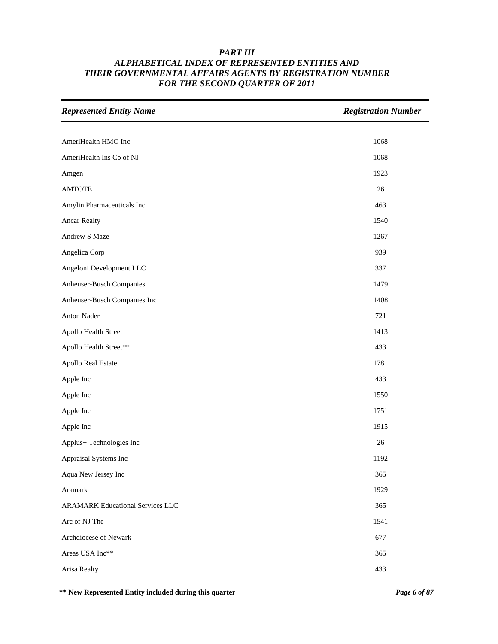| <b>Represented Entity Name</b>          | <b>Registration Number</b> |
|-----------------------------------------|----------------------------|
|                                         |                            |
| AmeriHealth HMO Inc                     | 1068                       |
| AmeriHealth Ins Co of NJ                | 1068                       |
| Amgen                                   | 1923                       |
| <b>AMTOTE</b>                           | 26                         |
| Amylin Pharmaceuticals Inc              | 463                        |
| <b>Ancar Realty</b>                     | 1540                       |
| Andrew S Maze                           | 1267                       |
| Angelica Corp                           | 939                        |
| Angeloni Development LLC                | 337                        |
| Anheuser-Busch Companies                | 1479                       |
| Anheuser-Busch Companies Inc            | 1408                       |
| Anton Nader                             | 721                        |
| Apollo Health Street                    | 1413                       |
| Apollo Health Street**                  | 433                        |
| Apollo Real Estate                      | 1781                       |
| Apple Inc                               | 433                        |
| Apple Inc                               | 1550                       |
| Apple Inc                               | 1751                       |
| Apple Inc                               | 1915                       |
| Applus+ Technologies Inc                | 26                         |
| Appraisal Systems Inc                   | 1192                       |
| Aqua New Jersey Inc                     | 365                        |
| Aramark                                 | 1929                       |
| <b>ARAMARK Educational Services LLC</b> | 365                        |
| Arc of NJ The                           | 1541                       |
| Archdiocese of Newark                   | 677                        |
| Areas USA Inc**                         | 365                        |
| Arisa Realty                            | 433                        |

**\*\* New Represented Entity included during this quarter** *Page 6 of 87*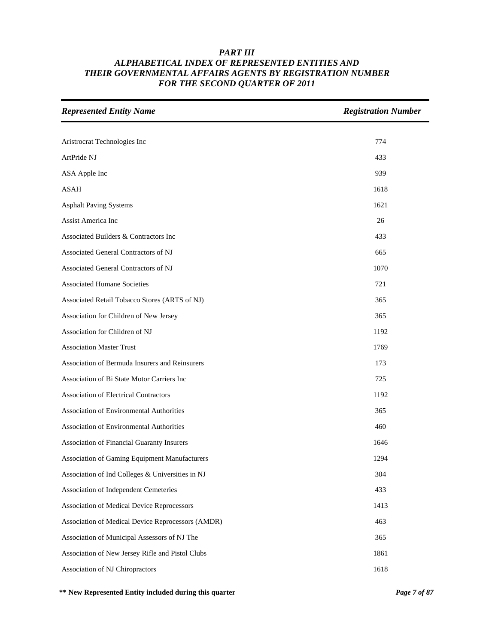| <b>Represented Entity Name</b>                    | <b>Registration Number</b> |
|---------------------------------------------------|----------------------------|
|                                                   |                            |
| Aristrocrat Technologies Inc                      | 774                        |
| ArtPride NJ                                       | 433                        |
| ASA Apple Inc                                     | 939                        |
| <b>ASAH</b>                                       | 1618                       |
| <b>Asphalt Paving Systems</b>                     | 1621                       |
| Assist America Inc                                | 26                         |
| Associated Builders & Contractors Inc             | 433                        |
| Associated General Contractors of NJ              | 665                        |
| Associated General Contractors of NJ              | 1070                       |
| <b>Associated Humane Societies</b>                | 721                        |
| Associated Retail Tobacco Stores (ARTS of NJ)     | 365                        |
| Association for Children of New Jersey            | 365                        |
| Association for Children of NJ                    | 1192                       |
| <b>Association Master Trust</b>                   | 1769                       |
| Association of Bermuda Insurers and Reinsurers    | 173                        |
| Association of Bi State Motor Carriers Inc        | 725                        |
| <b>Association of Electrical Contractors</b>      | 1192                       |
| Association of Environmental Authorities          | 365                        |
| Association of Environmental Authorities          | 460                        |
| Association of Financial Guaranty Insurers        | 1646                       |
| Association of Gaming Equipment Manufacturers     | 1294                       |
| Association of Ind Colleges & Universities in NJ  | 304                        |
| Association of Independent Cemeteries             | 433                        |
| Association of Medical Device Reprocessors        | 1413                       |
| Association of Medical Device Reprocessors (AMDR) | 463                        |
| Association of Municipal Assessors of NJ The      | 365                        |
| Association of New Jersey Rifle and Pistol Clubs  | 1861                       |
| Association of NJ Chiropractors                   | 1618                       |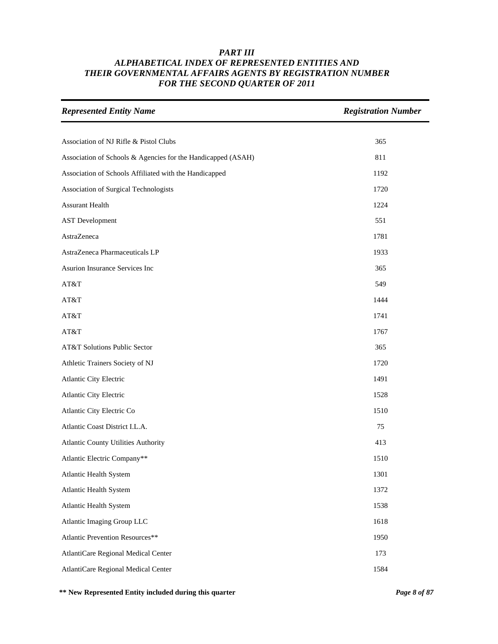| <b>Represented Entity Name</b>                               | <b>Registration Number</b> |
|--------------------------------------------------------------|----------------------------|
|                                                              |                            |
| Association of NJ Rifle & Pistol Clubs                       | 365                        |
| Association of Schools & Agencies for the Handicapped (ASAH) | 811                        |
| Association of Schools Affiliated with the Handicapped       | 1192                       |
| Association of Surgical Technologists                        | 1720                       |
| <b>Assurant Health</b>                                       | 1224                       |
| <b>AST</b> Development                                       | 551                        |
| AstraZeneca                                                  | 1781                       |
| AstraZeneca Pharmaceuticals LP                               | 1933                       |
| Asurion Insurance Services Inc                               | 365                        |
| AT&T                                                         | 549                        |
| AT&T                                                         | 1444                       |
| AT&T                                                         | 1741                       |
| AT&T                                                         | 1767                       |
| AT&T Solutions Public Sector                                 | 365                        |
| Athletic Trainers Society of NJ                              | 1720                       |
| Atlantic City Electric                                       | 1491                       |
| Atlantic City Electric                                       | 1528                       |
| Atlantic City Electric Co                                    | 1510                       |
| Atlantic Coast District I.L.A.                               | 75                         |
| Atlantic County Utilities Authority                          | 413                        |
| Atlantic Electric Company**                                  | 1510                       |
| Atlantic Health System                                       | 1301                       |
| <b>Atlantic Health System</b>                                | 1372                       |
| <b>Atlantic Health System</b>                                | 1538                       |
| Atlantic Imaging Group LLC                                   | 1618                       |
| Atlantic Prevention Resources**                              | 1950                       |
| AtlantiCare Regional Medical Center                          | 173                        |
| AtlantiCare Regional Medical Center                          | 1584                       |

**\*\* New Represented Entity included during this quarter** *Page 8 of 87*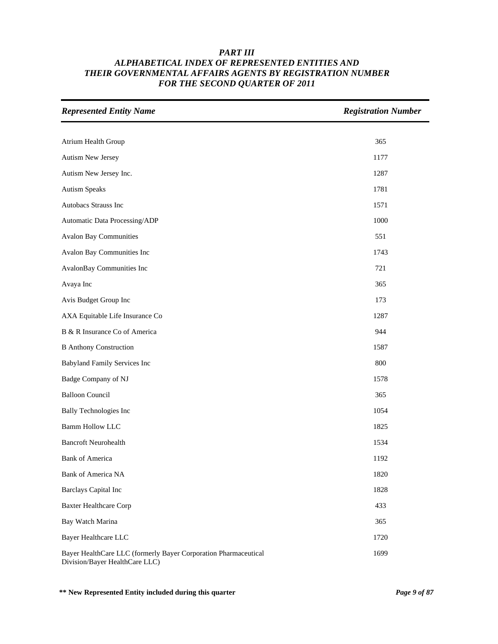| <b>Represented Entity Name</b>                                                                    | <b>Registration Number</b> |
|---------------------------------------------------------------------------------------------------|----------------------------|
|                                                                                                   |                            |
| Atrium Health Group                                                                               | 365                        |
| Autism New Jersey                                                                                 | 1177                       |
| Autism New Jersey Inc.                                                                            | 1287                       |
| <b>Autism Speaks</b>                                                                              | 1781                       |
| Autobacs Strauss Inc                                                                              | 1571                       |
| Automatic Data Processing/ADP                                                                     | 1000                       |
| <b>Avalon Bay Communities</b>                                                                     | 551                        |
| Avalon Bay Communities Inc                                                                        | 1743                       |
| AvalonBay Communities Inc                                                                         | 721                        |
| Avaya Inc                                                                                         | 365                        |
| Avis Budget Group Inc                                                                             | 173                        |
| AXA Equitable Life Insurance Co                                                                   | 1287                       |
| B & R Insurance Co of America                                                                     | 944                        |
| <b>B</b> Anthony Construction                                                                     | 1587                       |
| Babyland Family Services Inc                                                                      | 800                        |
| Badge Company of NJ                                                                               | 1578                       |
| <b>Balloon Council</b>                                                                            | 365                        |
| <b>Bally Technologies Inc</b>                                                                     | 1054                       |
| <b>Bamm Hollow LLC</b>                                                                            | 1825                       |
| <b>Bancroft Neurohealth</b>                                                                       | 1534                       |
| <b>Bank of America</b>                                                                            | 1192                       |
| <b>Bank of America NA</b>                                                                         | 1820                       |
| <b>Barclays Capital Inc</b>                                                                       | 1828                       |
| <b>Baxter Healthcare Corp</b>                                                                     | 433                        |
| Bay Watch Marina                                                                                  | 365                        |
| Bayer Healthcare LLC                                                                              | 1720                       |
| Bayer HealthCare LLC (formerly Bayer Corporation Pharmaceutical<br>Division/Bayer HealthCare LLC) | 1699                       |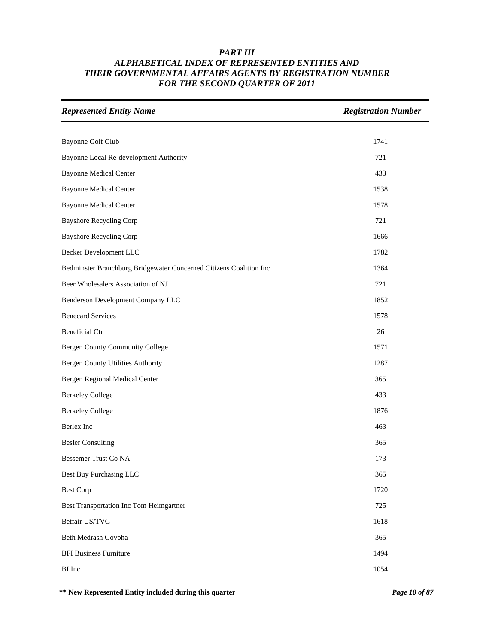| <b>Represented Entity Name</b>                                     | <b>Registration Number</b> |
|--------------------------------------------------------------------|----------------------------|
|                                                                    |                            |
| Bayonne Golf Club                                                  | 1741                       |
| Bayonne Local Re-development Authority                             | 721                        |
| <b>Bayonne Medical Center</b>                                      | 433                        |
| <b>Bayonne Medical Center</b>                                      | 1538                       |
| <b>Bayonne Medical Center</b>                                      | 1578                       |
| <b>Bayshore Recycling Corp</b>                                     | 721                        |
| <b>Bayshore Recycling Corp</b>                                     | 1666                       |
| Becker Development LLC                                             | 1782                       |
| Bedminster Branchburg Bridgewater Concerned Citizens Coalition Inc | 1364                       |
| Beer Wholesalers Association of NJ                                 | 721                        |
| Benderson Development Company LLC                                  | 1852                       |
| <b>Benecard Services</b>                                           | 1578                       |
| <b>Beneficial Ctr</b>                                              | 26                         |
| Bergen County Community College                                    | 1571                       |
| <b>Bergen County Utilities Authority</b>                           | 1287                       |
| Bergen Regional Medical Center                                     | 365                        |
| <b>Berkeley College</b>                                            | 433                        |
| <b>Berkeley College</b>                                            | 1876                       |
| Berlex Inc                                                         | 463                        |
| <b>Besler Consulting</b>                                           | 365                        |
| <b>Bessemer Trust Co NA</b>                                        | 173                        |
| <b>Best Buy Purchasing LLC</b>                                     | 365                        |
| <b>Best Corp</b>                                                   | 1720                       |
| Best Transportation Inc Tom Heimgartner                            | 725                        |
| Betfair US/TVG                                                     | 1618                       |
| Beth Medrash Govoha                                                | 365                        |
| <b>BFI Business Furniture</b>                                      | 1494                       |
| BI Inc                                                             | 1054                       |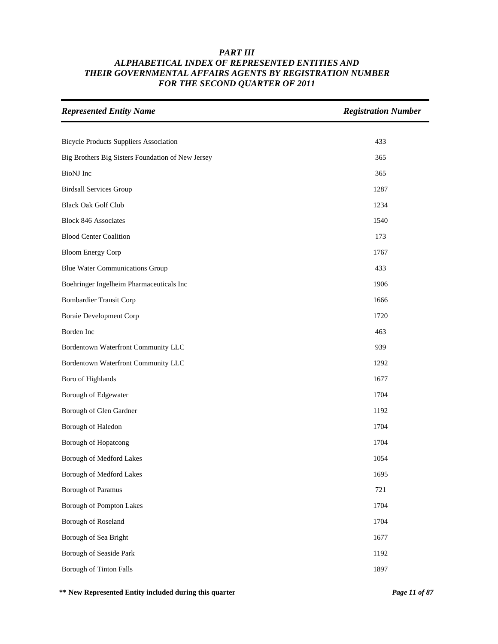| <b>Represented Entity Name</b>                    | <b>Registration Number</b> |
|---------------------------------------------------|----------------------------|
|                                                   |                            |
| <b>Bicycle Products Suppliers Association</b>     | 433                        |
| Big Brothers Big Sisters Foundation of New Jersey | 365                        |
| <b>BioNJ</b> Inc                                  | 365                        |
| <b>Birdsall Services Group</b>                    | 1287                       |
| <b>Black Oak Golf Club</b>                        | 1234                       |
| <b>Block 846 Associates</b>                       | 1540                       |
| <b>Blood Center Coalition</b>                     | 173                        |
| <b>Bloom Energy Corp</b>                          | 1767                       |
| <b>Blue Water Communications Group</b>            | 433                        |
| Boehringer Ingelheim Pharmaceuticals Inc          | 1906                       |
| <b>Bombardier Transit Corp</b>                    | 1666                       |
| <b>Boraie Development Corp</b>                    | 1720                       |
| Borden Inc                                        | 463                        |
| Bordentown Waterfront Community LLC               | 939                        |
| Bordentown Waterfront Community LLC               | 1292                       |
| Boro of Highlands                                 | 1677                       |
| Borough of Edgewater                              | 1704                       |
| Borough of Glen Gardner                           | 1192                       |
| Borough of Haledon                                | 1704                       |
| Borough of Hopatcong                              | 1704                       |
| Borough of Medford Lakes                          | 1054                       |
| Borough of Medford Lakes                          | 1695                       |
| <b>Borough of Paramus</b>                         | 721                        |
| Borough of Pompton Lakes                          | 1704                       |
| Borough of Roseland                               | 1704                       |
| Borough of Sea Bright                             | 1677                       |
| Borough of Seaside Park                           | 1192                       |
| <b>Borough of Tinton Falls</b>                    | 1897                       |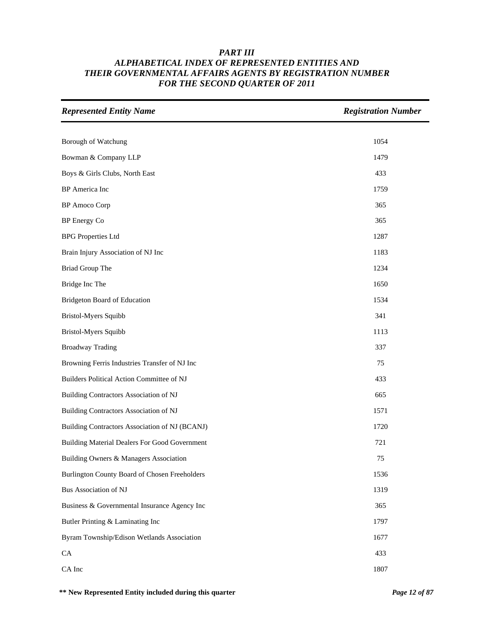| <b>Represented Entity Name</b>                 | <b>Registration Number</b> |
|------------------------------------------------|----------------------------|
|                                                |                            |
| Borough of Watchung                            | 1054                       |
| Bowman & Company LLP                           | 1479                       |
| Boys & Girls Clubs, North East                 | 433                        |
| BP America Inc                                 | 1759                       |
| <b>BP</b> Amoco Corp                           | 365                        |
| BP Energy Co                                   | 365                        |
| <b>BPG</b> Properties Ltd                      | 1287                       |
| Brain Injury Association of NJ Inc             | 1183                       |
| Briad Group The                                | 1234                       |
| Bridge Inc The                                 | 1650                       |
| Bridgeton Board of Education                   | 1534                       |
| Bristol-Myers Squibb                           | 341                        |
| Bristol-Myers Squibb                           | 1113                       |
| <b>Broadway Trading</b>                        | 337                        |
| Browning Ferris Industries Transfer of NJ Inc  | 75                         |
| Builders Political Action Committee of NJ      | 433                        |
| Building Contractors Association of NJ         | 665                        |
| Building Contractors Association of NJ         | 1571                       |
| Building Contractors Association of NJ (BCANJ) | 1720                       |
| Building Material Dealers For Good Government  | 721                        |
| Building Owners & Managers Association         | 75                         |
| Burlington County Board of Chosen Freeholders  | 1536                       |
| Bus Association of NJ                          | 1319                       |
| Business & Governmental Insurance Agency Inc   | 365                        |
| Butler Printing & Laminating Inc               | 1797                       |
| Byram Township/Edison Wetlands Association     | 1677                       |
| CA                                             | 433                        |
| CA Inc                                         | 1807                       |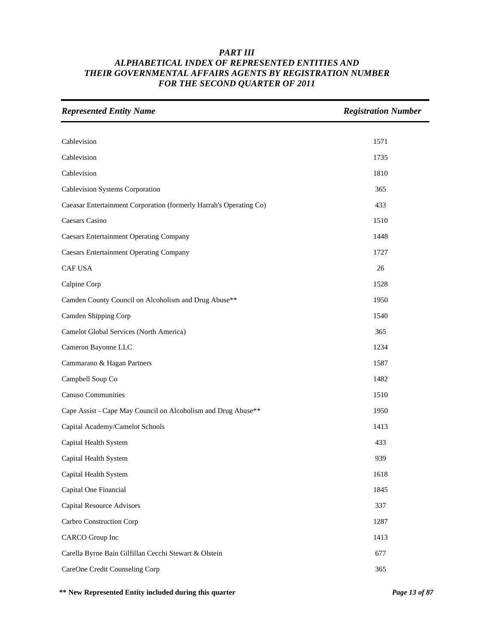| <b>Represented Entity Name</b>                                     | <b>Registration Number</b> |
|--------------------------------------------------------------------|----------------------------|
|                                                                    |                            |
| Cablevision                                                        | 1571                       |
| Cablevision                                                        | 1735                       |
| Cablevision                                                        | 1810                       |
| Cablevision Systems Corporation                                    | 365                        |
| Caeasar Entertainment Corporation (formerly Harrah's Operating Co) | 433                        |
| Caesars Casino                                                     | 1510                       |
| <b>Caesars Entertainment Operating Company</b>                     | 1448                       |
| <b>Caesars Entertainment Operating Company</b>                     | 1727                       |
| CAF USA                                                            | 26                         |
| Calpine Corp                                                       | 1528                       |
| Camden County Council on Alcoholism and Drug Abuse**               | 1950                       |
| Camden Shipping Corp                                               | 1540                       |
| Camelot Global Services (North America)                            | 365                        |
| Cameron Bayonne LLC                                                | 1234                       |
| Cammarano & Hagan Partners                                         | 1587                       |
| Campbell Soup Co                                                   | 1482                       |
| <b>Canuso Communities</b>                                          | 1510                       |
| Cape Assist - Cape May Council on Alcoholism and Drug Abuse**      | 1950                       |
| Capital Academy/Camelot Schools                                    | 1413                       |
| Capital Health System                                              | 433                        |
| Capital Health System                                              | 939                        |
| Capital Health System                                              | 1618                       |
| Capital One Financial                                              | 1845                       |
| <b>Capital Resource Advisors</b>                                   | 337                        |
| Carbro Construction Corp                                           | 1287                       |
| <b>CARCO</b> Group Inc                                             | 1413                       |
| Carella Byrne Bain Gilfillan Cecchi Stewart & Olstein              | 677                        |
| CareOne Credit Counseling Corp                                     | 365                        |

**\*\* New Represented Entity included during this quarter** *Page 13 of 87*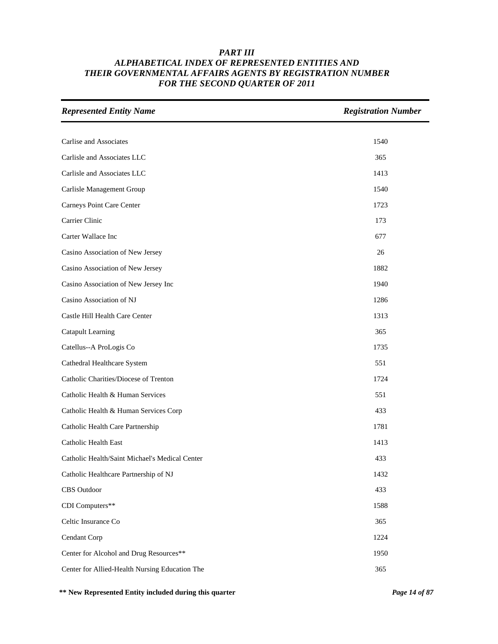| <b>Represented Entity Name</b>                 | <b>Registration Number</b> |
|------------------------------------------------|----------------------------|
|                                                |                            |
| Carlise and Associates                         | 1540                       |
| Carlisle and Associates LLC                    | 365                        |
| Carlisle and Associates LLC                    | 1413                       |
| Carlisle Management Group                      | 1540                       |
| Carneys Point Care Center                      | 1723                       |
| Carrier Clinic                                 | 173                        |
| Carter Wallace Inc                             | 677                        |
| Casino Association of New Jersey               | 26                         |
| Casino Association of New Jersey               | 1882                       |
| Casino Association of New Jersey Inc           | 1940                       |
| Casino Association of NJ                       | 1286                       |
| Castle Hill Health Care Center                 | 1313                       |
| <b>Catapult Learning</b>                       | 365                        |
| Catellus--A ProLogis Co                        | 1735                       |
| Cathedral Healthcare System                    | 551                        |
| Catholic Charities/Diocese of Trenton          | 1724                       |
| Catholic Health & Human Services               | 551                        |
| Catholic Health & Human Services Corp          | 433                        |
| Catholic Health Care Partnership               | 1781                       |
| Catholic Health East                           | 1413                       |
| Catholic Health/Saint Michael's Medical Center | 433                        |
| Catholic Healthcare Partnership of NJ          | 1432                       |
| CBS Outdoor                                    | 433                        |
| CDI Computers**                                | 1588                       |
| Celtic Insurance Co                            | 365                        |
| Cendant Corp                                   | 1224                       |
| Center for Alcohol and Drug Resources**        | 1950                       |
| Center for Allied-Health Nursing Education The | 365                        |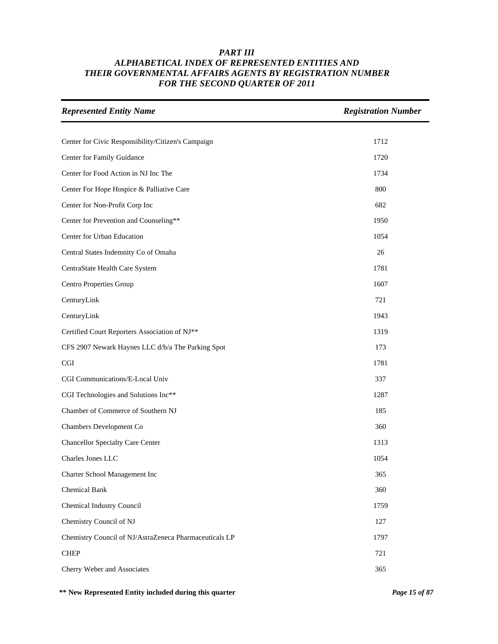| <b>Represented Entity Name</b>                         | <b>Registration Number</b> |
|--------------------------------------------------------|----------------------------|
|                                                        |                            |
| Center for Civic Responsibility/Citizen's Campaign     | 1712                       |
| Center for Family Guidance                             | 1720                       |
| Center for Food Action in NJ Inc The                   | 1734                       |
| Center For Hope Hospice & Palliative Care              | 800                        |
| Center for Non-Profit Corp Inc                         | 682                        |
| Center for Prevention and Counseling**                 | 1950                       |
| Center for Urban Education                             | 1054                       |
| Central States Indemnity Co of Omaha                   | 26                         |
| CentraState Health Care System                         | 1781                       |
| Centro Properties Group                                | 1607                       |
| CenturyLink                                            | 721                        |
| CenturyLink                                            | 1943                       |
| Certified Court Reporters Association of NJ**          | 1319                       |
| CFS 2907 Newark Haynes LLC d/b/a The Parking Spot      | 173                        |
| <b>CGI</b>                                             | 1781                       |
| CGI Communications/E-Local Univ                        | 337                        |
| CGI Technologies and Solutions Inc**                   | 1287                       |
| Chamber of Commerce of Southern NJ                     | 185                        |
| Chambers Development Co                                | 360                        |
| <b>Chancellor Specialty Care Center</b>                | 1313                       |
| Charles Jones LLC                                      | 1054                       |
| Charter School Management Inc                          | 365                        |
| <b>Chemical Bank</b>                                   | 360                        |
| Chemical Industry Council                              | 1759                       |
| Chemistry Council of NJ                                | 127                        |
| Chemistry Council of NJ/AstraZeneca Pharmaceuticals LP | 1797                       |
| <b>CHEP</b>                                            | 721                        |
| Cherry Weber and Associates                            | 365                        |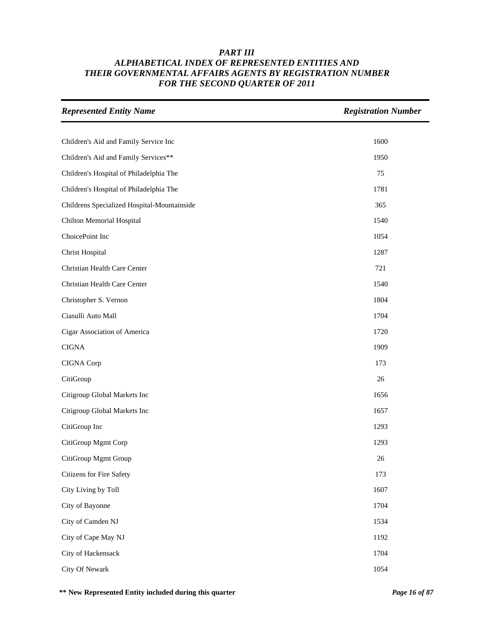| <b>Represented Entity Name</b>              | <b>Registration Number</b> |
|---------------------------------------------|----------------------------|
|                                             |                            |
| Children's Aid and Family Service Inc       | 1600                       |
| Children's Aid and Family Services**        | 1950                       |
| Children's Hospital of Philadelphia The     | 75                         |
| Children's Hospital of Philadelphia The     | 1781                       |
| Childrens Specialized Hospital-Mountainside | 365                        |
| Chilton Memorial Hospital                   | 1540                       |
| ChoicePoint Inc                             | 1054                       |
| <b>Christ Hospital</b>                      | 1287                       |
| Christian Health Care Center                | 721                        |
| Christian Health Care Center                | 1540                       |
| Christopher S. Vernon                       | 1804                       |
| Ciasulli Auto Mall                          | 1704                       |
| Cigar Association of America                | 1720                       |
| <b>CIGNA</b>                                | 1909                       |
| CIGNA Corp                                  | 173                        |
| CitiGroup                                   | 26                         |
| Citigroup Global Markets Inc                | 1656                       |
| Citigroup Global Markets Inc                | 1657                       |
| CitiGroup Inc                               | 1293                       |
| CitiGroup Mgmt Corp                         | 1293                       |
| CitiGroup Mgmt Group                        | 26                         |
| Citizens for Fire Safety                    | 173                        |
| City Living by Toll                         | 1607                       |
| City of Bayonne                             | 1704                       |
| City of Camden NJ                           | 1534                       |
| City of Cape May NJ                         | 1192                       |
| City of Hackensack                          | 1704                       |
| City Of Newark                              | 1054                       |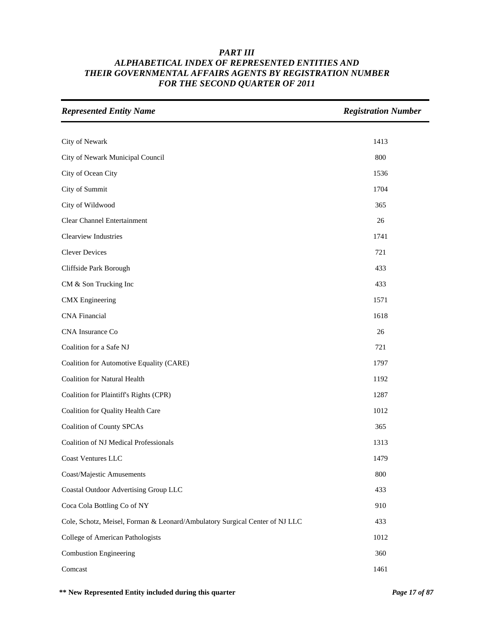| <b>Represented Entity Name</b>                                              | <b>Registration Number</b> |
|-----------------------------------------------------------------------------|----------------------------|
|                                                                             |                            |
| City of Newark                                                              | 1413                       |
| City of Newark Municipal Council                                            | 800                        |
| City of Ocean City                                                          | 1536                       |
| City of Summit                                                              | 1704                       |
| City of Wildwood                                                            | 365                        |
| Clear Channel Entertainment                                                 | 26                         |
| Clearview Industries                                                        | 1741                       |
| <b>Clever Devices</b>                                                       | 721                        |
| Cliffside Park Borough                                                      | 433                        |
| CM & Son Trucking Inc                                                       | 433                        |
| <b>CMX</b> Engineering                                                      | 1571                       |
| <b>CNA</b> Financial                                                        | 1618                       |
| CNA Insurance Co                                                            | 26                         |
| Coalition for a Safe NJ                                                     | 721                        |
| Coalition for Automotive Equality (CARE)                                    | 1797                       |
| <b>Coalition for Natural Health</b>                                         | 1192                       |
| Coalition for Plaintiff's Rights (CPR)                                      | 1287                       |
| Coalition for Quality Health Care                                           | 1012                       |
| <b>Coalition of County SPCAs</b>                                            | 365                        |
| Coalition of NJ Medical Professionals                                       | 1313                       |
| Coast Ventures LLC                                                          | 1479                       |
| Coast/Majestic Amusements                                                   | 800                        |
| Coastal Outdoor Advertising Group LLC                                       | 433                        |
| Coca Cola Bottling Co of NY                                                 | 910                        |
| Cole, Schotz, Meisel, Forman & Leonard/Ambulatory Surgical Center of NJ LLC | 433                        |
| College of American Pathologists                                            | 1012                       |
| <b>Combustion Engineering</b>                                               | 360                        |
| Comcast                                                                     | 1461                       |

**\*\* New Represented Entity included during this quarter** *Page 17 of 87*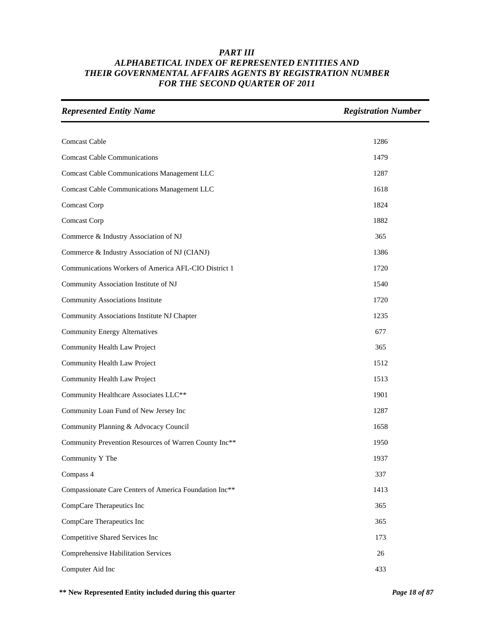| <b>Represented Entity Name</b>                         | <b>Registration Number</b> |
|--------------------------------------------------------|----------------------------|
|                                                        |                            |
| Comcast Cable                                          | 1286                       |
| <b>Comcast Cable Communications</b>                    | 1479                       |
| <b>Comcast Cable Communications Management LLC</b>     | 1287                       |
| <b>Comcast Cable Communications Management LLC</b>     | 1618                       |
| Comcast Corp                                           | 1824                       |
| Comcast Corp                                           | 1882                       |
| Commerce & Industry Association of NJ                  | 365                        |
| Commerce & Industry Association of NJ (CIANJ)          | 1386                       |
| Communications Workers of America AFL-CIO District 1   | 1720                       |
| Community Association Institute of NJ                  | 1540                       |
| Community Associations Institute                       | 1720                       |
| Community Associations Institute NJ Chapter            | 1235                       |
| <b>Community Energy Alternatives</b>                   | 677                        |
| Community Health Law Project                           | 365                        |
| Community Health Law Project                           | 1512                       |
| Community Health Law Project                           | 1513                       |
| Community Healthcare Associates LLC**                  | 1901                       |
| Community Loan Fund of New Jersey Inc                  | 1287                       |
| Community Planning & Advocacy Council                  | 1658                       |
| Community Prevention Resources of Warren County Inc**  | 1950                       |
| Community Y The                                        | 1937                       |
| Compass 4                                              | 337                        |
| Compassionate Care Centers of America Foundation Inc** | 1413                       |
| CompCare Therapeutics Inc                              | 365                        |
| CompCare Therapeutics Inc                              | 365                        |
| Competitive Shared Services Inc                        | 173                        |
| <b>Comprehensive Habilitation Services</b>             | 26                         |
| Computer Aid Inc                                       | 433                        |

**\*\* New Represented Entity included during this quarter** *Page 18 of 87*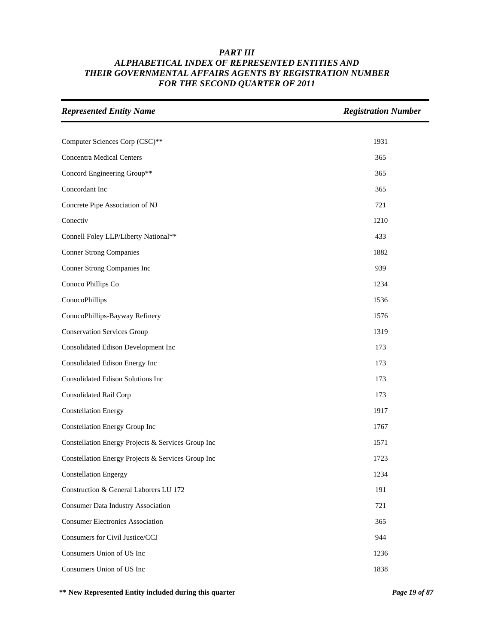| <b>Represented Entity Name</b>                     | <b>Registration Number</b> |
|----------------------------------------------------|----------------------------|
|                                                    |                            |
| Computer Sciences Corp (CSC)**                     | 1931                       |
| <b>Concentra Medical Centers</b>                   | 365                        |
| Concord Engineering Group**                        | 365                        |
| Concordant Inc                                     | 365                        |
| Concrete Pipe Association of NJ                    | 721                        |
| Conectiv                                           | 1210                       |
| Connell Foley LLP/Liberty National**               | 433                        |
| <b>Conner Strong Companies</b>                     | 1882                       |
| Conner Strong Companies Inc                        | 939                        |
| Conoco Phillips Co                                 | 1234                       |
| ConocoPhillips                                     | 1536                       |
| ConocoPhillips-Bayway Refinery                     | 1576                       |
| <b>Conservation Services Group</b>                 | 1319                       |
| Consolidated Edison Development Inc                | 173                        |
| Consolidated Edison Energy Inc                     | 173                        |
| Consolidated Edison Solutions Inc                  | 173                        |
| Consolidated Rail Corp                             | 173                        |
| <b>Constellation Energy</b>                        | 1917                       |
| Constellation Energy Group Inc                     | 1767                       |
| Constellation Energy Projects & Services Group Inc | 1571                       |
| Constellation Energy Projects & Services Group Inc | 1723                       |
| <b>Constellation Engergy</b>                       | 1234                       |
| Construction & General Laborers LU 172             | 191                        |
| <b>Consumer Data Industry Association</b>          | 721                        |
| <b>Consumer Electronics Association</b>            | 365                        |
| Consumers for Civil Justice/CCJ                    | 944                        |
| Consumers Union of US Inc                          | 1236                       |
| Consumers Union of US Inc                          | 1838                       |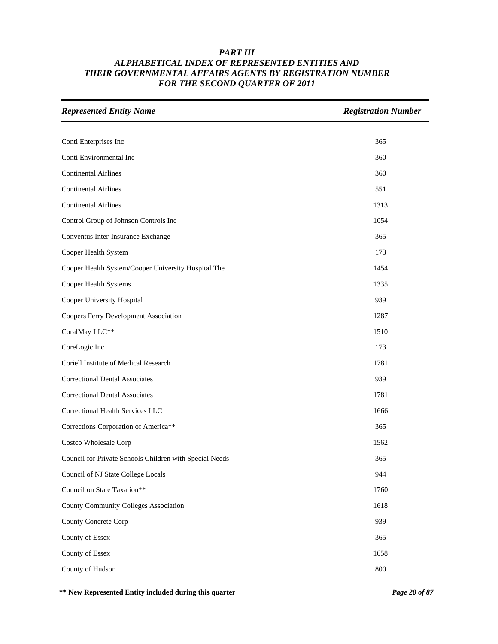| <b>Represented Entity Name</b>                          | <b>Registration Number</b> |
|---------------------------------------------------------|----------------------------|
|                                                         |                            |
| Conti Enterprises Inc                                   | 365                        |
| Conti Environmental Inc                                 | 360                        |
| <b>Continental Airlines</b>                             | 360                        |
| <b>Continental Airlines</b>                             | 551                        |
| <b>Continental Airlines</b>                             | 1313                       |
| Control Group of Johnson Controls Inc                   | 1054                       |
| Conventus Inter-Insurance Exchange                      | 365                        |
| Cooper Health System                                    | 173                        |
| Cooper Health System/Cooper University Hospital The     | 1454                       |
| Cooper Health Systems                                   | 1335                       |
| Cooper University Hospital                              | 939                        |
| Coopers Ferry Development Association                   | 1287                       |
| CoralMay LLC**                                          | 1510                       |
| CoreLogic Inc                                           | 173                        |
| Coriell Institute of Medical Research                   | 1781                       |
| <b>Correctional Dental Associates</b>                   | 939                        |
| <b>Correctional Dental Associates</b>                   | 1781                       |
| Correctional Health Services LLC                        | 1666                       |
| Corrections Corporation of America**                    | 365                        |
| Costco Wholesale Corp                                   | 1562                       |
| Council for Private Schools Children with Special Needs | 365                        |
| Council of NJ State College Locals                      | 944                        |
| Council on State Taxation**                             | 1760                       |
| County Community Colleges Association                   | 1618                       |
| County Concrete Corp                                    | 939                        |
| County of Essex                                         | 365                        |
| County of Essex                                         | 1658                       |
| County of Hudson                                        | 800                        |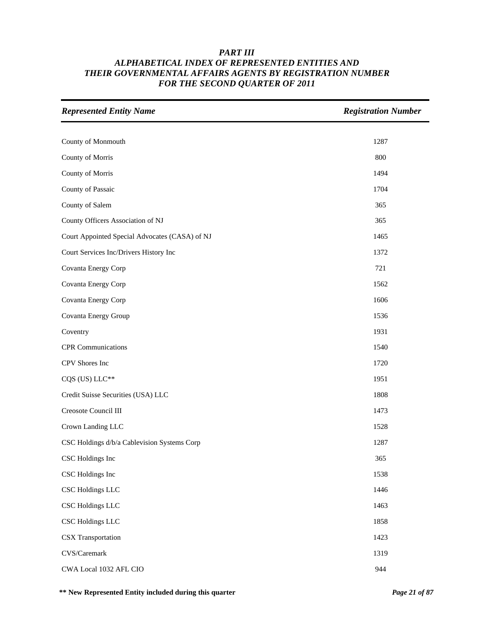| <b>Represented Entity Name</b>                 | <b>Registration Number</b> |
|------------------------------------------------|----------------------------|
|                                                |                            |
| County of Monmouth                             | 1287                       |
| County of Morris                               | 800                        |
| County of Morris                               | 1494                       |
| County of Passaic                              | 1704                       |
| County of Salem                                | 365                        |
| County Officers Association of NJ              | 365                        |
| Court Appointed Special Advocates (CASA) of NJ | 1465                       |
| Court Services Inc/Drivers History Inc         | 1372                       |
| Covanta Energy Corp                            | 721                        |
| Covanta Energy Corp                            | 1562                       |
| Covanta Energy Corp                            | 1606                       |
| Covanta Energy Group                           | 1536                       |
| Coventry                                       | 1931                       |
| <b>CPR</b> Communications                      | 1540                       |
| CPV Shores Inc                                 | 1720                       |
| CQS (US) LLC**                                 | 1951                       |
| Credit Suisse Securities (USA) LLC             | 1808                       |
| Creosote Council III                           | 1473                       |
| Crown Landing LLC                              | 1528                       |
| CSC Holdings d/b/a Cablevision Systems Corp    | 1287                       |
| CSC Holdings Inc                               | 365                        |
| CSC Holdings Inc                               | 1538                       |
| <b>CSC Holdings LLC</b>                        | 1446                       |
| CSC Holdings LLC                               | 1463                       |
| CSC Holdings LLC                               | 1858                       |
| <b>CSX</b> Transportation                      | 1423                       |
| CVS/Caremark                                   | 1319                       |
| CWA Local 1032 AFL CIO                         | 944                        |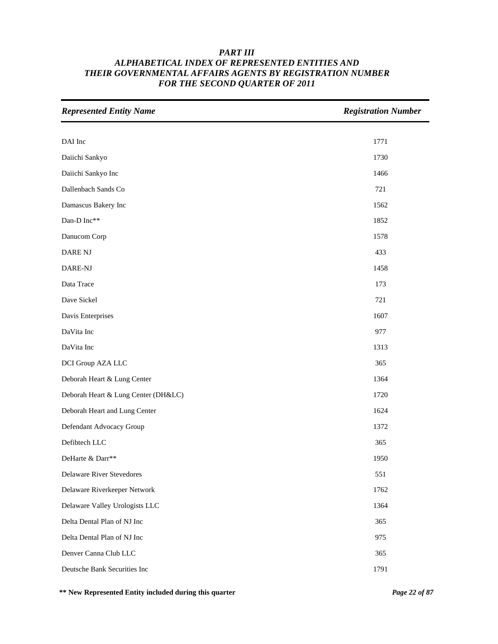| <b>Represented Entity Name</b>      | <b>Registration Number</b> |
|-------------------------------------|----------------------------|
|                                     |                            |
| DAI Inc                             | 1771                       |
| Daiichi Sankyo                      | 1730                       |
| Daiichi Sankyo Inc                  | 1466                       |
| Dallenbach Sands Co                 | 721                        |
| Damascus Bakery Inc                 | 1562                       |
| Dan-D Inc**                         | 1852                       |
| Danucom Corp                        | 1578                       |
| DARE NJ                             | 433                        |
| DARE-NJ                             | 1458                       |
| Data Trace                          | 173                        |
| Dave Sickel                         | 721                        |
| Davis Enterprises                   | 1607                       |
| DaVita Inc                          | 977                        |
| DaVita Inc                          | 1313                       |
| DCI Group AZA LLC                   | 365                        |
| Deborah Heart & Lung Center         | 1364                       |
| Deborah Heart & Lung Center (DH&LC) | 1720                       |
| Deborah Heart and Lung Center       | 1624                       |
| Defendant Advocacy Group            | 1372                       |
| Defibtech LLC                       | 365                        |
| DeHarte & Darr**                    | 1950                       |
| Delaware River Stevedores           | 551                        |
| Delaware Riverkeeper Network        | 1762                       |
| Delaware Valley Urologists LLC      | 1364                       |
| Delta Dental Plan of NJ Inc         | 365                        |
| Delta Dental Plan of NJ Inc         | 975                        |
| Denver Canna Club LLC               | 365                        |
| Deutsche Bank Securities Inc        | 1791                       |

**\*\* New Represented Entity included during this quarter** *Page 22 of 87*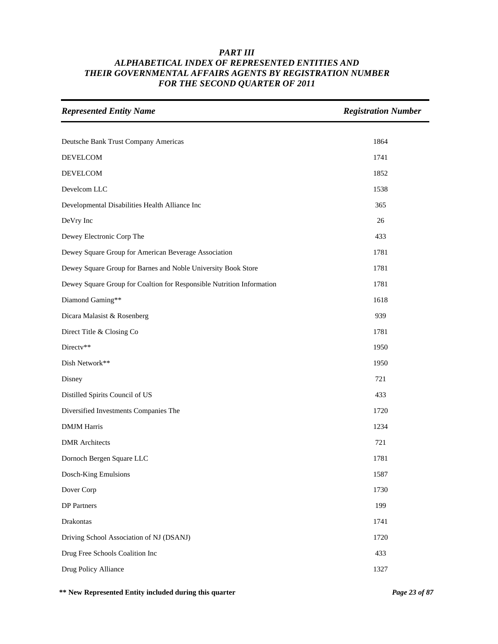| <b>Represented Entity Name</b>                                        | <b>Registration Number</b> |
|-----------------------------------------------------------------------|----------------------------|
|                                                                       |                            |
| Deutsche Bank Trust Company Americas                                  | 1864                       |
| <b>DEVELCOM</b>                                                       | 1741                       |
| <b>DEVELCOM</b>                                                       | 1852                       |
| Develcom LLC                                                          | 1538                       |
| Developmental Disabilities Health Alliance Inc                        | 365                        |
| DeVry Inc                                                             | 26                         |
| Dewey Electronic Corp The                                             | 433                        |
| Dewey Square Group for American Beverage Association                  | 1781                       |
| Dewey Square Group for Barnes and Noble University Book Store         | 1781                       |
| Dewey Square Group for Coaltion for Responsible Nutrition Information | 1781                       |
| Diamond Gaming**                                                      | 1618                       |
| Dicara Malasist & Rosenberg                                           | 939                        |
| Direct Title & Closing Co                                             | 1781                       |
| Directv**                                                             | 1950                       |
| Dish Network**                                                        | 1950                       |
| Disney                                                                | 721                        |
| Distilled Spirits Council of US                                       | 433                        |
| Diversified Investments Companies The                                 | 1720                       |
| <b>DMJM Harris</b>                                                    | 1234                       |
| <b>DMR</b> Architects                                                 | 721                        |
| Dornoch Bergen Square LLC                                             | 1781                       |
| Dosch-King Emulsions                                                  | 1587                       |
| Dover Corp                                                            | 1730                       |
| <b>DP</b> Partners                                                    | 199                        |
| Drakontas                                                             | 1741                       |
| Driving School Association of NJ (DSANJ)                              | 1720                       |
| Drug Free Schools Coalition Inc                                       | 433                        |
| Drug Policy Alliance                                                  | 1327                       |

**\*\* New Represented Entity included during this quarter** *Page 23 of 87*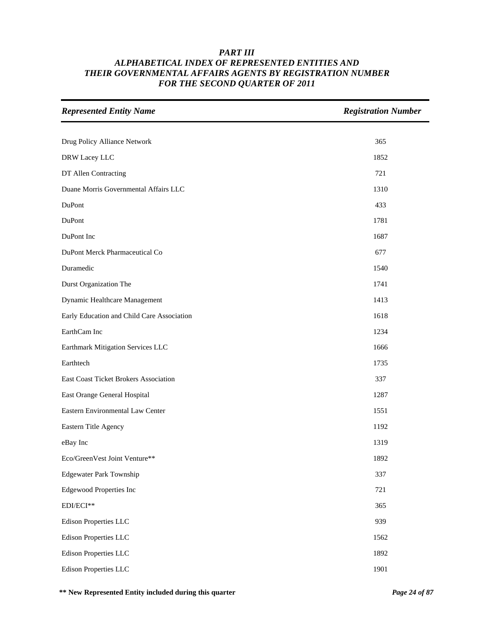| <b>Represented Entity Name</b>             | <b>Registration Number</b> |
|--------------------------------------------|----------------------------|
|                                            |                            |
| Drug Policy Alliance Network               | 365                        |
| DRW Lacey LLC                              | 1852                       |
| DT Allen Contracting                       | 721                        |
| Duane Morris Governmental Affairs LLC      | 1310                       |
| DuPont                                     | 433                        |
| DuPont                                     | 1781                       |
| DuPont Inc                                 | 1687                       |
| DuPont Merck Pharmaceutical Co             | 677                        |
| Duramedic                                  | 1540                       |
| Durst Organization The                     | 1741                       |
| Dynamic Healthcare Management              | 1413                       |
| Early Education and Child Care Association | 1618                       |
| EarthCam Inc                               | 1234                       |
| Earthmark Mitigation Services LLC          | 1666                       |
| Earthtech                                  | 1735                       |
| East Coast Ticket Brokers Association      | 337                        |
| East Orange General Hospital               | 1287                       |
| Eastern Environmental Law Center           | 1551                       |
| Eastern Title Agency                       | 1192                       |
| eBay Inc                                   | 1319                       |
| Eco/GreenVest Joint Venture**              | 1892                       |
| <b>Edgewater Park Township</b>             | 337                        |
| <b>Edgewood Properties Inc</b>             | 721                        |
| EDI/ECI**                                  | 365                        |
| Edison Properties LLC                      | 939                        |
| <b>Edison Properties LLC</b>               | 1562                       |
| <b>Edison Properties LLC</b>               | 1892                       |
| <b>Edison Properties LLC</b>               | 1901                       |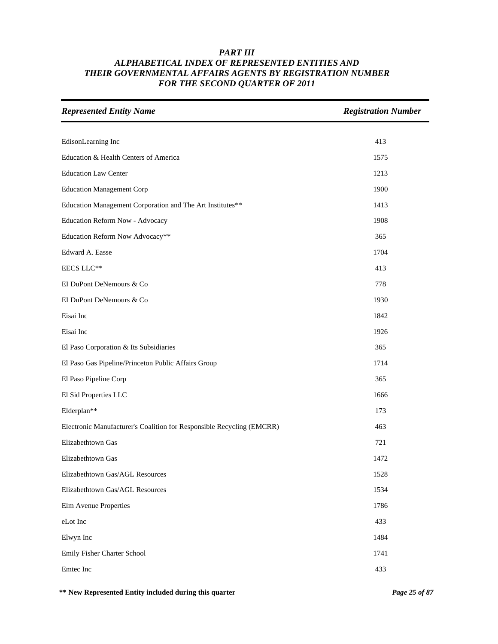| <b>Represented Entity Name</b>                                        | <b>Registration Number</b> |
|-----------------------------------------------------------------------|----------------------------|
|                                                                       |                            |
| EdisonLearning Inc                                                    | 413                        |
| Education & Health Centers of America                                 | 1575                       |
| <b>Education Law Center</b>                                           | 1213                       |
| <b>Education Management Corp</b>                                      | 1900                       |
| Education Management Corporation and The Art Institutes**             | 1413                       |
| Education Reform Now - Advocacy                                       | 1908                       |
| Education Reform Now Advocacy**                                       | 365                        |
| Edward A. Easse                                                       | 1704                       |
| EECS LLC**                                                            | 413                        |
| EI DuPont DeNemours & Co                                              | 778                        |
| EI DuPont DeNemours & Co                                              | 1930                       |
| Eisai Inc                                                             | 1842                       |
| Eisai Inc                                                             | 1926                       |
| El Paso Corporation & Its Subsidiaries                                | 365                        |
| El Paso Gas Pipeline/Princeton Public Affairs Group                   | 1714                       |
| El Paso Pipeline Corp                                                 | 365                        |
| El Sid Properties LLC                                                 | 1666                       |
| Elderplan**                                                           | 173                        |
| Electronic Manufacturer's Coalition for Responsible Recycling (EMCRR) | 463                        |
| Elizabethtown Gas                                                     | 721                        |
| Elizabethtown Gas                                                     | 1472                       |
| Elizabethtown Gas/AGL Resources                                       | 1528                       |
| Elizabethtown Gas/AGL Resources                                       | 1534                       |
| Elm Avenue Properties                                                 | 1786                       |
| eLot Inc                                                              | 433                        |
| Elwyn Inc                                                             | 1484                       |
| Emily Fisher Charter School                                           | 1741                       |
| Emtec Inc                                                             | 433                        |

**\*\* New Represented Entity included during this quarter** *Page 25 of 87*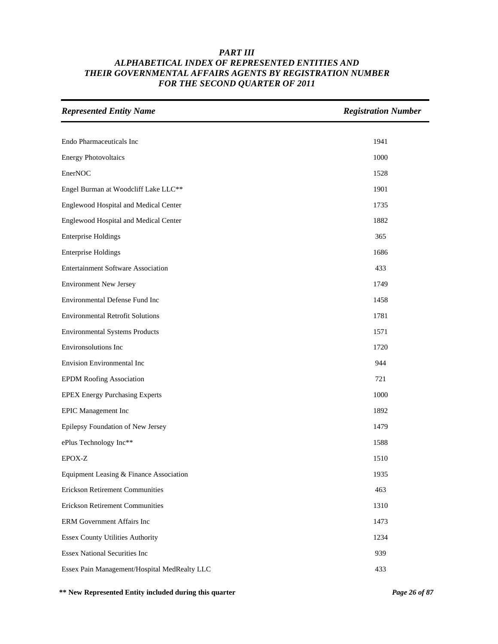| <b>Represented Entity Name</b>               | <b>Registration Number</b> |
|----------------------------------------------|----------------------------|
|                                              |                            |
| Endo Pharmaceuticals Inc                     | 1941                       |
| <b>Energy Photovoltaics</b>                  | 1000                       |
| EnerNOC                                      | 1528                       |
| Engel Burman at Woodcliff Lake LLC**         | 1901                       |
| Englewood Hospital and Medical Center        | 1735                       |
| Englewood Hospital and Medical Center        | 1882                       |
| <b>Enterprise Holdings</b>                   | 365                        |
| <b>Enterprise Holdings</b>                   | 1686                       |
| <b>Entertainment Software Association</b>    | 433                        |
| <b>Environment New Jersey</b>                | 1749                       |
| Environmental Defense Fund Inc               | 1458                       |
| <b>Environmental Retrofit Solutions</b>      | 1781                       |
| <b>Environmental Systems Products</b>        | 1571                       |
| Environsolutions Inc                         | 1720                       |
| Envision Environmental Inc                   | 944                        |
| <b>EPDM Roofing Association</b>              | 721                        |
| <b>EPEX Energy Purchasing Experts</b>        | 1000                       |
| <b>EPIC</b> Management Inc                   | 1892                       |
| Epilepsy Foundation of New Jersey            | 1479                       |
| ePlus Technology Inc**                       | 1588                       |
| EPOX-Z                                       | 1510                       |
| Equipment Leasing & Finance Association      | 1935                       |
| <b>Erickson Retirement Communities</b>       | 463                        |
| <b>Erickson Retirement Communities</b>       | 1310                       |
| ERM Government Affairs Inc                   | 1473                       |
| <b>Essex County Utilities Authority</b>      | 1234                       |
| <b>Essex National Securities Inc</b>         | 939                        |
| Essex Pain Management/Hospital MedRealty LLC | 433                        |

**\*\* New Represented Entity included during this quarter** *Page 26 of 87*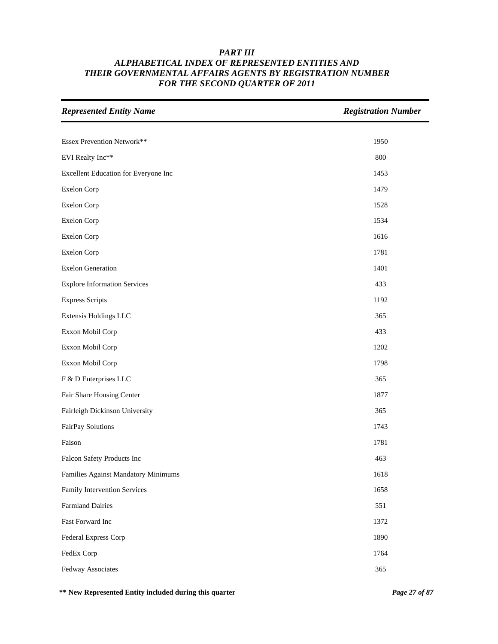| <b>Represented Entity Name</b>       | <b>Registration Number</b> |
|--------------------------------------|----------------------------|
|                                      |                            |
| Essex Prevention Network**           | 1950                       |
| EVI Realty Inc**                     | 800                        |
| Excellent Education for Everyone Inc | 1453                       |
| <b>Exelon Corp</b>                   | 1479                       |
| <b>Exelon Corp</b>                   | 1528                       |
| <b>Exelon Corp</b>                   | 1534                       |
| <b>Exelon Corp</b>                   | 1616                       |
| <b>Exelon Corp</b>                   | 1781                       |
| <b>Exelon Generation</b>             | 1401                       |
| <b>Explore Information Services</b>  | 433                        |
| <b>Express Scripts</b>               | 1192                       |
| Extensis Holdings LLC                | 365                        |
| Exxon Mobil Corp                     | 433                        |
| Exxon Mobil Corp                     | 1202                       |
| Exxon Mobil Corp                     | 1798                       |
| F & D Enterprises LLC                | 365                        |
| Fair Share Housing Center            | 1877                       |
| Fairleigh Dickinson University       | 365                        |
| FairPay Solutions                    | 1743                       |
| Faison                               | 1781                       |
| Falcon Safety Products Inc           | 463                        |
| Families Against Mandatory Minimums  | 1618                       |
| Family Intervention Services         | 1658                       |
| <b>Farmland Dairies</b>              | 551                        |
| Fast Forward Inc                     | 1372                       |
| Federal Express Corp                 | 1890                       |
| FedEx Corp                           | 1764                       |
| Fedway Associates                    | 365                        |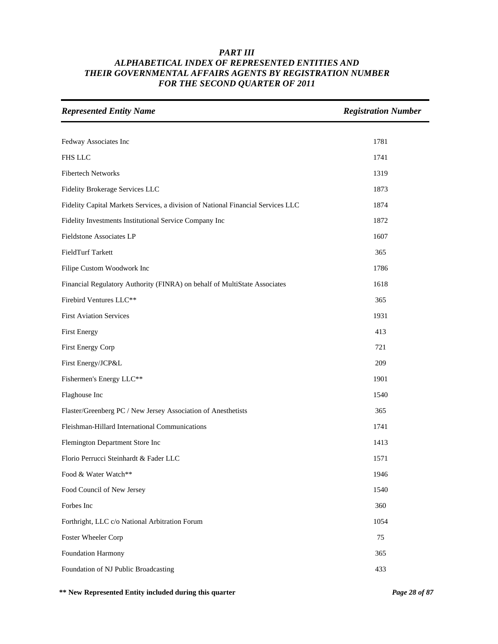| <b>Represented Entity Name</b>                                                   | <b>Registration Number</b> |
|----------------------------------------------------------------------------------|----------------------------|
|                                                                                  |                            |
| Fedway Associates Inc                                                            | 1781                       |
| <b>FHS LLC</b>                                                                   | 1741                       |
| <b>Fibertech Networks</b>                                                        | 1319                       |
| Fidelity Brokerage Services LLC                                                  | 1873                       |
| Fidelity Capital Markets Services, a division of National Financial Services LLC | 1874                       |
| Fidelity Investments Institutional Service Company Inc                           | 1872                       |
| Fieldstone Associates LP                                                         | 1607                       |
| FieldTurf Tarkett                                                                | 365                        |
| Filipe Custom Woodwork Inc                                                       | 1786                       |
| Financial Regulatory Authority (FINRA) on behalf of MultiState Associates        | 1618                       |
| Firebird Ventures LLC**                                                          | 365                        |
| <b>First Aviation Services</b>                                                   | 1931                       |
| <b>First Energy</b>                                                              | 413                        |
| First Energy Corp                                                                | 721                        |
| First Energy/JCP&L                                                               | 209                        |
| Fishermen's Energy LLC**                                                         | 1901                       |
| Flaghouse Inc                                                                    | 1540                       |
| Flaster/Greenberg PC / New Jersey Association of Anesthetists                    | 365                        |
| Fleishman-Hillard International Communications                                   | 1741                       |
| Flemington Department Store Inc                                                  | 1413                       |
| Florio Perrucci Steinhardt & Fader LLC                                           | 1571                       |
| Food & Water Watch**                                                             | 1946                       |
| Food Council of New Jersey                                                       | 1540                       |
| Forbes Inc                                                                       | 360                        |
| Forthright, LLC c/o National Arbitration Forum                                   | 1054                       |
| Foster Wheeler Corp                                                              | 75                         |
| Foundation Harmony                                                               | 365                        |
| Foundation of NJ Public Broadcasting                                             | 433                        |

**\*\* New Represented Entity included during this quarter** *Page 28 of 87*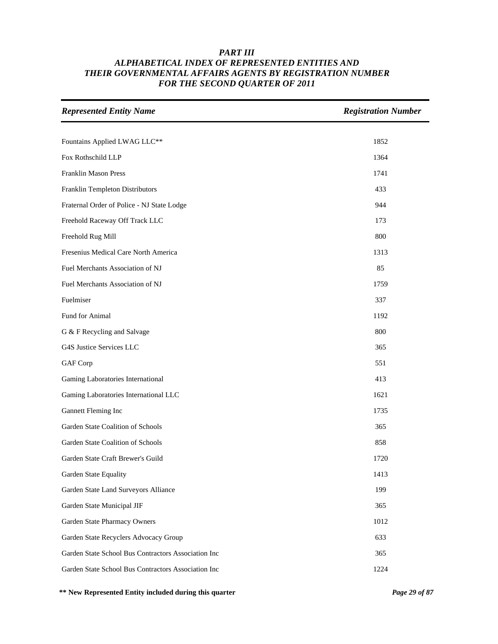| <b>Represented Entity Name</b>                      | <b>Registration Number</b> |
|-----------------------------------------------------|----------------------------|
|                                                     |                            |
| Fountains Applied LWAG LLC**                        | 1852                       |
| Fox Rothschild LLP                                  | 1364                       |
| Franklin Mason Press                                | 1741                       |
| Franklin Templeton Distributors                     | 433                        |
| Fraternal Order of Police - NJ State Lodge          | 944                        |
| Freehold Raceway Off Track LLC                      | 173                        |
| Freehold Rug Mill                                   | 800                        |
| Fresenius Medical Care North America                | 1313                       |
| Fuel Merchants Association of NJ                    | 85                         |
| Fuel Merchants Association of NJ                    | 1759                       |
| Fuelmiser                                           | 337                        |
| Fund for Animal                                     | 1192                       |
| G & F Recycling and Salvage                         | 800                        |
| G4S Justice Services LLC                            | 365                        |
| GAF Corp                                            | 551                        |
| Gaming Laboratories International                   | 413                        |
| Gaming Laboratories International LLC               | 1621                       |
| Gannett Fleming Inc                                 | 1735                       |
| Garden State Coalition of Schools                   | 365                        |
| Garden State Coalition of Schools                   | 858                        |
| Garden State Craft Brewer's Guild                   | 1720                       |
| Garden State Equality                               | 1413                       |
| Garden State Land Surveyors Alliance                | 199                        |
| Garden State Municipal JIF                          | 365                        |
| Garden State Pharmacy Owners                        | 1012                       |
| Garden State Recyclers Advocacy Group               | 633                        |
| Garden State School Bus Contractors Association Inc | 365                        |
| Garden State School Bus Contractors Association Inc | 1224                       |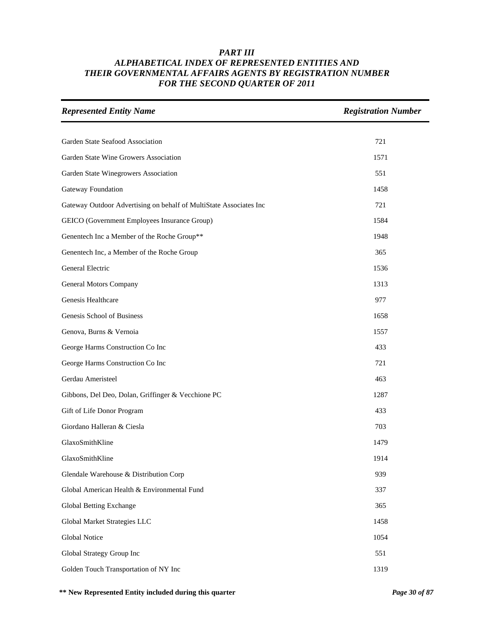| <b>Represented Entity Name</b>                                     | <b>Registration Number</b> |
|--------------------------------------------------------------------|----------------------------|
|                                                                    |                            |
| Garden State Seafood Association                                   | 721                        |
| Garden State Wine Growers Association                              | 1571                       |
| Garden State Winegrowers Association                               | 551                        |
| Gateway Foundation                                                 | 1458                       |
| Gateway Outdoor Advertising on behalf of MultiState Associates Inc | 721                        |
| GEICO (Government Employees Insurance Group)                       | 1584                       |
| Genentech Inc a Member of the Roche Group**                        | 1948                       |
| Genentech Inc, a Member of the Roche Group                         | 365                        |
| General Electric                                                   | 1536                       |
| General Motors Company                                             | 1313                       |
| Genesis Healthcare                                                 | 977                        |
| Genesis School of Business                                         | 1658                       |
| Genova, Burns & Vernoia                                            | 1557                       |
| George Harms Construction Co Inc                                   | 433                        |
| George Harms Construction Co Inc                                   | 721                        |
| Gerdau Ameristeel                                                  | 463                        |
| Gibbons, Del Deo, Dolan, Griffinger & Vecchione PC                 | 1287                       |
| Gift of Life Donor Program                                         | 433                        |
| Giordano Halleran & Ciesla                                         | 703                        |
| GlaxoSmithKline                                                    | 1479                       |
| GlaxoSmithKline                                                    | 1914                       |
| Glendale Warehouse & Distribution Corp                             | 939                        |
| Global American Health & Environmental Fund                        | 337                        |
| Global Betting Exchange                                            | 365                        |
| Global Market Strategies LLC                                       | 1458                       |
| <b>Global Notice</b>                                               | 1054                       |
| Global Strategy Group Inc                                          | 551                        |
| Golden Touch Transportation of NY Inc                              | 1319                       |

**\*\* New Represented Entity included during this quarter** *Page 30 of 87*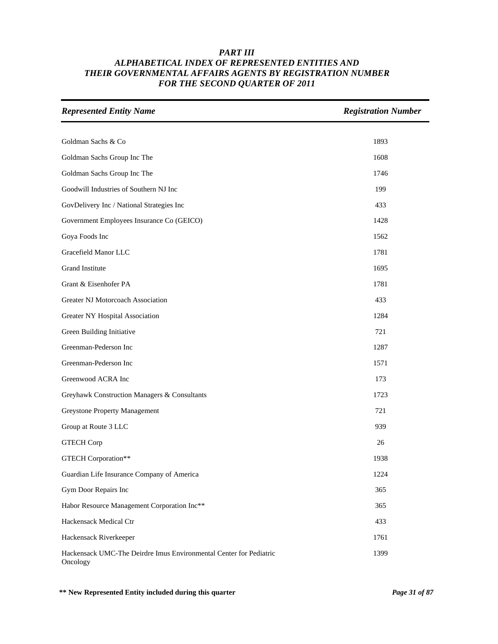| <b>Represented Entity Name</b>                                                 | <b>Registration Number</b> |
|--------------------------------------------------------------------------------|----------------------------|
|                                                                                |                            |
| Goldman Sachs & Co                                                             | 1893                       |
| Goldman Sachs Group Inc The                                                    | 1608                       |
| Goldman Sachs Group Inc The                                                    | 1746                       |
| Goodwill Industries of Southern NJ Inc                                         | 199                        |
| GovDelivery Inc / National Strategies Inc                                      | 433                        |
| Government Employees Insurance Co (GEICO)                                      | 1428                       |
| Goya Foods Inc                                                                 | 1562                       |
| Gracefield Manor LLC                                                           | 1781                       |
| Grand Institute                                                                | 1695                       |
| Grant & Eisenhofer PA                                                          | 1781                       |
| Greater NJ Motorcoach Association                                              | 433                        |
| Greater NY Hospital Association                                                | 1284                       |
| Green Building Initiative                                                      | 721                        |
| Greenman-Pederson Inc                                                          | 1287                       |
| Greenman-Pederson Inc                                                          | 1571                       |
| Greenwood ACRA Inc                                                             | 173                        |
| Greyhawk Construction Managers & Consultants                                   | 1723                       |
| <b>Greystone Property Management</b>                                           | 721                        |
| Group at Route 3 LLC                                                           | 939                        |
| <b>GTECH Corp</b>                                                              | 26                         |
| <b>GTECH Corporation**</b>                                                     | 1938                       |
| Guardian Life Insurance Company of America                                     | 1224                       |
| Gym Door Repairs Inc                                                           | 365                        |
| Habor Resource Management Corporation Inc**                                    | 365                        |
| Hackensack Medical Ctr                                                         | 433                        |
| Hackensack Riverkeeper                                                         | 1761                       |
| Hackensack UMC-The Deirdre Imus Environmental Center for Pediatric<br>Oncology | 1399                       |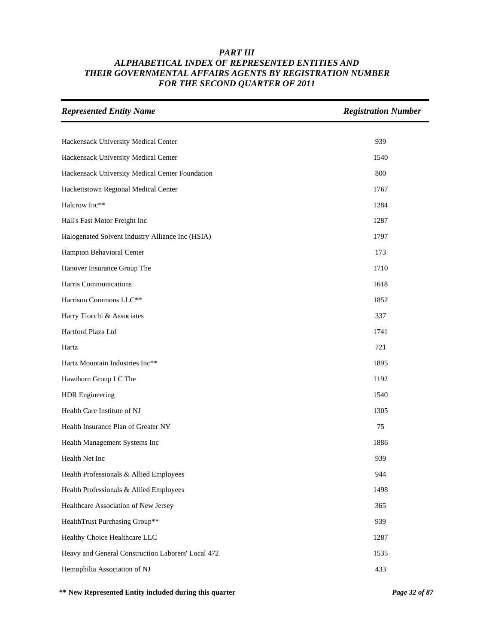| <b>Represented Entity Name</b>                     | <b>Registration Number</b> |
|----------------------------------------------------|----------------------------|
|                                                    |                            |
| Hackensack University Medical Center               | 939                        |
| Hackensack University Medical Center               | 1540                       |
| Hackensack University Medical Center Foundation    | 800                        |
| Hackettstown Regional Medical Center               | 1767                       |
| Halcrow Inc**                                      | 1284                       |
| Hall's Fast Motor Freight Inc                      | 1287                       |
| Halogenated Solvent Industry Alliance Inc (HSIA)   | 1797                       |
| Hampton Behavioral Center                          | 173                        |
| Hanover Insurance Group The                        | 1710                       |
| Harris Communications                              | 1618                       |
| Harrison Commons LLC**                             | 1852                       |
| Harry Tiocchi & Associates                         | 337                        |
| Hartford Plaza Ltd                                 | 1741                       |
| Hartz                                              | 721                        |
| Hartz Mountain Industries Inc**                    | 1895                       |
| Hawthorn Group LC The                              | 1192                       |
| <b>HDR</b> Engineering                             | 1540                       |
| Health Care Institute of NJ                        | 1305                       |
| Health Insurance Plan of Greater NY                | 75                         |
| Health Management Systems Inc                      | 1886                       |
| Health Net Inc                                     | 939                        |
| Health Professionals & Allied Employees            | 944                        |
| Health Professionals & Allied Employees            | 1498                       |
| Healthcare Association of New Jersey               | 365                        |
| HealthTrust Purchasing Group**                     | 939                        |
| Healthy Choice Healthcare LLC                      | 1287                       |
| Heavy and General Construction Laborers' Local 472 | 1535                       |
| Hemophilia Association of NJ                       | 433                        |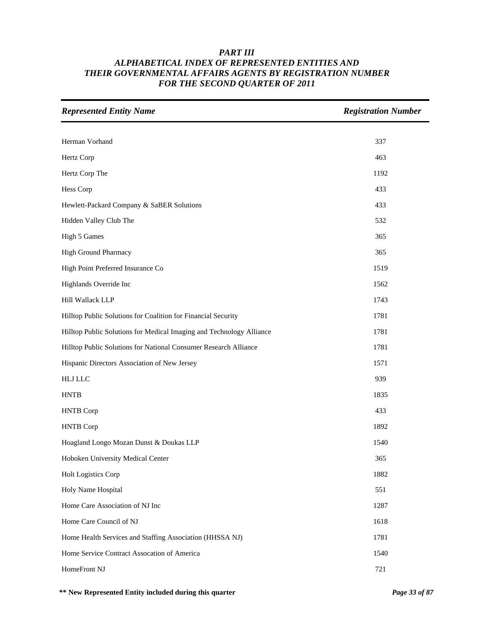| <b>Represented Entity Name</b>                                       | <b>Registration Number</b> |
|----------------------------------------------------------------------|----------------------------|
|                                                                      |                            |
| Herman Vorhand                                                       | 337                        |
| Hertz Corp                                                           | 463                        |
| Hertz Corp The                                                       | 1192                       |
| Hess Corp                                                            | 433                        |
| Hewlett-Packard Company & SaBER Solutions                            | 433                        |
| Hidden Valley Club The                                               | 532                        |
| <b>High 5 Games</b>                                                  | 365                        |
| High Ground Pharmacy                                                 | 365                        |
| High Point Preferred Insurance Co                                    | 1519                       |
| Highlands Override Inc                                               | 1562                       |
| Hill Wallack LLP                                                     | 1743                       |
| Hilltop Public Solutions for Coalition for Financial Security        | 1781                       |
| Hilltop Public Solutions for Medical Imaging and Technology Alliance | 1781                       |
| Hilltop Public Solutions for National Consumer Research Alliance     | 1781                       |
| Hispanic Directors Association of New Jersey                         | 1571                       |
| <b>HLJ LLC</b>                                                       | 939                        |
| <b>HNTB</b>                                                          | 1835                       |
| <b>HNTB</b> Corp                                                     | 433                        |
| <b>HNTB</b> Corp                                                     | 1892                       |
| Hoagland Longo Mozan Dunst & Doukas LLP                              | 1540                       |
| Hoboken University Medical Center                                    | 365                        |
| Holt Logistics Corp                                                  | 1882                       |
| Holy Name Hospital                                                   | 551                        |
| Home Care Association of NJ Inc                                      | 1287                       |
| Home Care Council of NJ                                              | 1618                       |
| Home Health Services and Staffing Association (HHSSA NJ)             | 1781                       |
| Home Service Contract Assocation of America                          | 1540                       |
| HomeFront NJ                                                         | 721                        |

**\*\* New Represented Entity included during this quarter** *Page 33 of 87*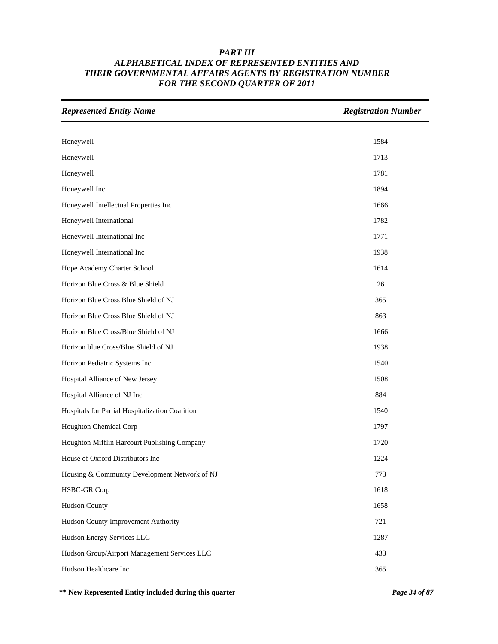| <b>Represented Entity Name</b>                  | <b>Registration Number</b> |
|-------------------------------------------------|----------------------------|
|                                                 |                            |
| Honeywell                                       | 1584                       |
| Honeywell                                       | 1713                       |
| Honeywell                                       | 1781                       |
| Honeywell Inc                                   | 1894                       |
| Honeywell Intellectual Properties Inc           | 1666                       |
| Honeywell International                         | 1782                       |
| Honeywell International Inc                     | 1771                       |
| Honeywell International Inc                     | 1938                       |
| Hope Academy Charter School                     | 1614                       |
| Horizon Blue Cross & Blue Shield                | 26                         |
| Horizon Blue Cross Blue Shield of NJ            | 365                        |
| Horizon Blue Cross Blue Shield of NJ            | 863                        |
| Horizon Blue Cross/Blue Shield of NJ            | 1666                       |
| Horizon blue Cross/Blue Shield of NJ            | 1938                       |
| Horizon Pediatric Systems Inc                   | 1540                       |
| Hospital Alliance of New Jersey                 | 1508                       |
| Hospital Alliance of NJ Inc                     | 884                        |
| Hospitals for Partial Hospitalization Coalition | 1540                       |
| Houghton Chemical Corp                          | 1797                       |
| Houghton Mifflin Harcourt Publishing Company    | 1720                       |
| House of Oxford Distributors Inc                | 1224                       |
| Housing & Community Development Network of NJ   | 773                        |
| <b>HSBC-GR Corp</b>                             | 1618                       |
| <b>Hudson County</b>                            | 1658                       |
| Hudson County Improvement Authority             | 721                        |
| Hudson Energy Services LLC                      | 1287                       |
| Hudson Group/Airport Management Services LLC    | 433                        |
| Hudson Healthcare Inc                           | 365                        |

**\*\* New Represented Entity included during this quarter** *Page 34 of 87*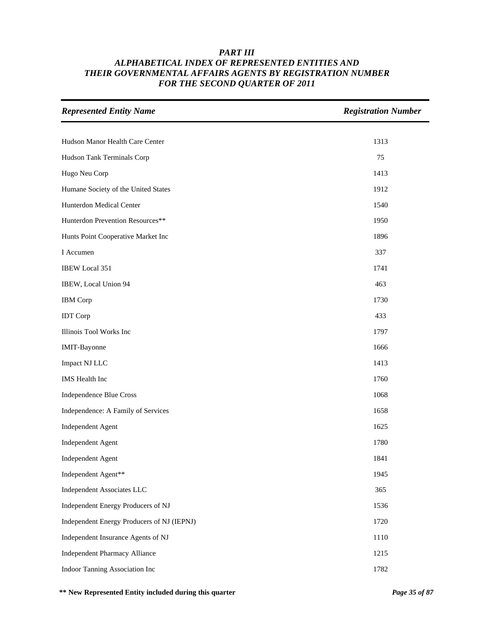| <b>Represented Entity Name</b>             | <b>Registration Number</b> |
|--------------------------------------------|----------------------------|
|                                            |                            |
| Hudson Manor Health Care Center            | 1313                       |
| Hudson Tank Terminals Corp                 | 75                         |
| Hugo Neu Corp                              | 1413                       |
| Humane Society of the United States        | 1912                       |
| Hunterdon Medical Center                   | 1540                       |
| Hunterdon Prevention Resources**           | 1950                       |
| Hunts Point Cooperative Market Inc         | 1896                       |
| I Accumen                                  | 337                        |
| <b>IBEW Local 351</b>                      | 1741                       |
| IBEW, Local Union 94                       | 463                        |
| <b>IBM</b> Corp                            | 1730                       |
| <b>IDT</b> Corp                            | 433                        |
| Illinois Tool Works Inc                    | 1797                       |
| IMIT-Bayonne                               | 1666                       |
| Impact NJ LLC                              | 1413                       |
| IMS Health Inc                             | 1760                       |
| Independence Blue Cross                    | 1068                       |
| Independence: A Family of Services         | 1658                       |
| Independent Agent                          | 1625                       |
| Independent Agent                          | 1780                       |
| Independent Agent                          | 1841                       |
| Independent Agent**                        | 1945                       |
| Independent Associates LLC                 | 365                        |
| Independent Energy Producers of NJ         | 1536                       |
| Independent Energy Producers of NJ (IEPNJ) | 1720                       |
| Independent Insurance Agents of NJ         | 1110                       |
| <b>Independent Pharmacy Alliance</b>       | 1215                       |
| Indoor Tanning Association Inc             | 1782                       |

**\*\* New Represented Entity included during this quarter** *Page 35 of 87*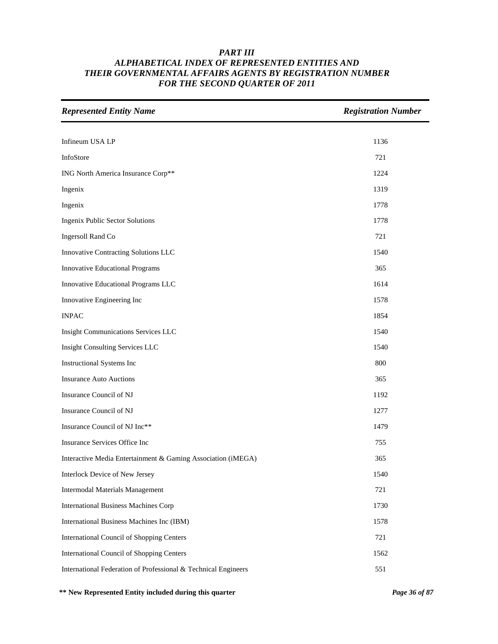| <b>Represented Entity Name</b>                                 | <b>Registration Number</b> |
|----------------------------------------------------------------|----------------------------|
|                                                                |                            |
| Infineum USA LP                                                | 1136                       |
| InfoStore                                                      | 721                        |
| ING North America Insurance Corp**                             | 1224                       |
| Ingenix                                                        | 1319                       |
| Ingenix                                                        | 1778                       |
| <b>Ingenix Public Sector Solutions</b>                         | 1778                       |
| Ingersoll Rand Co                                              | 721                        |
| Innovative Contracting Solutions LLC                           | 1540                       |
| <b>Innovative Educational Programs</b>                         | 365                        |
| Innovative Educational Programs LLC                            | 1614                       |
| Innovative Engineering Inc                                     | 1578                       |
| <b>INPAC</b>                                                   | 1854                       |
| <b>Insight Communications Services LLC</b>                     | 1540                       |
| <b>Insight Consulting Services LLC</b>                         | 1540                       |
| Instructional Systems Inc                                      | 800                        |
| <b>Insurance Auto Auctions</b>                                 | 365                        |
| Insurance Council of NJ                                        | 1192                       |
| Insurance Council of NJ                                        | 1277                       |
| Insurance Council of NJ Inc**                                  | 1479                       |
| Insurance Services Office Inc                                  | 755                        |
| Interactive Media Entertainment & Gaming Association (iMEGA)   | 365                        |
| <b>Interlock Device of New Jersey</b>                          | 1540                       |
| <b>Intermodal Materials Management</b>                         | 721                        |
| <b>International Business Machines Corp</b>                    | 1730                       |
| International Business Machines Inc (IBM)                      | 1578                       |
| <b>International Council of Shopping Centers</b>               | 721                        |
| <b>International Council of Shopping Centers</b>               | 1562                       |
| International Federation of Professional & Technical Engineers | 551                        |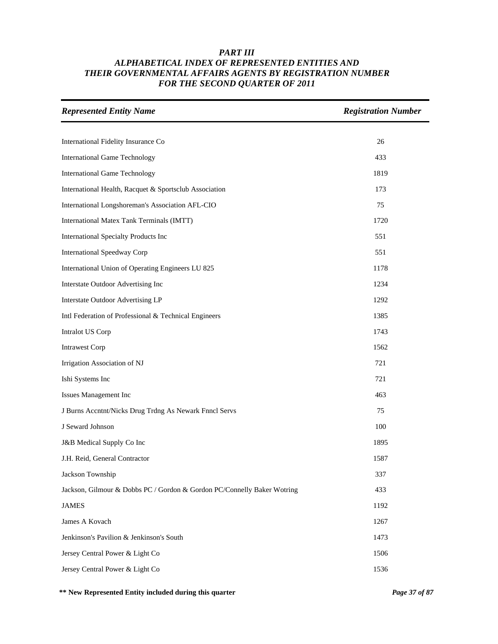| <b>Represented Entity Name</b>                                          | <b>Registration Number</b> |
|-------------------------------------------------------------------------|----------------------------|
|                                                                         |                            |
| International Fidelity Insurance Co                                     | 26                         |
| <b>International Game Technology</b>                                    | 433                        |
| <b>International Game Technology</b>                                    | 1819                       |
| International Health, Racquet & Sportsclub Association                  | 173                        |
| International Longshoreman's Association AFL-CIO                        | 75                         |
| International Matex Tank Terminals (IMTT)                               | 1720                       |
| <b>International Specialty Products Inc</b>                             | 551                        |
| <b>International Speedway Corp</b>                                      | 551                        |
| International Union of Operating Engineers LU 825                       | 1178                       |
| Interstate Outdoor Advertising Inc                                      | 1234                       |
| <b>Interstate Outdoor Advertising LP</b>                                | 1292                       |
| Intl Federation of Professional & Technical Engineers                   | 1385                       |
| Intralot US Corp                                                        | 1743                       |
| <b>Intrawest Corp</b>                                                   | 1562                       |
| Irrigation Association of NJ                                            | 721                        |
| Ishi Systems Inc                                                        | 721                        |
| Issues Management Inc                                                   | 463                        |
| J Burns Accntnt/Nicks Drug Trdng As Newark Fnncl Servs                  | 75                         |
| J Seward Johnson                                                        | 100                        |
| J&B Medical Supply Co Inc                                               | 1895                       |
| J.H. Reid, General Contractor                                           | 1587                       |
| Jackson Township                                                        | 337                        |
| Jackson, Gilmour & Dobbs PC / Gordon & Gordon PC/Connelly Baker Wotring | 433                        |
| <b>JAMES</b>                                                            | 1192                       |
| James A Kovach                                                          | 1267                       |
| Jenkinson's Pavilion & Jenkinson's South                                | 1473                       |
| Jersey Central Power & Light Co                                         | 1506                       |
| Jersey Central Power & Light Co                                         | 1536                       |

**\*\* New Represented Entity included during this quarter** *Page 37 of 87*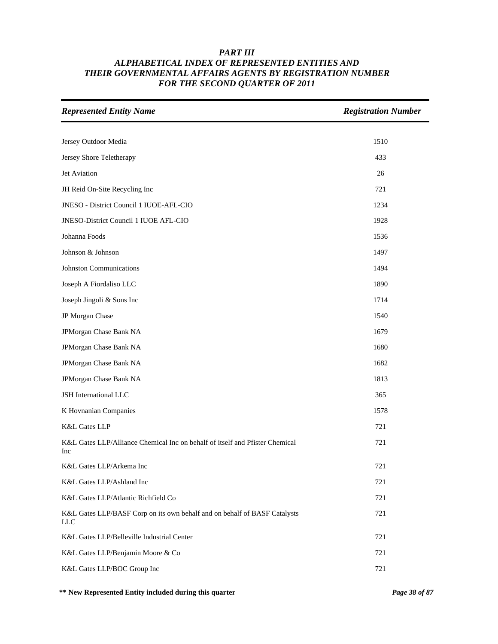| <b>Represented Entity Name</b>                                                          | <b>Registration Number</b> |
|-----------------------------------------------------------------------------------------|----------------------------|
|                                                                                         |                            |
| Jersey Outdoor Media                                                                    | 1510                       |
| Jersey Shore Teletherapy                                                                | 433                        |
| Jet Aviation                                                                            | 26                         |
| JH Reid On-Site Recycling Inc                                                           | 721                        |
| JNESO - District Council 1 IUOE-AFL-CIO                                                 | 1234                       |
| JNESO-District Council 1 IUOE AFL-CIO                                                   | 1928                       |
| Johanna Foods                                                                           | 1536                       |
| Johnson & Johnson                                                                       | 1497                       |
| <b>Johnston Communications</b>                                                          | 1494                       |
| Joseph A Fiordaliso LLC                                                                 | 1890                       |
| Joseph Jingoli & Sons Inc                                                               | 1714                       |
| JP Morgan Chase                                                                         | 1540                       |
| JPMorgan Chase Bank NA                                                                  | 1679                       |
| JPMorgan Chase Bank NA                                                                  | 1680                       |
| JPMorgan Chase Bank NA                                                                  | 1682                       |
| JPMorgan Chase Bank NA                                                                  | 1813                       |
| JSH International LLC                                                                   | 365                        |
| K Hovnanian Companies                                                                   | 1578                       |
| <b>K&amp;L Gates LLP</b>                                                                | 721                        |
| K&L Gates LLP/Alliance Chemical Inc on behalf of itself and Pfister Chemical<br>Inc     | 721                        |
| K&L Gates LLP/Arkema Inc                                                                | 721                        |
| K&L Gates LLP/Ashland Inc                                                               | 721                        |
| K&L Gates LLP/Atlantic Richfield Co                                                     | 721                        |
| K&L Gates LLP/BASF Corp on its own behalf and on behalf of BASF Catalysts<br><b>LLC</b> | 721                        |
| K&L Gates LLP/Belleville Industrial Center                                              | 721                        |
| K&L Gates LLP/Benjamin Moore & Co                                                       | 721                        |
| K&L Gates LLP/BOC Group Inc                                                             | 721                        |

**\*\* New Represented Entity included during this quarter** *Page 38 of 87*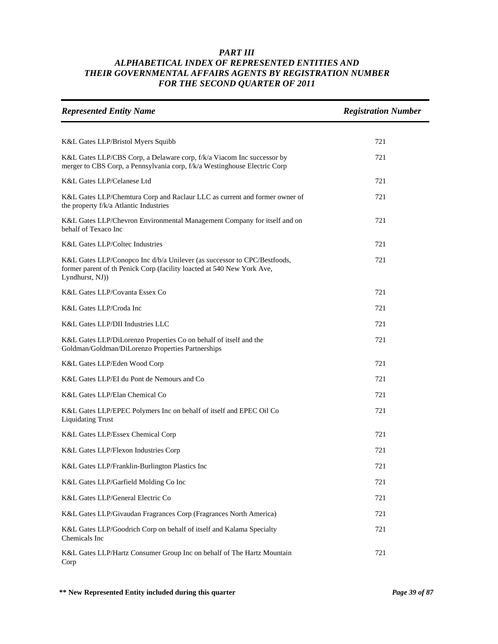| <b>Represented Entity Name</b>                                                                                                                                        | <b>Registration Number</b> |
|-----------------------------------------------------------------------------------------------------------------------------------------------------------------------|----------------------------|
|                                                                                                                                                                       |                            |
| K&L Gates LLP/Bristol Myers Squibb                                                                                                                                    | 721                        |
| K&L Gates LLP/CBS Corp, a Delaware corp, f/k/a Viacom Inc successor by<br>merger to CBS Corp, a Pennsylvania corp, f/k/a Westinghouse Electric Corp                   | 721                        |
| K&L Gates LLP/Celanese Ltd                                                                                                                                            | 721                        |
| K&L Gates LLP/Chemtura Corp and Raclaur LLC as current and former owner of<br>the property f/k/a Atlantic Industries                                                  | 721                        |
| K&L Gates LLP/Chevron Environmental Management Company for itself and on<br>behalf of Texaco Inc                                                                      | 721                        |
| <b>K&amp;L Gates LLP/Coltec Industries</b>                                                                                                                            | 721                        |
| K&L Gates LLP/Conopco Inc d/b/a Unilever (as successor to CPC/Bestfoods,<br>former parent of th Penick Corp (facility loacted at 540 New York Ave,<br>Lyndhurst, NJ)) | 721                        |
| K&L Gates LLP/Covanta Essex Co                                                                                                                                        | 721                        |
| K&L Gates LLP/Croda Inc                                                                                                                                               | 721                        |
| K&L Gates LLP/DII Industries LLC                                                                                                                                      | 721                        |
| K&L Gates LLP/DiLorenzo Properties Co on behalf of itself and the<br>Goldman/Goldman/DiLorenzo Properties Partnerships                                                | 721                        |
| K&L Gates LLP/Eden Wood Corp                                                                                                                                          | 721                        |
| K&L Gates LLP/EI du Pont de Nemours and Co                                                                                                                            | 721                        |
| K&L Gates LLP/Elan Chemical Co                                                                                                                                        | 721                        |
| K&L Gates LLP/EPEC Polymers Inc on behalf of itself and EPEC Oil Co<br><b>Liquidating Trust</b>                                                                       | 721                        |
| K&L Gates LLP/Essex Chemical Corp                                                                                                                                     | 721                        |
| K&L Gates LLP/Flexon Industries Corp                                                                                                                                  | 721                        |
| K&L Gates LLP/Franklin-Burlington Plastics Inc                                                                                                                        | 721                        |
| K&L Gates LLP/Garfield Molding Co Inc                                                                                                                                 | 721                        |
| K&L Gates LLP/General Electric Co                                                                                                                                     | 721                        |
| K&L Gates LLP/Givaudan Fragrances Corp (Fragrances North America)                                                                                                     | 721                        |
| K&L Gates LLP/Goodrich Corp on behalf of itself and Kalama Specialty<br>Chemicals Inc                                                                                 | 721                        |
| K&L Gates LLP/Hartz Consumer Group Inc on behalf of The Hartz Mountain<br>Corp                                                                                        | 721                        |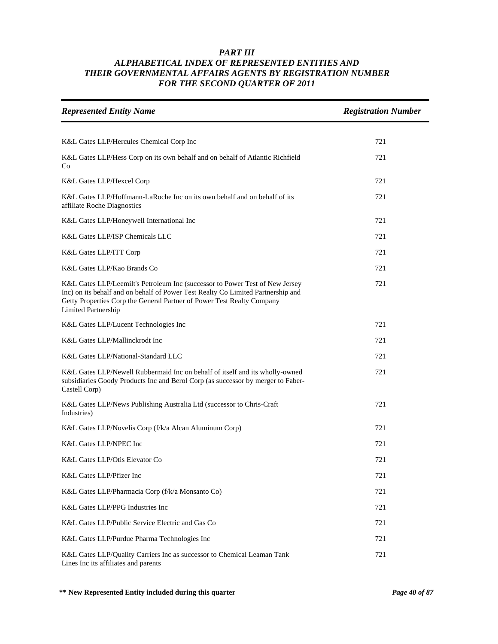| <b>Represented Entity Name</b>                                                                                                                                                                                                                                           | <b>Registration Number</b> |
|--------------------------------------------------------------------------------------------------------------------------------------------------------------------------------------------------------------------------------------------------------------------------|----------------------------|
|                                                                                                                                                                                                                                                                          |                            |
| K&L Gates LLP/Hercules Chemical Corp Inc                                                                                                                                                                                                                                 | 721                        |
| K&L Gates LLP/Hess Corp on its own behalf and on behalf of Atlantic Richfield<br>Co                                                                                                                                                                                      | 721                        |
| K&L Gates LLP/Hexcel Corp                                                                                                                                                                                                                                                | 721                        |
| K&L Gates LLP/Hoffmann-LaRoche Inc on its own behalf and on behalf of its<br>affiliate Roche Diagnostics                                                                                                                                                                 | 721                        |
| K&L Gates LLP/Honeywell International Inc                                                                                                                                                                                                                                | 721                        |
| K&L Gates LLP/ISP Chemicals LLC                                                                                                                                                                                                                                          | 721                        |
| K&L Gates LLP/ITT Corp                                                                                                                                                                                                                                                   | 721                        |
| K&L Gates LLP/Kao Brands Co                                                                                                                                                                                                                                              | 721                        |
| K&L Gates LLP/Leemilt's Petroleum Inc (successor to Power Test of New Jersey<br>Inc) on its behalf and on behalf of Power Test Realty Co Limited Partnership and<br>Getty Properties Corp the General Partner of Power Test Realty Company<br><b>Limited Partnership</b> | 721                        |
| K&L Gates LLP/Lucent Technologies Inc                                                                                                                                                                                                                                    | 721                        |
| K&L Gates LLP/Mallinckrodt Inc                                                                                                                                                                                                                                           | 721                        |
| K&L Gates LLP/National-Standard LLC                                                                                                                                                                                                                                      | 721                        |
| K&L Gates LLP/Newell Rubbermaid Inc on behalf of itself and its wholly-owned<br>subsidiaries Goody Products Inc and Berol Corp (as successor by merger to Faber-<br>Castell Corp)                                                                                        | 721                        |
| K&L Gates LLP/News Publishing Australia Ltd (successor to Chris-Craft<br>Industries)                                                                                                                                                                                     | 721                        |
| K&L Gates LLP/Novelis Corp (f/k/a Alcan Aluminum Corp)                                                                                                                                                                                                                   | 721                        |
| K&L Gates LLP/NPEC Inc                                                                                                                                                                                                                                                   | 721                        |
| K&L Gates LLP/Otis Elevator Co                                                                                                                                                                                                                                           | 721                        |
| K&L Gates LLP/Pfizer Inc                                                                                                                                                                                                                                                 | 721                        |
| K&L Gates LLP/Pharmacia Corp (f/k/a Monsanto Co)                                                                                                                                                                                                                         | 721                        |
| K&L Gates LLP/PPG Industries Inc                                                                                                                                                                                                                                         | 721                        |
| K&L Gates LLP/Public Service Electric and Gas Co                                                                                                                                                                                                                         | 721                        |
| K&L Gates LLP/Purdue Pharma Technologies Inc                                                                                                                                                                                                                             | 721                        |
| K&L Gates LLP/Quality Carriers Inc as successor to Chemical Leaman Tank<br>Lines Inc its affiliates and parents                                                                                                                                                          | 721                        |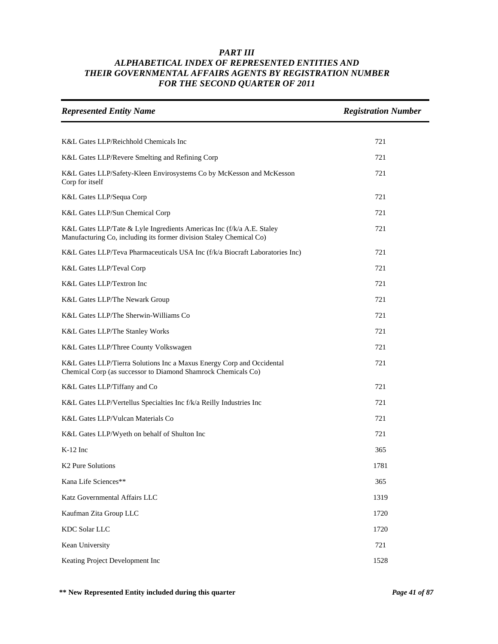| <b>Represented Entity Name</b>                                                                                                               | <b>Registration Number</b> |
|----------------------------------------------------------------------------------------------------------------------------------------------|----------------------------|
|                                                                                                                                              |                            |
| K&L Gates LLP/Reichhold Chemicals Inc                                                                                                        | 721                        |
| K&L Gates LLP/Revere Smelting and Refining Corp                                                                                              | 721                        |
| K&L Gates LLP/Safety-Kleen Envirosystems Co by McKesson and McKesson<br>Corp for itself                                                      | 721                        |
| K&L Gates LLP/Sequa Corp                                                                                                                     | 721                        |
| K&L Gates LLP/Sun Chemical Corp                                                                                                              | 721                        |
| K&L Gates LLP/Tate & Lyle Ingredients Americas Inc (f/k/a A.E. Staley<br>Manufacturing Co, including its former division Staley Chemical Co) | 721                        |
| K&L Gates LLP/Teva Pharmaceuticals USA Inc (f/k/a Biocraft Laboratories Inc)                                                                 | 721                        |
| K&L Gates LLP/Teval Corp                                                                                                                     | 721                        |
| K&L Gates LLP/Textron Inc                                                                                                                    | 721                        |
| K&L Gates LLP/The Newark Group                                                                                                               | 721                        |
| K&L Gates LLP/The Sherwin-Williams Co                                                                                                        | 721                        |
| K&L Gates LLP/The Stanley Works                                                                                                              | 721                        |
| K&L Gates LLP/Three County Volkswagen                                                                                                        | 721                        |
| K&L Gates LLP/Tierra Solutions Inc a Maxus Energy Corp and Occidental<br>Chemical Corp (as successor to Diamond Shamrock Chemicals Co)       | 721                        |
| K&L Gates LLP/Tiffany and Co                                                                                                                 | 721                        |
| K&L Gates LLP/Vertellus Specialties Inc f/k/a Reilly Industries Inc                                                                          | 721                        |
| K&L Gates LLP/Vulcan Materials Co                                                                                                            | 721                        |
| K&L Gates LLP/Wyeth on behalf of Shulton Inc                                                                                                 | 721                        |
| $K-12$ Inc                                                                                                                                   | 365                        |
| K <sub>2</sub> Pure Solutions                                                                                                                | 1781                       |
| Kana Life Sciences**                                                                                                                         | 365                        |
| Katz Governmental Affairs LLC                                                                                                                | 1319                       |
| Kaufman Zita Group LLC                                                                                                                       | 1720                       |
| <b>KDC Solar LLC</b>                                                                                                                         | 1720                       |
| Kean University                                                                                                                              | 721                        |
| Keating Project Development Inc                                                                                                              | 1528                       |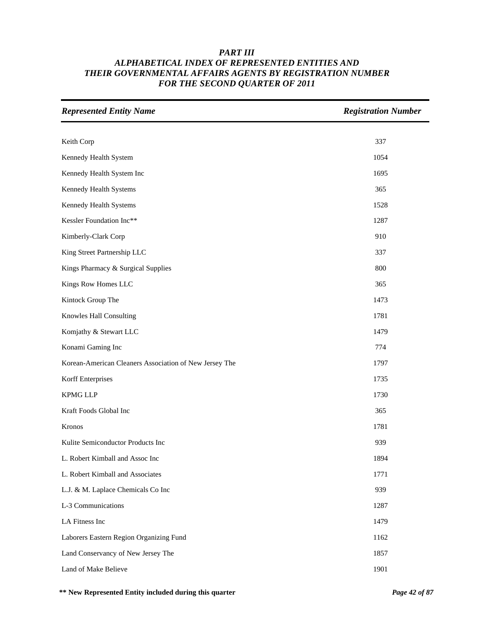| <b>Represented Entity Name</b>                         | <b>Registration Number</b> |
|--------------------------------------------------------|----------------------------|
|                                                        |                            |
| Keith Corp                                             | 337                        |
| Kennedy Health System                                  | 1054                       |
| Kennedy Health System Inc                              | 1695                       |
| Kennedy Health Systems                                 | 365                        |
| Kennedy Health Systems                                 | 1528                       |
| Kessler Foundation Inc**                               | 1287                       |
| Kimberly-Clark Corp                                    | 910                        |
| King Street Partnership LLC                            | 337                        |
| Kings Pharmacy & Surgical Supplies                     | 800                        |
| Kings Row Homes LLC                                    | 365                        |
| Kintock Group The                                      | 1473                       |
| Knowles Hall Consulting                                | 1781                       |
| Komjathy & Stewart LLC                                 | 1479                       |
| Konami Gaming Inc                                      | 774                        |
| Korean-American Cleaners Association of New Jersey The | 1797                       |
| Korff Enterprises                                      | 1735                       |
| <b>KPMG LLP</b>                                        | 1730                       |
| Kraft Foods Global Inc                                 | 365                        |
| Kronos                                                 | 1781                       |
| Kulite Semiconductor Products Inc                      | 939                        |
| L. Robert Kimball and Assoc Inc                        | 1894                       |
| L. Robert Kimball and Associates                       | 1771                       |
| L.J. & M. Laplace Chemicals Co Inc                     | 939                        |
| L-3 Communications                                     | 1287                       |
| LA Fitness Inc                                         | 1479                       |
| Laborers Eastern Region Organizing Fund                | 1162                       |
| Land Conservancy of New Jersey The                     | 1857                       |
| Land of Make Believe                                   | 1901                       |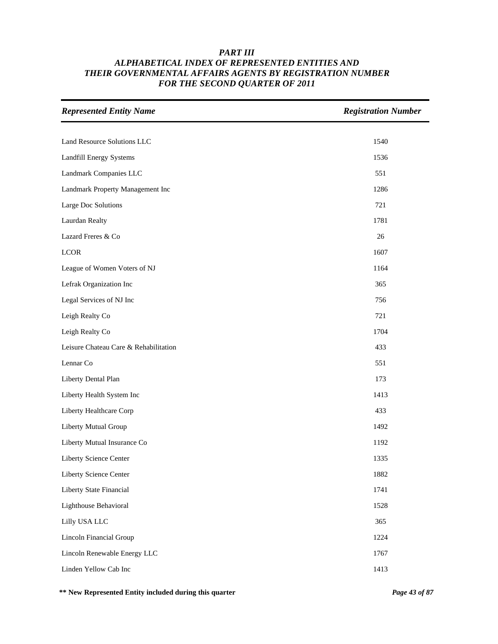| <b>Represented Entity Name</b>        | <b>Registration Number</b> |
|---------------------------------------|----------------------------|
|                                       |                            |
| Land Resource Solutions LLC           | 1540                       |
| Landfill Energy Systems               | 1536                       |
| Landmark Companies LLC                | 551                        |
| Landmark Property Management Inc      | 1286                       |
| Large Doc Solutions                   | 721                        |
| Laurdan Realty                        | 1781                       |
| Lazard Freres & Co                    | 26                         |
| <b>LCOR</b>                           | 1607                       |
| League of Women Voters of NJ          | 1164                       |
| Lefrak Organization Inc               | 365                        |
| Legal Services of NJ Inc              | 756                        |
| Leigh Realty Co                       | 721                        |
| Leigh Realty Co                       | 1704                       |
| Leisure Chateau Care & Rehabilitation | 433                        |
| Lennar Co                             | 551                        |
| Liberty Dental Plan                   | 173                        |
| Liberty Health System Inc             | 1413                       |
| Liberty Healthcare Corp               | 433                        |
| Liberty Mutual Group                  | 1492                       |
| Liberty Mutual Insurance Co           | 1192                       |
| Liberty Science Center                | 1335                       |
| Liberty Science Center                | 1882                       |
| Liberty State Financial               | 1741                       |
| Lighthouse Behavioral                 | 1528                       |
| Lilly USA LLC                         | 365                        |
| Lincoln Financial Group               | 1224                       |
| Lincoln Renewable Energy LLC          | 1767                       |
| Linden Yellow Cab Inc                 | 1413                       |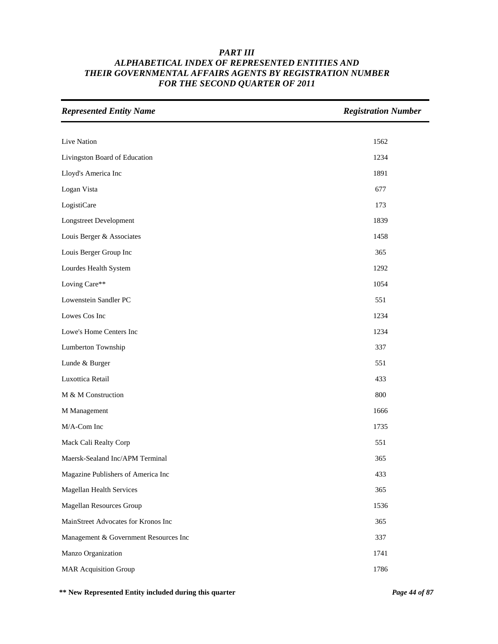| <b>Represented Entity Name</b>        | <b>Registration Number</b> |
|---------------------------------------|----------------------------|
|                                       |                            |
| Live Nation                           | 1562                       |
| Livingston Board of Education         | 1234                       |
| Lloyd's America Inc                   | 1891                       |
| Logan Vista                           | 677                        |
| LogistiCare                           | 173                        |
| <b>Longstreet Development</b>         | 1839                       |
| Louis Berger & Associates             | 1458                       |
| Louis Berger Group Inc                | 365                        |
| Lourdes Health System                 | 1292                       |
| Loving Care**                         | 1054                       |
| Lowenstein Sandler PC                 | 551                        |
| Lowes Cos Inc                         | 1234                       |
| Lowe's Home Centers Inc               | 1234                       |
| Lumberton Township                    | 337                        |
| Lunde & Burger                        | 551                        |
| Luxottica Retail                      | 433                        |
| M & M Construction                    | 800                        |
| M Management                          | 1666                       |
| M/A-Com Inc                           | 1735                       |
| Mack Cali Realty Corp                 | 551                        |
| Maersk-Sealand Inc/APM Terminal       | 365                        |
| Magazine Publishers of America Inc    | 433                        |
| <b>Magellan Health Services</b>       | 365                        |
| Magellan Resources Group              | 1536                       |
| MainStreet Advocates for Kronos Inc   | 365                        |
| Management & Government Resources Inc | 337                        |
| Manzo Organization                    | 1741                       |
| <b>MAR Acquisition Group</b>          | 1786                       |

**\*\* New Represented Entity included during this quarter** *Page 44 of 87*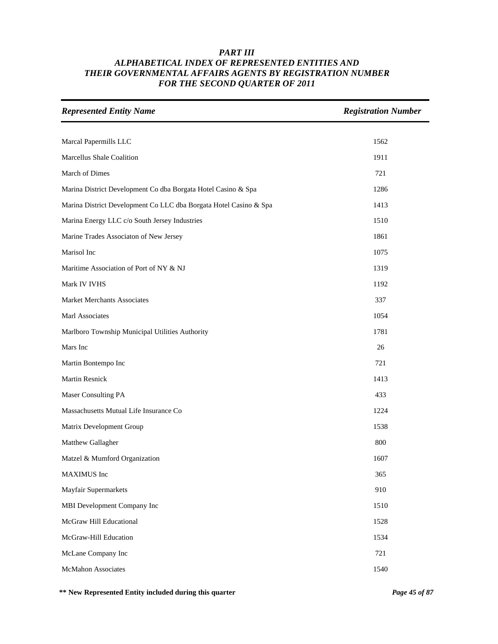| <b>Represented Entity Name</b>                                    | <b>Registration Number</b> |
|-------------------------------------------------------------------|----------------------------|
|                                                                   |                            |
| Marcal Papermills LLC                                             | 1562                       |
| Marcellus Shale Coalition                                         | 1911                       |
| March of Dimes                                                    | 721                        |
| Marina District Development Co dba Borgata Hotel Casino & Spa     | 1286                       |
| Marina District Development Co LLC dba Borgata Hotel Casino & Spa | 1413                       |
| Marina Energy LLC c/o South Jersey Industries                     | 1510                       |
| Marine Trades Associaton of New Jersey                            | 1861                       |
| Marisol Inc                                                       | 1075                       |
| Maritime Association of Port of NY & NJ                           | 1319                       |
| Mark IV IVHS                                                      | 1192                       |
| <b>Market Merchants Associates</b>                                | 337                        |
| Marl Associates                                                   | 1054                       |
| Marlboro Township Municipal Utilities Authority                   | 1781                       |
| Mars Inc                                                          | 26                         |
| Martin Bontempo Inc                                               | 721                        |
| Martin Resnick                                                    | 1413                       |
| Maser Consulting PA                                               | 433                        |
| Massachusetts Mutual Life Insurance Co                            | 1224                       |
| Matrix Development Group                                          | 1538                       |
| Matthew Gallagher                                                 | 800                        |
| Matzel & Mumford Organization                                     | 1607                       |
| MAXIMUS Inc                                                       | 365                        |
| Mayfair Supermarkets                                              | 910                        |
| MBI Development Company Inc                                       | 1510                       |
| McGraw Hill Educational                                           | 1528                       |
| McGraw-Hill Education                                             | 1534                       |
| McLane Company Inc                                                | 721                        |
| McMahon Associates                                                | 1540                       |

**\*\* New Represented Entity included during this quarter** *Page 45 of 87*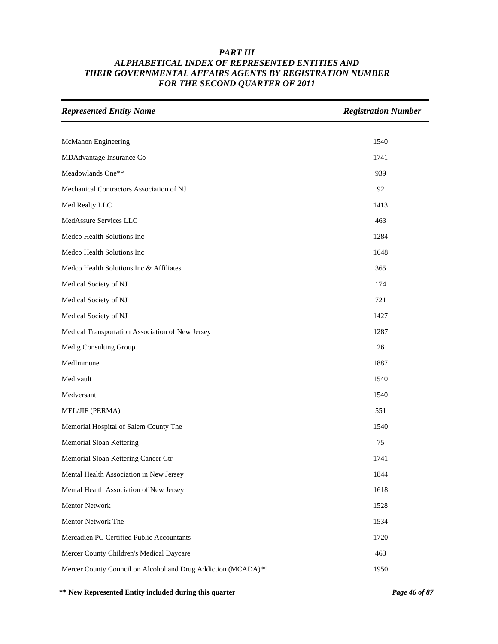| <b>Represented Entity Name</b>                                | <b>Registration Number</b> |
|---------------------------------------------------------------|----------------------------|
|                                                               |                            |
| McMahon Engineering                                           | 1540                       |
| MDAdvantage Insurance Co                                      | 1741                       |
| Meadowlands One**                                             | 939                        |
| Mechanical Contractors Association of NJ                      | 92                         |
| Med Realty LLC                                                | 1413                       |
| MedAssure Services LLC                                        | 463                        |
| Medco Health Solutions Inc                                    | 1284                       |
| Medco Health Solutions Inc                                    | 1648                       |
| Medco Health Solutions Inc & Affiliates                       | 365                        |
| Medical Society of NJ                                         | 174                        |
| Medical Society of NJ                                         | 721                        |
| Medical Society of NJ                                         | 1427                       |
| Medical Transportation Association of New Jersey              | 1287                       |
| Medig Consulting Group                                        | 26                         |
| MedImmune                                                     | 1887                       |
| Medivault                                                     | 1540                       |
| Medversant                                                    | 1540                       |
| MEL/JIF (PERMA)                                               | 551                        |
| Memorial Hospital of Salem County The                         | 1540                       |
| Memorial Sloan Kettering                                      | 75                         |
| Memorial Sloan Kettering Cancer Ctr                           | 1741                       |
| Mental Health Association in New Jersey                       | 1844                       |
| Mental Health Association of New Jersey                       | 1618                       |
| Mentor Network                                                | 1528                       |
| Mentor Network The                                            | 1534                       |
| Mercadien PC Certified Public Accountants                     | 1720                       |
| Mercer County Children's Medical Daycare                      | 463                        |
| Mercer County Council on Alcohol and Drug Addiction (MCADA)** | 1950                       |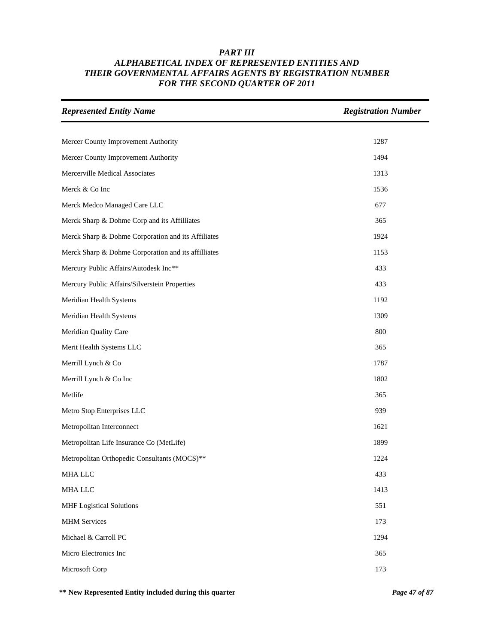| <b>Represented Entity Name</b>                      | <b>Registration Number</b> |
|-----------------------------------------------------|----------------------------|
|                                                     |                            |
| Mercer County Improvement Authority                 | 1287                       |
| Mercer County Improvement Authority                 | 1494                       |
| Mercerville Medical Associates                      | 1313                       |
| Merck & Co Inc                                      | 1536                       |
| Merck Medco Managed Care LLC                        | 677                        |
| Merck Sharp & Dohme Corp and its Affilliates        | 365                        |
| Merck Sharp & Dohme Corporation and its Affiliates  | 1924                       |
| Merck Sharp & Dohme Corporation and its affilliates | 1153                       |
| Mercury Public Affairs/Autodesk Inc**               | 433                        |
| Mercury Public Affairs/Silverstein Properties       | 433                        |
| Meridian Health Systems                             | 1192                       |
| Meridian Health Systems                             | 1309                       |
| Meridian Quality Care                               | 800                        |
| Merit Health Systems LLC                            | 365                        |
| Merrill Lynch & Co                                  | 1787                       |
| Merrill Lynch & Co Inc                              | 1802                       |
| Metlife                                             | 365                        |
| Metro Stop Enterprises LLC                          | 939                        |
| Metropolitan Interconnect                           | 1621                       |
| Metropolitan Life Insurance Co (MetLife)            | 1899                       |
| Metropolitan Orthopedic Consultants (MOCS)**        | 1224                       |
| MHA LLC                                             | 433                        |
| MHA LLC                                             | 1413                       |
| <b>MHF</b> Logistical Solutions                     | 551                        |
| <b>MHM</b> Services                                 | 173                        |
| Michael & Carroll PC                                | 1294                       |
| Micro Electronics Inc                               | 365                        |
| Microsoft Corp                                      | 173                        |

**\*\* New Represented Entity included during this quarter** *Page 47 of 87*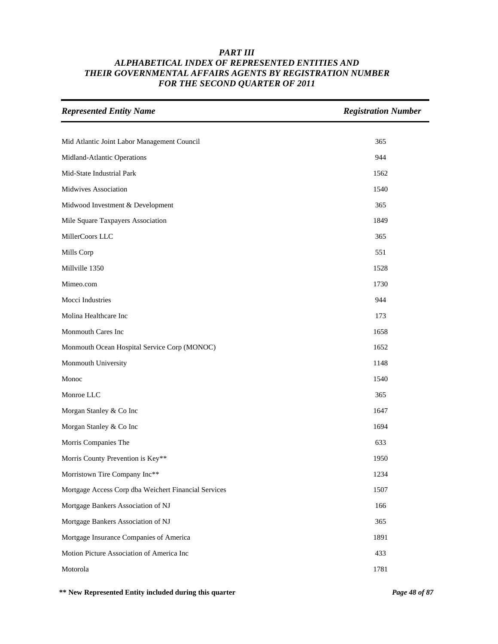| <b>Represented Entity Name</b>                       | <b>Registration Number</b> |
|------------------------------------------------------|----------------------------|
|                                                      |                            |
| Mid Atlantic Joint Labor Management Council          | 365                        |
| Midland-Atlantic Operations                          | 944                        |
| Mid-State Industrial Park                            | 1562                       |
| Midwives Association                                 | 1540                       |
| Midwood Investment & Development                     | 365                        |
| Mile Square Taxpayers Association                    | 1849                       |
| MillerCoors LLC                                      | 365                        |
| Mills Corp                                           | 551                        |
| Millville 1350                                       | 1528                       |
| Mimeo.com                                            | 1730                       |
| Mocci Industries                                     | 944                        |
| Molina Healthcare Inc                                | 173                        |
| Monmouth Cares Inc                                   | 1658                       |
| Monmouth Ocean Hospital Service Corp (MONOC)         | 1652                       |
| Monmouth University                                  | 1148                       |
| Monoc                                                | 1540                       |
| Monroe LLC                                           | 365                        |
| Morgan Stanley & Co Inc                              | 1647                       |
| Morgan Stanley & Co Inc                              | 1694                       |
| Morris Companies The                                 | 633                        |
| Morris County Prevention is Key**                    | 1950                       |
| Morristown Tire Company Inc**                        | 1234                       |
| Mortgage Access Corp dba Weichert Financial Services | 1507                       |
| Mortgage Bankers Association of NJ                   | 166                        |
| Mortgage Bankers Association of NJ                   | 365                        |
| Mortgage Insurance Companies of America              | 1891                       |
| Motion Picture Association of America Inc            | 433                        |
| Motorola                                             | 1781                       |

**\*\* New Represented Entity included during this quarter** *Page 48 of 87*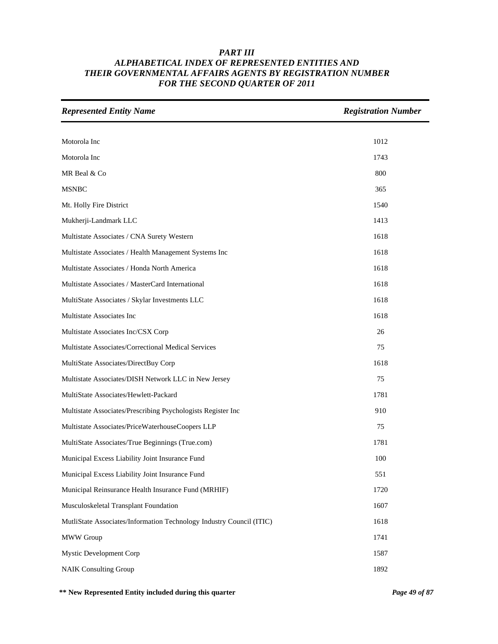| <b>Represented Entity Name</b>                                       | <b>Registration Number</b> |
|----------------------------------------------------------------------|----------------------------|
|                                                                      |                            |
| Motorola Inc                                                         | 1012                       |
| Motorola Inc                                                         | 1743                       |
| MR Beal & Co                                                         | 800                        |
| <b>MSNBC</b>                                                         | 365                        |
| Mt. Holly Fire District                                              | 1540                       |
| Mukherji-Landmark LLC                                                | 1413                       |
| Multistate Associates / CNA Surety Western                           | 1618                       |
| Multistate Associates / Health Management Systems Inc                | 1618                       |
| Multistate Associates / Honda North America                          | 1618                       |
| Multistate Associates / MasterCard International                     | 1618                       |
| MultiState Associates / Skylar Investments LLC                       | 1618                       |
| Multistate Associates Inc                                            | 1618                       |
| Multistate Associates Inc/CSX Corp                                   | 26                         |
| Multistate Associates/Correctional Medical Services                  | 75                         |
| MultiState Associates/DirectBuy Corp                                 | 1618                       |
| Multistate Associates/DISH Network LLC in New Jersey                 | 75                         |
| MultiState Associates/Hewlett-Packard                                | 1781                       |
| Multistate Associates/Prescribing Psychologists Register Inc         | 910                        |
| Multistate Associates/PriceWaterhouseCoopers LLP                     | 75                         |
| MultiState Associates/True Beginnings (True.com)                     | 1781                       |
| Municipal Excess Liability Joint Insurance Fund                      | 100                        |
| Municipal Excess Liability Joint Insurance Fund                      | 551                        |
| Municipal Reinsurance Health Insurance Fund (MRHIF)                  | 1720                       |
| Musculoskeletal Transplant Foundation                                | 1607                       |
| MutliState Associates/Information Technology Industry Council (ITIC) | 1618                       |
| <b>MWW</b> Group                                                     | 1741                       |
| <b>Mystic Development Corp</b>                                       | 1587                       |
| <b>NAIK Consulting Group</b>                                         | 1892                       |

**\*\* New Represented Entity included during this quarter** *Page 49 of 87*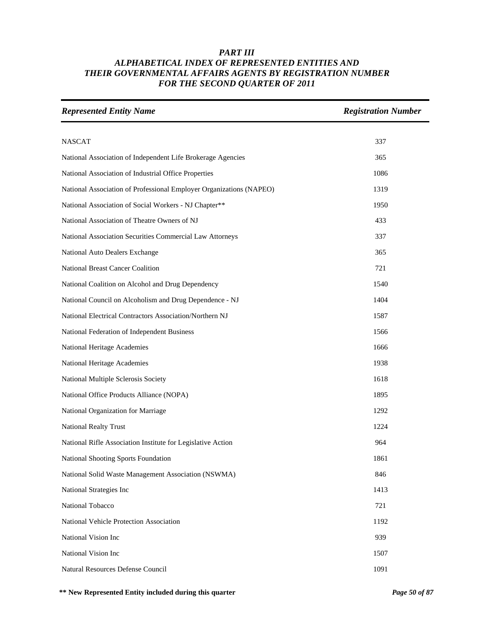| <b>Represented Entity Name</b>                                      | <b>Registration Number</b> |
|---------------------------------------------------------------------|----------------------------|
|                                                                     |                            |
| <b>NASCAT</b>                                                       | 337                        |
| National Association of Independent Life Brokerage Agencies         | 365                        |
| National Association of Industrial Office Properties                | 1086                       |
| National Association of Professional Employer Organizations (NAPEO) | 1319                       |
| National Association of Social Workers - NJ Chapter**               | 1950                       |
| National Association of Theatre Owners of NJ                        | 433                        |
| National Association Securities Commercial Law Attorneys            | 337                        |
| National Auto Dealers Exchange                                      | 365                        |
| <b>National Breast Cancer Coalition</b>                             | 721                        |
| National Coalition on Alcohol and Drug Dependency                   | 1540                       |
| National Council on Alcoholism and Drug Dependence - NJ             | 1404                       |
| National Electrical Contractors Association/Northern NJ             | 1587                       |
| National Federation of Independent Business                         | 1566                       |
| National Heritage Academies                                         | 1666                       |
| National Heritage Academies                                         | 1938                       |
| National Multiple Sclerosis Society                                 | 1618                       |
| National Office Products Alliance (NOPA)                            | 1895                       |
| National Organization for Marriage                                  | 1292                       |
| <b>National Realty Trust</b>                                        | 1224                       |
| National Rifle Association Institute for Legislative Action         | 964                        |
| National Shooting Sports Foundation                                 | 1861                       |
| National Solid Waste Management Association (NSWMA)                 | 846                        |
| National Strategies Inc                                             | 1413                       |
| National Tobacco                                                    | 721                        |
| National Vehicle Protection Association                             | 1192                       |
| National Vision Inc                                                 | 939                        |
| National Vision Inc                                                 | 1507                       |
| Natural Resources Defense Council                                   | 1091                       |

**\*\* New Represented Entity included during this quarter** *Page 50 of 87*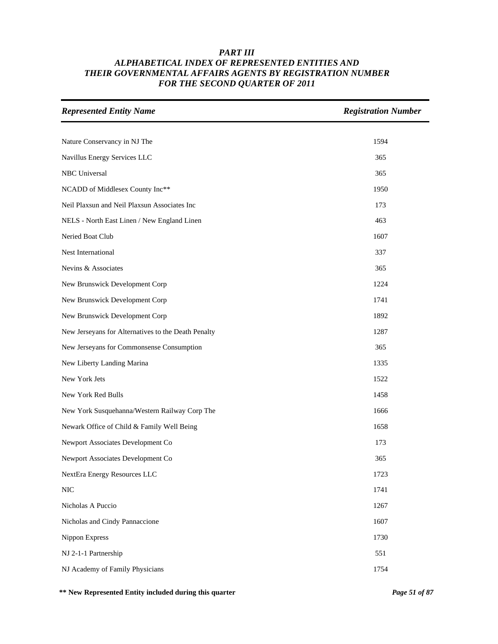| <b>Represented Entity Name</b>                      | <b>Registration Number</b> |
|-----------------------------------------------------|----------------------------|
|                                                     |                            |
| Nature Conservancy in NJ The                        | 1594                       |
| Navillus Energy Services LLC                        | 365                        |
| NBC Universal                                       | 365                        |
| NCADD of Middlesex County Inc**                     | 1950                       |
| Neil Plaxsun and Neil Plaxsun Associates Inc        | 173                        |
| NELS - North East Linen / New England Linen         | 463                        |
| Neried Boat Club                                    | 1607                       |
| Nest International                                  | 337                        |
| Nevins & Associates                                 | 365                        |
| New Brunswick Development Corp                      | 1224                       |
| New Brunswick Development Corp                      | 1741                       |
| New Brunswick Development Corp                      | 1892                       |
| New Jerseyans for Alternatives to the Death Penalty | 1287                       |
| New Jerseyans for Commonsense Consumption           | 365                        |
| New Liberty Landing Marina                          | 1335                       |
| New York Jets                                       | 1522                       |
| New York Red Bulls                                  | 1458                       |
| New York Susquehanna/Western Railway Corp The       | 1666                       |
| Newark Office of Child & Family Well Being          | 1658                       |
| Newport Associates Development Co                   | 173                        |
| Newport Associates Development Co                   | 365                        |
| NextEra Energy Resources LLC                        | 1723                       |
| $\rm NIC$                                           | 1741                       |
| Nicholas A Puccio                                   | 1267                       |
| Nicholas and Cindy Pannaccione                      | 1607                       |
| Nippon Express                                      | 1730                       |
| NJ 2-1-1 Partnership                                | 551                        |
| NJ Academy of Family Physicians                     | 1754                       |

**\*\* New Represented Entity included during this quarter** *Page 51 of 87*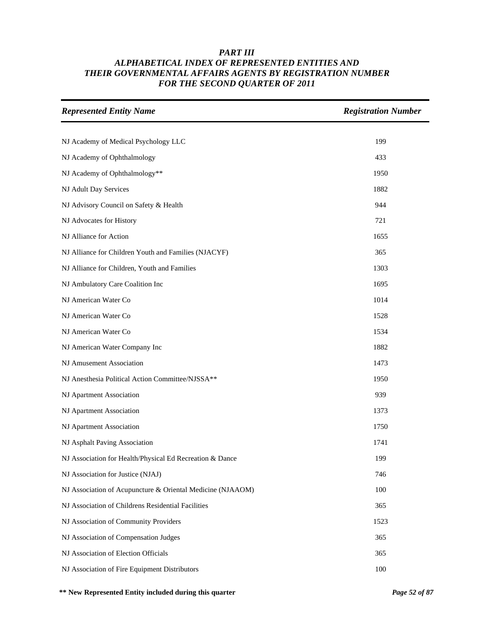| <b>Represented Entity Name</b>                             | <b>Registration Number</b> |
|------------------------------------------------------------|----------------------------|
|                                                            |                            |
| NJ Academy of Medical Psychology LLC                       | 199                        |
| NJ Academy of Ophthalmology                                | 433                        |
| NJ Academy of Ophthalmology**                              | 1950                       |
| NJ Adult Day Services                                      | 1882                       |
| NJ Advisory Council on Safety & Health                     | 944                        |
| NJ Advocates for History                                   | 721                        |
| NJ Alliance for Action                                     | 1655                       |
| NJ Alliance for Children Youth and Families (NJACYF)       | 365                        |
| NJ Alliance for Children, Youth and Families               | 1303                       |
| NJ Ambulatory Care Coalition Inc                           | 1695                       |
| NJ American Water Co                                       | 1014                       |
| NJ American Water Co                                       | 1528                       |
| NJ American Water Co                                       | 1534                       |
| NJ American Water Company Inc                              | 1882                       |
| NJ Amusement Association                                   | 1473                       |
| NJ Anesthesia Political Action Committee/NJSSA**           | 1950                       |
| NJ Apartment Association                                   | 939                        |
| NJ Apartment Association                                   | 1373                       |
| NJ Apartment Association                                   | 1750                       |
| NJ Asphalt Paving Association                              | 1741                       |
| NJ Association for Health/Physical Ed Recreation & Dance   | 199                        |
| NJ Association for Justice (NJAJ)                          | 746                        |
| NJ Association of Acupuncture & Oriental Medicine (NJAAOM) | 100                        |
| NJ Association of Childrens Residential Facilities         | 365                        |
| NJ Association of Community Providers                      | 1523                       |
| NJ Association of Compensation Judges                      | 365                        |
| NJ Association of Election Officials                       | 365                        |
| NJ Association of Fire Equipment Distributors              | 100                        |

**\*\* New Represented Entity included during this quarter** *Page 52 of 87*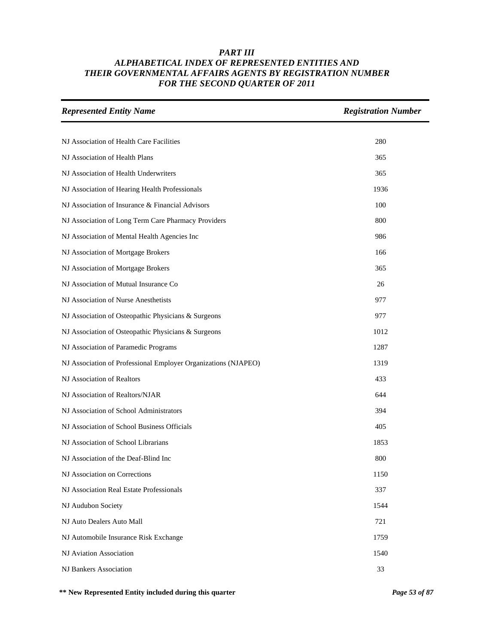| <b>Represented Entity Name</b>                                 | <b>Registration Number</b> |
|----------------------------------------------------------------|----------------------------|
|                                                                |                            |
| NJ Association of Health Care Facilities                       | 280                        |
| NJ Association of Health Plans                                 | 365                        |
| NJ Association of Health Underwriters                          | 365                        |
| NJ Association of Hearing Health Professionals                 | 1936                       |
| NJ Association of Insurance & Financial Advisors               | 100                        |
| NJ Association of Long Term Care Pharmacy Providers            | 800                        |
| NJ Association of Mental Health Agencies Inc                   | 986                        |
| NJ Association of Mortgage Brokers                             | 166                        |
| NJ Association of Mortgage Brokers                             | 365                        |
| NJ Association of Mutual Insurance Co                          | 26                         |
| NJ Association of Nurse Anesthetists                           | 977                        |
| NJ Association of Osteopathic Physicians & Surgeons            | 977                        |
| NJ Association of Osteopathic Physicians & Surgeons            | 1012                       |
| NJ Association of Paramedic Programs                           | 1287                       |
| NJ Association of Professional Employer Organizations (NJAPEO) | 1319                       |
| NJ Association of Realtors                                     | 433                        |
| NJ Association of Realtors/NJAR                                | 644                        |
| NJ Association of School Administrators                        | 394                        |
| NJ Association of School Business Officials                    | 405                        |
| NJ Association of School Librarians                            | 1853                       |
| NJ Association of the Deaf-Blind Inc                           | 800                        |
| NJ Association on Corrections                                  | 1150                       |
| NJ Association Real Estate Professionals                       | 337                        |
| NJ Audubon Society                                             | 1544                       |
| NJ Auto Dealers Auto Mall                                      | 721                        |
| NJ Automobile Insurance Risk Exchange                          | 1759                       |
| NJ Aviation Association                                        | 1540                       |
| <b>NJ Bankers Association</b>                                  | 33                         |

**\*\* New Represented Entity included during this quarter** *Page 53 of 87*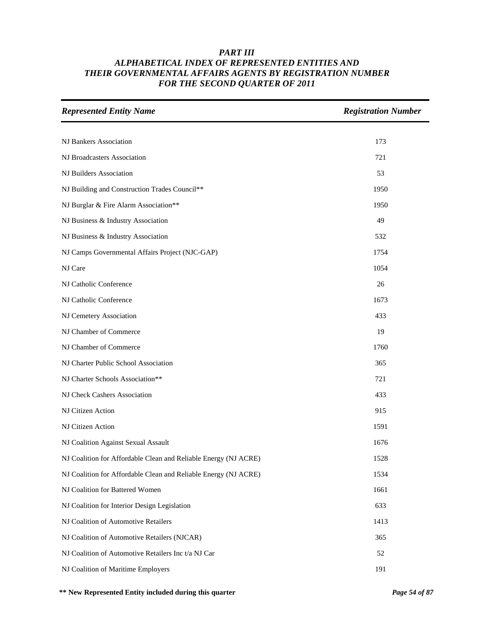| <b>Represented Entity Name</b>                                  | <b>Registration Number</b> |
|-----------------------------------------------------------------|----------------------------|
|                                                                 |                            |
| <b>NJ Bankers Association</b>                                   | 173                        |
| NJ Broadcasters Association                                     | 721                        |
| NJ Builders Association                                         | 53                         |
| NJ Building and Construction Trades Council**                   | 1950                       |
| NJ Burglar & Fire Alarm Association**                           | 1950                       |
| NJ Business & Industry Association                              | 49                         |
| NJ Business & Industry Association                              | 532                        |
| NJ Camps Governmental Affairs Project (NJC-GAP)                 | 1754                       |
| NJ Care                                                         | 1054                       |
| NJ Catholic Conference                                          | 26                         |
| NJ Catholic Conference                                          | 1673                       |
| NJ Cemetery Association                                         | 433                        |
| NJ Chamber of Commerce                                          | 19                         |
| NJ Chamber of Commerce                                          | 1760                       |
| NJ Charter Public School Association                            | 365                        |
| NJ Charter Schools Association**                                | 721                        |
| NJ Check Cashers Association                                    | 433                        |
| NJ Citizen Action                                               | 915                        |
| NJ Citizen Action                                               | 1591                       |
| NJ Coalition Against Sexual Assault                             | 1676                       |
| NJ Coalition for Affordable Clean and Reliable Energy (NJ ACRE) | 1528                       |
| NJ Coalition for Affordable Clean and Reliable Energy (NJ ACRE) | 1534                       |
| NJ Coalition for Battered Women                                 | 1661                       |
| NJ Coalition for Interior Design Legislation                    | 633                        |
| NJ Coalition of Automotive Retailers                            | 1413                       |
| NJ Coalition of Automotive Retailers (NJCAR)                    | 365                        |
| NJ Coalition of Automotive Retailers Inc t/a NJ Car             | 52                         |
| NJ Coalition of Maritime Employers                              | 191                        |

**\*\* New Represented Entity included during this quarter** *Page 54 of 87*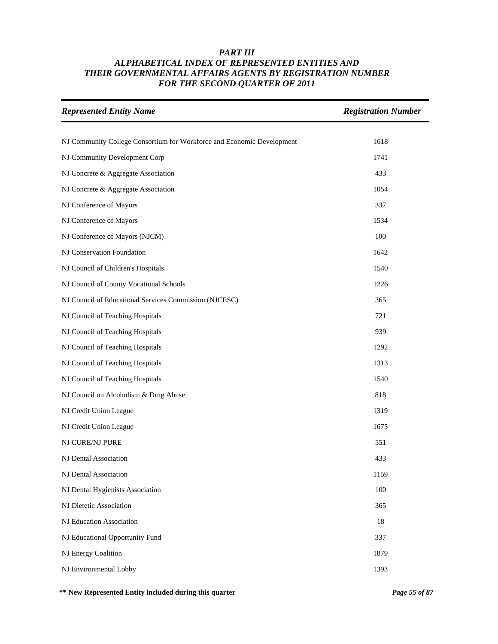| <b>Represented Entity Name</b>                                         | <b>Registration Number</b> |
|------------------------------------------------------------------------|----------------------------|
|                                                                        |                            |
| NJ Community College Consortium for Workforce and Economic Development | 1618                       |
| NJ Community Development Corp                                          | 1741                       |
| NJ Concrete & Aggregate Association                                    | 433                        |
| NJ Concrete & Aggregate Association                                    | 1054                       |
| NJ Conference of Mayors                                                | 337                        |
| NJ Conference of Mayors                                                | 1534                       |
| NJ Conference of Mayors (NJCM)                                         | 100                        |
| NJ Conservation Foundation                                             | 1642                       |
| NJ Council of Children's Hospitals                                     | 1540                       |
| NJ Council of County Vocational Schools                                | 1226                       |
| NJ Council of Educational Services Commission (NJCESC)                 | 365                        |
| NJ Council of Teaching Hospitals                                       | 721                        |
| NJ Council of Teaching Hospitals                                       | 939                        |
| NJ Council of Teaching Hospitals                                       | 1292                       |
| NJ Council of Teaching Hospitals                                       | 1313                       |
| NJ Council of Teaching Hospitals                                       | 1540                       |
| NJ Council on Alcoholism & Drug Abuse                                  | 818                        |
| NJ Credit Union League                                                 | 1319                       |
| NJ Credit Union League                                                 | 1675                       |
| NJ CURE/NJ PURE                                                        | 551                        |
| NJ Dental Association                                                  | 433                        |
| NJ Dental Association                                                  | 1159                       |
| NJ Dental Hygienists Association                                       | 100                        |
| NJ Dietetic Association                                                | 365                        |
| NJ Education Association                                               | 18                         |
| NJ Educational Opportunity Fund                                        | 337                        |
| NJ Energy Coalition                                                    | 1879                       |
| NJ Environmental Lobby                                                 | 1393                       |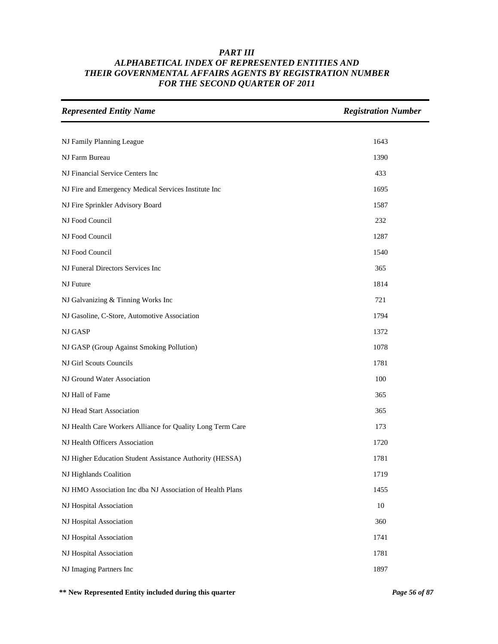| <b>Represented Entity Name</b>                             | <b>Registration Number</b> |
|------------------------------------------------------------|----------------------------|
|                                                            |                            |
| NJ Family Planning League                                  | 1643                       |
| NJ Farm Bureau                                             | 1390                       |
| NJ Financial Service Centers Inc                           | 433                        |
| NJ Fire and Emergency Medical Services Institute Inc       | 1695                       |
| NJ Fire Sprinkler Advisory Board                           | 1587                       |
| NJ Food Council                                            | 232                        |
| NJ Food Council                                            | 1287                       |
| NJ Food Council                                            | 1540                       |
| NJ Funeral Directors Services Inc                          | 365                        |
| NJ Future                                                  | 1814                       |
| NJ Galvanizing & Tinning Works Inc                         | 721                        |
| NJ Gasoline, C-Store, Automotive Association               | 1794                       |
| NJ GASP                                                    | 1372                       |
| NJ GASP (Group Against Smoking Pollution)                  | 1078                       |
| NJ Girl Scouts Councils                                    | 1781                       |
| NJ Ground Water Association                                | 100                        |
| NJ Hall of Fame                                            | 365                        |
| NJ Head Start Association                                  | 365                        |
| NJ Health Care Workers Alliance for Quality Long Term Care | 173                        |
| NJ Health Officers Association                             | 1720                       |
| NJ Higher Education Student Assistance Authority (HESSA)   | 1781                       |
| NJ Highlands Coalition                                     | 1719                       |
| NJ HMO Association Inc dba NJ Association of Health Plans  | 1455                       |
| NJ Hospital Association                                    | 10                         |
| NJ Hospital Association                                    | 360                        |
| NJ Hospital Association                                    | 1741                       |
| NJ Hospital Association                                    | 1781                       |
| NJ Imaging Partners Inc                                    | 1897                       |

**\*\* New Represented Entity included during this quarter** *Page 56 of 87*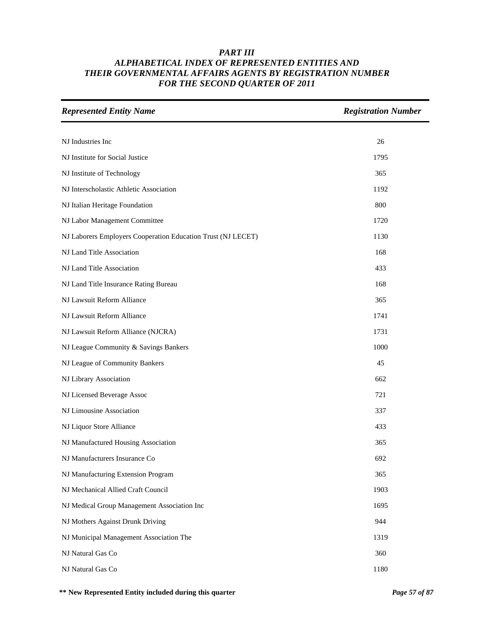| <b>Represented Entity Name</b>                               | <b>Registration Number</b> |
|--------------------------------------------------------------|----------------------------|
|                                                              |                            |
| NJ Industries Inc                                            | 26                         |
| NJ Institute for Social Justice                              | 1795                       |
| NJ Institute of Technology                                   | 365                        |
| NJ Interscholastic Athletic Association                      | 1192                       |
| NJ Italian Heritage Foundation                               | 800                        |
| NJ Labor Management Committee                                | 1720                       |
| NJ Laborers Employers Cooperation Education Trust (NJ LECET) | 1130                       |
| NJ Land Title Association                                    | 168                        |
| NJ Land Title Association                                    | 433                        |
| NJ Land Title Insurance Rating Bureau                        | 168                        |
| NJ Lawsuit Reform Alliance                                   | 365                        |
| NJ Lawsuit Reform Alliance                                   | 1741                       |
| NJ Lawsuit Reform Alliance (NJCRA)                           | 1731                       |
| NJ League Community & Savings Bankers                        | 1000                       |
| NJ League of Community Bankers                               | 45                         |
| NJ Library Association                                       | 662                        |
| NJ Licensed Beverage Assoc                                   | 721                        |
| NJ Limousine Association                                     | 337                        |
| NJ Liquor Store Alliance                                     | 433                        |
| NJ Manufactured Housing Association                          | 365                        |
| NJ Manufacturers Insurance Co                                | 692                        |
| NJ Manufacturing Extension Program                           | 365                        |
| NJ Mechanical Allied Craft Council                           | 1903                       |
| NJ Medical Group Management Association Inc                  | 1695                       |
| NJ Mothers Against Drunk Driving                             | 944                        |
| NJ Municipal Management Association The                      | 1319                       |
| NJ Natural Gas Co                                            | 360                        |
| NJ Natural Gas Co                                            | 1180                       |

**\*\* New Represented Entity included during this quarter** *Page 57 of 87*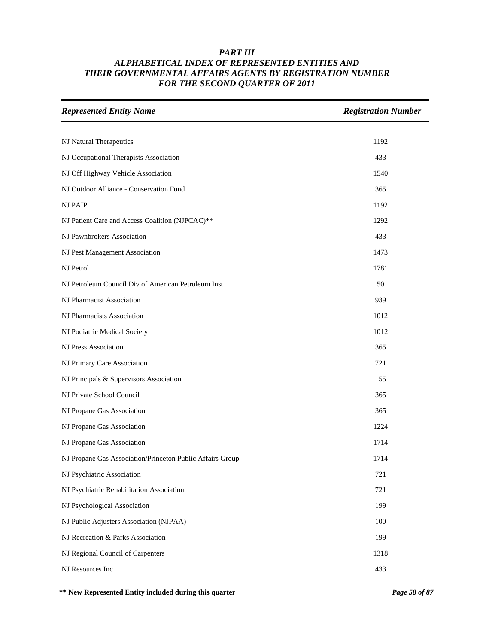| <b>Represented Entity Name</b>                            | <b>Registration Number</b> |
|-----------------------------------------------------------|----------------------------|
|                                                           |                            |
| NJ Natural Therapeutics                                   | 1192                       |
| NJ Occupational Therapists Association                    | 433                        |
| NJ Off Highway Vehicle Association                        | 1540                       |
| NJ Outdoor Alliance - Conservation Fund                   | 365                        |
| <b>NJ PAIP</b>                                            | 1192                       |
| NJ Patient Care and Access Coalition (NJPCAC)**           | 1292                       |
| NJ Pawnbrokers Association                                | 433                        |
| NJ Pest Management Association                            | 1473                       |
| NJ Petrol                                                 | 1781                       |
| NJ Petroleum Council Div of American Petroleum Inst       | 50                         |
| NJ Pharmacist Association                                 | 939                        |
| NJ Pharmacists Association                                | 1012                       |
| NJ Podiatric Medical Society                              | 1012                       |
| NJ Press Association                                      | 365                        |
| NJ Primary Care Association                               | 721                        |
| NJ Principals & Supervisors Association                   | 155                        |
| NJ Private School Council                                 | 365                        |
| NJ Propane Gas Association                                | 365                        |
| NJ Propane Gas Association                                | 1224                       |
| NJ Propane Gas Association                                | 1714                       |
| NJ Propane Gas Association/Princeton Public Affairs Group | 1714                       |
| NJ Psychiatric Association                                | 721                        |
| NJ Psychiatric Rehabilitation Association                 | 721                        |
| NJ Psychological Association                              | 199                        |
| NJ Public Adjusters Association (NJPAA)                   | 100                        |
| NJ Recreation & Parks Association                         | 199                        |
| NJ Regional Council of Carpenters                         | 1318                       |
| NJ Resources Inc                                          | 433                        |

**\*\* New Represented Entity included during this quarter** *Page 58 of 87*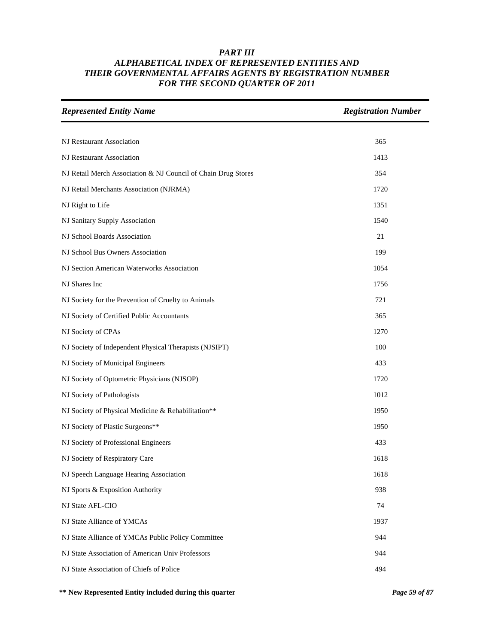| <b>Represented Entity Name</b>                                | <b>Registration Number</b> |
|---------------------------------------------------------------|----------------------------|
|                                                               |                            |
| NJ Restaurant Association                                     | 365                        |
| NJ Restaurant Association                                     | 1413                       |
| NJ Retail Merch Association & NJ Council of Chain Drug Stores | 354                        |
| NJ Retail Merchants Association (NJRMA)                       | 1720                       |
| NJ Right to Life                                              | 1351                       |
| NJ Sanitary Supply Association                                | 1540                       |
| NJ School Boards Association                                  | 21                         |
| NJ School Bus Owners Association                              | 199                        |
| NJ Section American Waterworks Association                    | 1054                       |
| NJ Shares Inc                                                 | 1756                       |
| NJ Society for the Prevention of Cruelty to Animals           | 721                        |
| NJ Society of Certified Public Accountants                    | 365                        |
| NJ Society of CPAs                                            | 1270                       |
| NJ Society of Independent Physical Therapists (NJSIPT)        | 100                        |
| NJ Society of Municipal Engineers                             | 433                        |
| NJ Society of Optometric Physicians (NJSOP)                   | 1720                       |
| NJ Society of Pathologists                                    | 1012                       |
| NJ Society of Physical Medicine & Rehabilitation**            | 1950                       |
| NJ Society of Plastic Surgeons**                              | 1950                       |
| NJ Society of Professional Engineers                          | 433                        |
| NJ Society of Respiratory Care                                | 1618                       |
| NJ Speech Language Hearing Association                        | 1618                       |
| NJ Sports & Exposition Authority                              | 938                        |
| NJ State AFL-CIO                                              | 74                         |
| NJ State Alliance of YMCAs                                    | 1937                       |
| NJ State Alliance of YMCAs Public Policy Committee            | 944                        |
| NJ State Association of American Univ Professors              | 944                        |
| NJ State Association of Chiefs of Police                      | 494                        |

**\*\* New Represented Entity included during this quarter** *Page 59 of 87*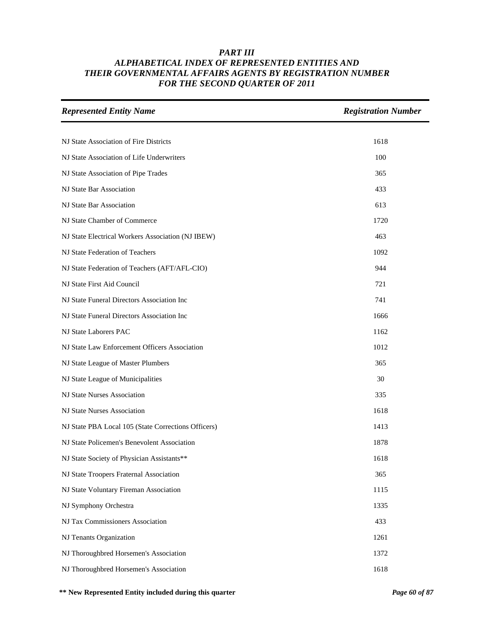| <b>Represented Entity Name</b>                      | <b>Registration Number</b> |
|-----------------------------------------------------|----------------------------|
|                                                     |                            |
| NJ State Association of Fire Districts              | 1618                       |
| NJ State Association of Life Underwriters           | 100                        |
| NJ State Association of Pipe Trades                 | 365                        |
| NJ State Bar Association                            | 433                        |
| NJ State Bar Association                            | 613                        |
| NJ State Chamber of Commerce                        | 1720                       |
| NJ State Electrical Workers Association (NJ IBEW)   | 463                        |
| NJ State Federation of Teachers                     | 1092                       |
| NJ State Federation of Teachers (AFT/AFL-CIO)       | 944                        |
| NJ State First Aid Council                          | 721                        |
| NJ State Funeral Directors Association Inc          | 741                        |
| NJ State Funeral Directors Association Inc          | 1666                       |
| NJ State Laborers PAC                               | 1162                       |
| NJ State Law Enforcement Officers Association       | 1012                       |
| NJ State League of Master Plumbers                  | 365                        |
| NJ State League of Municipalities                   | 30                         |
| NJ State Nurses Association                         | 335                        |
| NJ State Nurses Association                         | 1618                       |
| NJ State PBA Local 105 (State Corrections Officers) | 1413                       |
| NJ State Policemen's Benevolent Association         | 1878                       |
| NJ State Society of Physician Assistants**          | 1618                       |
| NJ State Troopers Fraternal Association             | 365                        |
| NJ State Voluntary Fireman Association              | 1115                       |
| NJ Symphony Orchestra                               | 1335                       |
| NJ Tax Commissioners Association                    | 433                        |
| NJ Tenants Organization                             | 1261                       |
| NJ Thoroughbred Horsemen's Association              | 1372                       |
| NJ Thoroughbred Horsemen's Association              | 1618                       |

**\*\* New Represented Entity included during this quarter** *Page 60 of 87*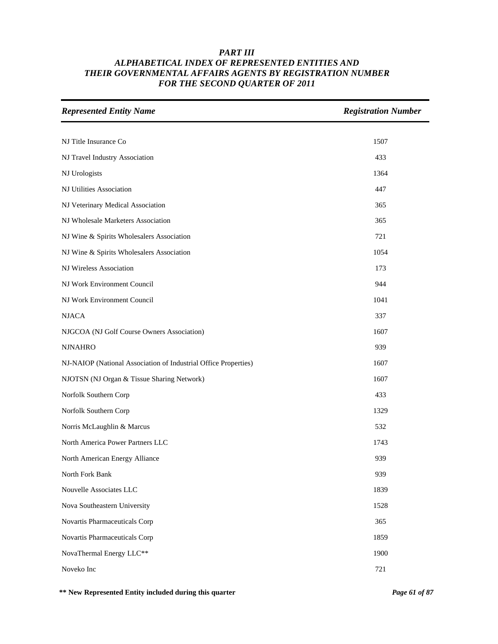| <b>Represented Entity Name</b>                                  | <b>Registration Number</b> |
|-----------------------------------------------------------------|----------------------------|
|                                                                 |                            |
| NJ Title Insurance Co                                           | 1507                       |
| NJ Travel Industry Association                                  | 433                        |
| NJ Urologists                                                   | 1364                       |
| NJ Utilities Association                                        | 447                        |
| NJ Veterinary Medical Association                               | 365                        |
| NJ Wholesale Marketers Association                              | 365                        |
| NJ Wine & Spirits Wholesalers Association                       | 721                        |
| NJ Wine & Spirits Wholesalers Association                       | 1054                       |
| NJ Wireless Association                                         | 173                        |
| NJ Work Environment Council                                     | 944                        |
| NJ Work Environment Council                                     | 1041                       |
| <b>NJACA</b>                                                    | 337                        |
| NJGCOA (NJ Golf Course Owners Association)                      | 1607                       |
| <b>NJNAHRO</b>                                                  | 939                        |
| NJ-NAIOP (National Association of Industrial Office Properties) | 1607                       |
| NJOTSN (NJ Organ & Tissue Sharing Network)                      | 1607                       |
| Norfolk Southern Corp                                           | 433                        |
| Norfolk Southern Corp                                           | 1329                       |
| Norris McLaughlin & Marcus                                      | 532                        |
| North America Power Partners LLC                                | 1743                       |
| North American Energy Alliance                                  | 939                        |
| North Fork Bank                                                 | 939                        |
| Nouvelle Associates LLC                                         | 1839                       |
| Nova Southeastern University                                    | 1528                       |
| Novartis Pharmaceuticals Corp                                   | 365                        |
| Novartis Pharmaceuticals Corp                                   | 1859                       |
| NovaThermal Energy LLC**                                        | 1900                       |
| Noveko Inc                                                      | 721                        |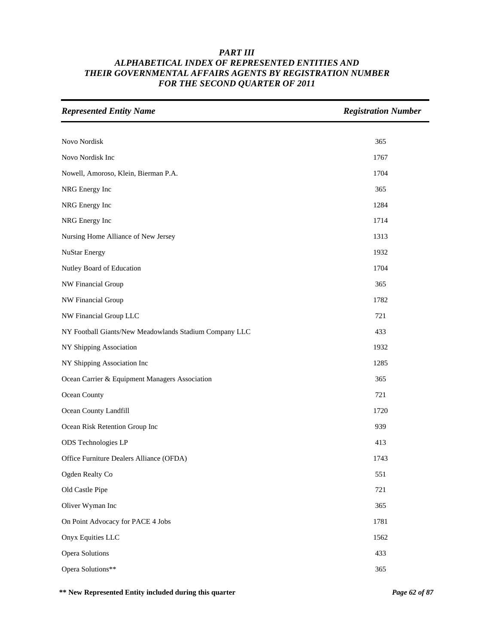| <b>Represented Entity Name</b>                         | <b>Registration Number</b> |
|--------------------------------------------------------|----------------------------|
|                                                        |                            |
| Novo Nordisk                                           | 365                        |
| Novo Nordisk Inc                                       | 1767                       |
| Nowell, Amoroso, Klein, Bierman P.A.                   | 1704                       |
| NRG Energy Inc                                         | 365                        |
| NRG Energy Inc                                         | 1284                       |
| NRG Energy Inc                                         | 1714                       |
| Nursing Home Alliance of New Jersey                    | 1313                       |
| <b>NuStar Energy</b>                                   | 1932                       |
| Nutley Board of Education                              | 1704                       |
| NW Financial Group                                     | 365                        |
| NW Financial Group                                     | 1782                       |
| NW Financial Group LLC                                 | 721                        |
| NY Football Giants/New Meadowlands Stadium Company LLC | 433                        |
| NY Shipping Association                                | 1932                       |
| NY Shipping Association Inc                            | 1285                       |
| Ocean Carrier & Equipment Managers Association         | 365                        |
| Ocean County                                           | 721                        |
| Ocean County Landfill                                  | 1720                       |
| Ocean Risk Retention Group Inc                         | 939                        |
| ODS Technologies LP                                    | 413                        |
| Office Furniture Dealers Alliance (OFDA)               | 1743                       |
| Ogden Realty Co                                        | 551                        |
| Old Castle Pipe                                        | 721                        |
| Oliver Wyman Inc                                       | 365                        |
| On Point Advocacy for PACE 4 Jobs                      | 1781                       |
| Onyx Equities LLC                                      | 1562                       |
| Opera Solutions                                        | 433                        |
| Opera Solutions**                                      | 365                        |

**\*\* New Represented Entity included during this quarter** *Page 62 of 87*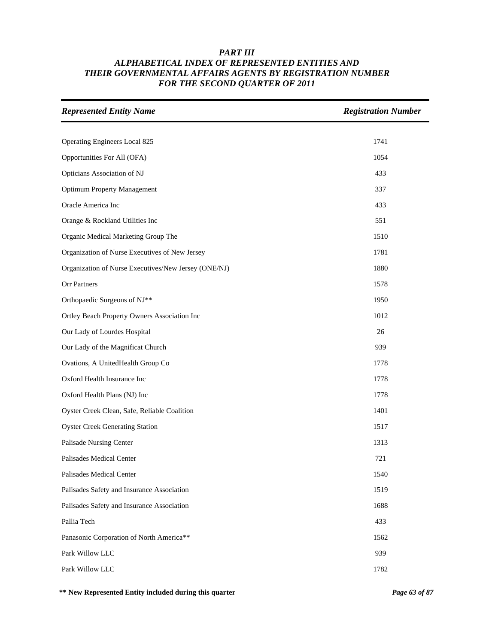| <b>Represented Entity Name</b>                       | <b>Registration Number</b> |
|------------------------------------------------------|----------------------------|
|                                                      |                            |
| Operating Engineers Local 825                        | 1741                       |
| Opportunities For All (OFA)                          | 1054                       |
| Opticians Association of NJ                          | 433                        |
| <b>Optimum Property Management</b>                   | 337                        |
| Oracle America Inc                                   | 433                        |
| Orange & Rockland Utilities Inc                      | 551                        |
| Organic Medical Marketing Group The                  | 1510                       |
| Organization of Nurse Executives of New Jersey       | 1781                       |
| Organization of Nurse Executives/New Jersey (ONE/NJ) | 1880                       |
| Orr Partners                                         | 1578                       |
| Orthopaedic Surgeons of NJ**                         | 1950                       |
| Ortley Beach Property Owners Association Inc         | 1012                       |
| Our Lady of Lourdes Hospital                         | 26                         |
| Our Lady of the Magnificat Church                    | 939                        |
| Ovations, A UnitedHealth Group Co                    | 1778                       |
| Oxford Health Insurance Inc                          | 1778                       |
| Oxford Health Plans (NJ) Inc                         | 1778                       |
| Oyster Creek Clean, Safe, Reliable Coalition         | 1401                       |
| <b>Oyster Creek Generating Station</b>               | 1517                       |
| Palisade Nursing Center                              | 1313                       |
| Palisades Medical Center                             | 721                        |
| Palisades Medical Center                             | 1540                       |
| Palisades Safety and Insurance Association           | 1519                       |
| Palisades Safety and Insurance Association           | 1688                       |
| Pallia Tech                                          | 433                        |
| Panasonic Corporation of North America**             | 1562                       |
| Park Willow LLC                                      | 939                        |
| Park Willow LLC                                      | 1782                       |

**\*\* New Represented Entity included during this quarter** *Page 63 of 87*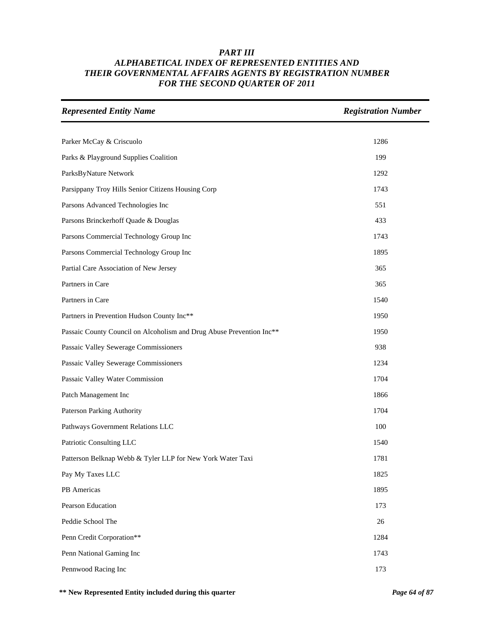| <b>Represented Entity Name</b>                                       | <b>Registration Number</b> |
|----------------------------------------------------------------------|----------------------------|
|                                                                      |                            |
| Parker McCay & Criscuolo                                             | 1286                       |
| Parks & Playground Supplies Coalition                                | 199                        |
| ParksByNature Network                                                | 1292                       |
| Parsippany Troy Hills Senior Citizens Housing Corp                   | 1743                       |
| Parsons Advanced Technologies Inc                                    | 551                        |
| Parsons Brinckerhoff Quade & Douglas                                 | 433                        |
| Parsons Commercial Technology Group Inc                              | 1743                       |
| Parsons Commercial Technology Group Inc                              | 1895                       |
| Partial Care Association of New Jersey                               | 365                        |
| Partners in Care                                                     | 365                        |
| Partners in Care                                                     | 1540                       |
| Partners in Prevention Hudson County Inc**                           | 1950                       |
| Passaic County Council on Alcoholism and Drug Abuse Prevention Inc** | 1950                       |
| Passaic Valley Sewerage Commissioners                                | 938                        |
| Passaic Valley Sewerage Commissioners                                | 1234                       |
| Passaic Valley Water Commission                                      | 1704                       |
| Patch Management Inc                                                 | 1866                       |
| Paterson Parking Authority                                           | 1704                       |
| Pathways Government Relations LLC                                    | 100                        |
| Patriotic Consulting LLC                                             | 1540                       |
| Patterson Belknap Webb & Tyler LLP for New York Water Taxi           | 1781                       |
| Pay My Taxes LLC                                                     | 1825                       |
| PB Americas                                                          | 1895                       |
| Pearson Education                                                    | 173                        |
| Peddie School The                                                    | 26                         |
| Penn Credit Corporation**                                            | 1284                       |
| Penn National Gaming Inc                                             | 1743                       |
| Pennwood Racing Inc                                                  | 173                        |

**\*\* New Represented Entity included during this quarter** *Page 64 of 87*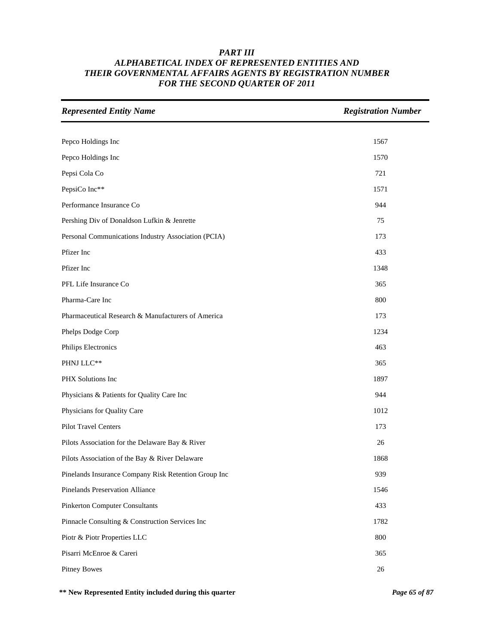| <b>Represented Entity Name</b>                       | <b>Registration Number</b> |
|------------------------------------------------------|----------------------------|
|                                                      |                            |
| Pepco Holdings Inc                                   | 1567                       |
| Pepco Holdings Inc                                   | 1570                       |
| Pepsi Cola Co                                        | 721                        |
| PepsiCo Inc**                                        | 1571                       |
| Performance Insurance Co                             | 944                        |
| Pershing Div of Donaldson Lufkin & Jenrette          | 75                         |
| Personal Communications Industry Association (PCIA)  | 173                        |
| Pfizer Inc                                           | 433                        |
| Pfizer Inc                                           | 1348                       |
| PFL Life Insurance Co                                | 365                        |
| Pharma-Care Inc                                      | 800                        |
| Pharmaceutical Research & Manufacturers of America   | 173                        |
| Phelps Dodge Corp                                    | 1234                       |
| Philips Electronics                                  | 463                        |
| PHNJ LLC**                                           | 365                        |
| PHX Solutions Inc                                    | 1897                       |
| Physicians & Patients for Quality Care Inc           | 944                        |
| Physicians for Quality Care                          | 1012                       |
| <b>Pilot Travel Centers</b>                          | 173                        |
| Pilots Association for the Delaware Bay & River      | 26                         |
| Pilots Association of the Bay & River Delaware       | 1868                       |
| Pinelands Insurance Company Risk Retention Group Inc | 939                        |
| Pinelands Preservation Alliance                      | 1546                       |
| <b>Pinkerton Computer Consultants</b>                | 433                        |
| Pinnacle Consulting & Construction Services Inc      | 1782                       |
| Piotr & Piotr Properties LLC                         | 800                        |
| Pisarri McEnroe & Careri                             | 365                        |
| <b>Pitney Bowes</b>                                  | $26\,$                     |

**\*\* New Represented Entity included during this quarter** *Page 65 of 87*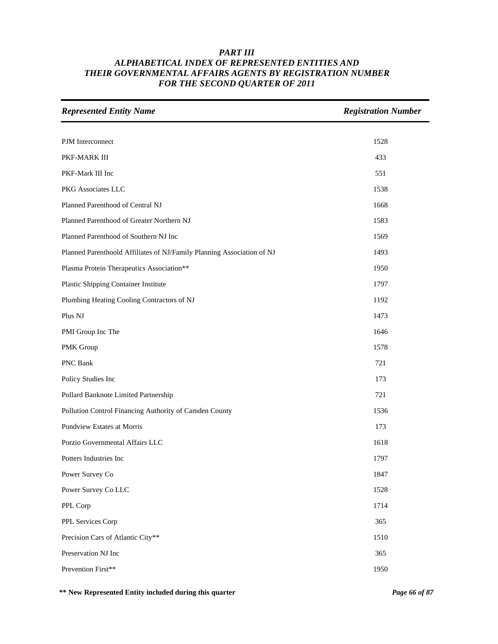| <b>Represented Entity Name</b>                                         | <b>Registration Number</b> |
|------------------------------------------------------------------------|----------------------------|
|                                                                        |                            |
| PJM Interconnect                                                       | 1528                       |
| PKF-MARK III                                                           | 433                        |
| PKF-Mark III Inc                                                       | 551                        |
| PKG Associates LLC                                                     | 1538                       |
| Planned Parenthood of Central NJ                                       | 1668                       |
| Planned Parenthood of Greater Northern NJ                              | 1583                       |
| Planned Parenthood of Southern NJ Inc                                  | 1569                       |
| Planned Parenthoold Affiliates of NJ/Family Planning Association of NJ | 1493                       |
| Plasma Protein Therapeutics Association**                              | 1950                       |
| Plastic Shipping Container Institute                                   | 1797                       |
| Plumbing Heating Cooling Contractors of NJ                             | 1192                       |
| Plus NJ                                                                | 1473                       |
| PMI Group Inc The                                                      | 1646                       |
| PMK Group                                                              | 1578                       |
| PNC Bank                                                               | 721                        |
| Policy Studies Inc                                                     | 173                        |
| Pollard Banknote Limited Partnership                                   | 721                        |
| Pollution Control Financing Authority of Camden County                 | 1536                       |
| Pondview Estates at Morris                                             | 173                        |
| Porzio Governmental Affairs LLC                                        | 1618                       |
| Potters Industries Inc                                                 | 1797                       |
| Power Survey Co                                                        | 1847                       |
| Power Survey Co LLC                                                    | 1528                       |
| PPL Corp                                                               | 1714                       |
| PPL Services Corp                                                      | 365                        |
| Precision Cars of Atlantic City**                                      | 1510                       |
| Preservation NJ Inc                                                    | 365                        |
| Prevention First**                                                     | 1950                       |

**\*\* New Represented Entity included during this quarter** *Page 66 of 87*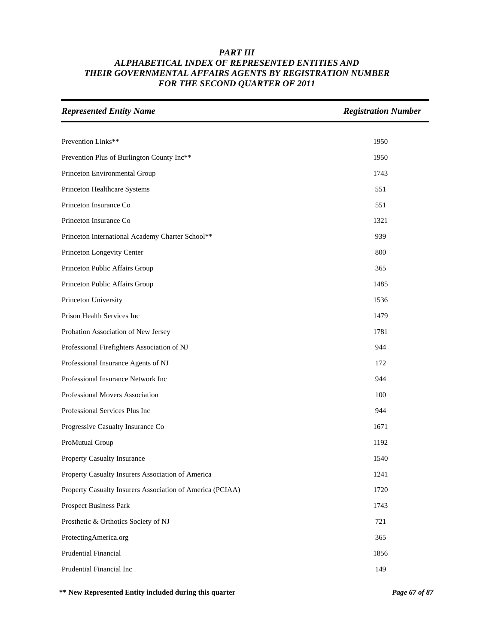| <b>Represented Entity Name</b>                            | <b>Registration Number</b> |
|-----------------------------------------------------------|----------------------------|
|                                                           |                            |
| Prevention Links**                                        | 1950                       |
| Prevention Plus of Burlington County Inc**                | 1950                       |
| Princeton Environmental Group                             | 1743                       |
| Princeton Healthcare Systems                              | 551                        |
| Princeton Insurance Co                                    | 551                        |
| Princeton Insurance Co                                    | 1321                       |
| Princeton International Academy Charter School**          | 939                        |
| Princeton Longevity Center                                | 800                        |
| Princeton Public Affairs Group                            | 365                        |
| Princeton Public Affairs Group                            | 1485                       |
| Princeton University                                      | 1536                       |
| Prison Health Services Inc                                | 1479                       |
| Probation Association of New Jersey                       | 1781                       |
| Professional Firefighters Association of NJ               | 944                        |
| Professional Insurance Agents of NJ                       | 172                        |
| Professional Insurance Network Inc                        | 944                        |
| Professional Movers Association                           | 100                        |
| Professional Services Plus Inc                            | 944                        |
| Progressive Casualty Insurance Co                         | 1671                       |
| ProMutual Group                                           | 1192                       |
| Property Casualty Insurance                               | 1540                       |
| Property Casualty Insurers Association of America         | 1241                       |
| Property Casualty Insurers Association of America (PCIAA) | 1720                       |
| Prospect Business Park                                    | 1743                       |
| Prosthetic & Orthotics Society of NJ                      | 721                        |
| ProtectingAmerica.org                                     | 365                        |
| Prudential Financial                                      | 1856                       |
| Prudential Financial Inc                                  | 149                        |

**\*\* New Represented Entity included during this quarter** *Page 67 of 87*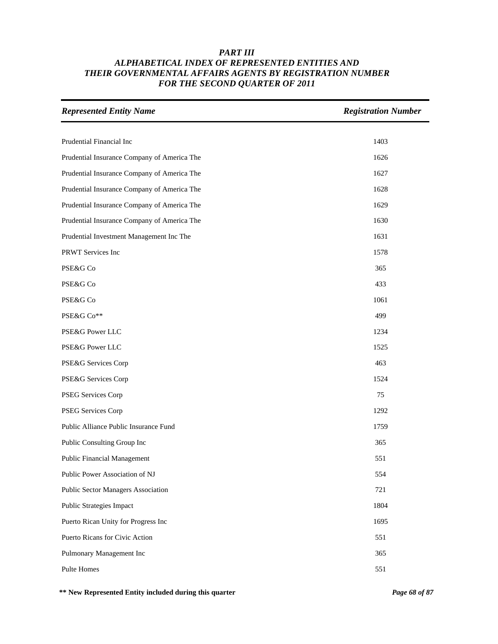| <b>Represented Entity Name</b>              | <b>Registration Number</b> |
|---------------------------------------------|----------------------------|
|                                             |                            |
| Prudential Financial Inc                    | 1403                       |
| Prudential Insurance Company of America The | 1626                       |
| Prudential Insurance Company of America The | 1627                       |
| Prudential Insurance Company of America The | 1628                       |
| Prudential Insurance Company of America The | 1629                       |
| Prudential Insurance Company of America The | 1630                       |
| Prudential Investment Management Inc The    | 1631                       |
| PRWT Services Inc                           | 1578                       |
| PSE&G Co                                    | 365                        |
| PSE&G Co                                    | 433                        |
| PSE&G Co                                    | 1061                       |
| PSE&G Co**                                  | 499                        |
| PSE&G Power LLC                             | 1234                       |
| PSE&G Power LLC                             | 1525                       |
| PSE&G Services Corp                         | 463                        |
| PSE&G Services Corp                         | 1524                       |
| PSEG Services Corp                          | 75                         |
| PSEG Services Corp                          | 1292                       |
| Public Alliance Public Insurance Fund       | 1759                       |
| Public Consulting Group Inc                 | 365                        |
| <b>Public Financial Management</b>          | 551                        |
| Public Power Association of NJ              | 554                        |
| Public Sector Managers Association          | 721                        |
| <b>Public Strategies Impact</b>             | 1804                       |
| Puerto Rican Unity for Progress Inc         | 1695                       |
| Puerto Ricans for Civic Action              | 551                        |
| Pulmonary Management Inc                    | 365                        |
| Pulte Homes                                 | 551                        |

**\*\* New Represented Entity included during this quarter** *Page 68 of 87*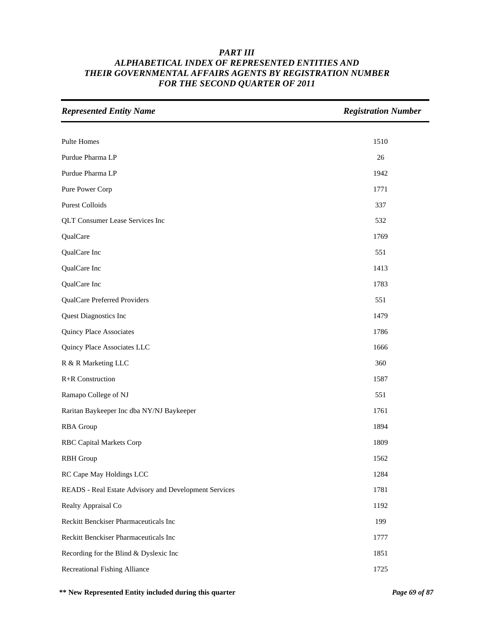| <b>Represented Entity Name</b>                        | <b>Registration Number</b> |
|-------------------------------------------------------|----------------------------|
|                                                       |                            |
| <b>Pulte Homes</b>                                    | 1510                       |
| Purdue Pharma LP                                      | 26                         |
| Purdue Pharma LP                                      | 1942                       |
| Pure Power Corp                                       | 1771                       |
| <b>Purest Colloids</b>                                | 337                        |
| <b>QLT Consumer Lease Services Inc</b>                | 532                        |
| QualCare                                              | 1769                       |
| QualCare Inc                                          | 551                        |
| QualCare Inc                                          | 1413                       |
| QualCare Inc                                          | 1783                       |
| QualCare Preferred Providers                          | 551                        |
| Quest Diagnostics Inc                                 | 1479                       |
| Quincy Place Associates                               | 1786                       |
| Quincy Place Associates LLC                           | 1666                       |
| R & R Marketing LLC                                   | 360                        |
| R+R Construction                                      | 1587                       |
| Ramapo College of NJ                                  | 551                        |
| Raritan Baykeeper Inc dba NY/NJ Baykeeper             | 1761                       |
| <b>RBA</b> Group                                      | 1894                       |
| <b>RBC Capital Markets Corp</b>                       | 1809                       |
| <b>RBH</b> Group                                      | 1562                       |
| RC Cape May Holdings LCC                              | 1284                       |
| READS - Real Estate Advisory and Development Services | 1781                       |
| Realty Appraisal Co                                   | 1192                       |
| Reckitt Benckiser Pharmaceuticals Inc                 | 199                        |
| Reckitt Benckiser Pharmaceuticals Inc                 | 1777                       |
| Recording for the Blind & Dyslexic Inc                | 1851                       |
| <b>Recreational Fishing Alliance</b>                  | 1725                       |

**\*\* New Represented Entity included during this quarter** *Page 69 of 87*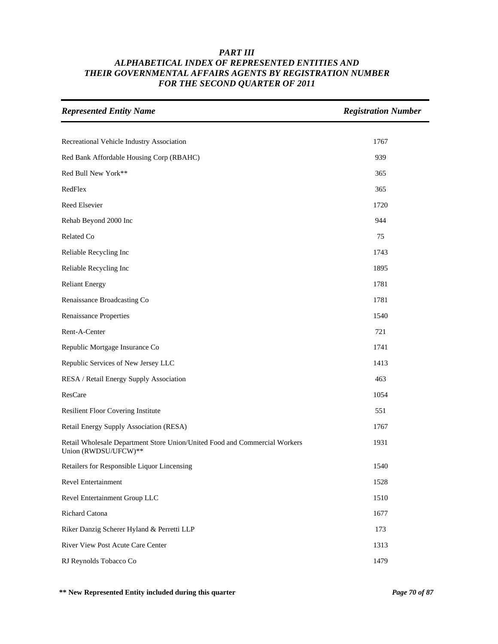| <b>Represented Entity Name</b>                                                                     | <b>Registration Number</b> |
|----------------------------------------------------------------------------------------------------|----------------------------|
|                                                                                                    |                            |
| Recreational Vehicle Industry Association                                                          | 1767                       |
| Red Bank Affordable Housing Corp (RBAHC)                                                           | 939                        |
| Red Bull New York**                                                                                | 365                        |
| RedFlex                                                                                            | 365                        |
| Reed Elsevier                                                                                      | 1720                       |
| Rehab Beyond 2000 Inc                                                                              | 944                        |
| Related Co                                                                                         | 75                         |
| Reliable Recycling Inc                                                                             | 1743                       |
| Reliable Recycling Inc                                                                             | 1895                       |
| <b>Reliant Energy</b>                                                                              | 1781                       |
| Renaissance Broadcasting Co                                                                        | 1781                       |
| <b>Renaissance Properties</b>                                                                      | 1540                       |
| Rent-A-Center                                                                                      | 721                        |
| Republic Mortgage Insurance Co                                                                     | 1741                       |
| Republic Services of New Jersey LLC                                                                | 1413                       |
| RESA / Retail Energy Supply Association                                                            | 463                        |
| ResCare                                                                                            | 1054                       |
| <b>Resilient Floor Covering Institute</b>                                                          | 551                        |
| Retail Energy Supply Association (RESA)                                                            | 1767                       |
| Retail Wholesale Department Store Union/United Food and Commercial Workers<br>Union (RWDSU/UFCW)** | 1931                       |
| Retailers for Responsible Liquor Lincensing                                                        | 1540                       |
| Revel Entertainment                                                                                | 1528                       |
| Revel Entertainment Group LLC                                                                      | 1510                       |
| Richard Catona                                                                                     | 1677                       |
| Riker Danzig Scherer Hyland & Perretti LLP                                                         | 173                        |
| River View Post Acute Care Center                                                                  | 1313                       |
| RJ Reynolds Tobacco Co                                                                             | 1479                       |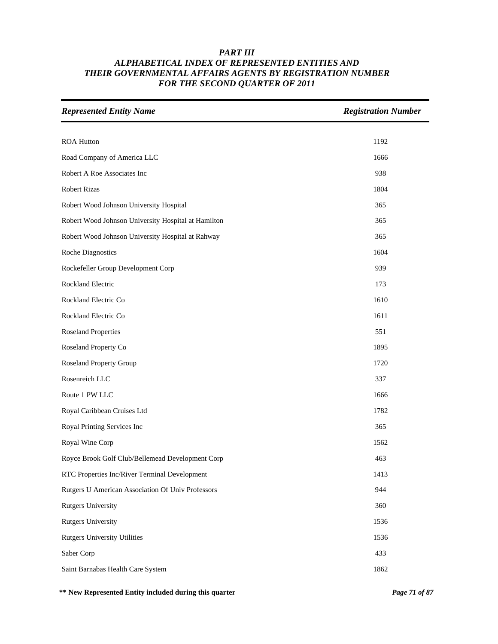| <b>Represented Entity Name</b>                      | <b>Registration Number</b> |
|-----------------------------------------------------|----------------------------|
|                                                     |                            |
| <b>ROA Hutton</b>                                   | 1192                       |
| Road Company of America LLC                         | 1666                       |
| Robert A Roe Associates Inc                         | 938                        |
| <b>Robert Rizas</b>                                 | 1804                       |
| Robert Wood Johnson University Hospital             | 365                        |
| Robert Wood Johnson University Hospital at Hamilton | 365                        |
| Robert Wood Johnson University Hospital at Rahway   | 365                        |
| <b>Roche Diagnostics</b>                            | 1604                       |
| Rockefeller Group Development Corp                  | 939                        |
| Rockland Electric                                   | 173                        |
| Rockland Electric Co                                | 1610                       |
| Rockland Electric Co                                | 1611                       |
| <b>Roseland Properties</b>                          | 551                        |
| Roseland Property Co                                | 1895                       |
| <b>Roseland Property Group</b>                      | 1720                       |
| Rosenreich LLC                                      | 337                        |
| Route 1 PW LLC                                      | 1666                       |
| Royal Caribbean Cruises Ltd                         | 1782                       |
| Royal Printing Services Inc                         | 365                        |
| Royal Wine Corp                                     | 1562                       |
| Royce Brook Golf Club/Bellemead Development Corp    | 463                        |
| RTC Properties Inc/River Terminal Development       | 1413                       |
| Rutgers U American Association Of Univ Professors   | 944                        |
| <b>Rutgers University</b>                           | 360                        |
| <b>Rutgers University</b>                           | 1536                       |
| <b>Rutgers University Utilities</b>                 | 1536                       |
| Saber Corp                                          | 433                        |
| Saint Barnabas Health Care System                   | 1862                       |

**\*\* New Represented Entity included during this quarter** *Page 71 of 87*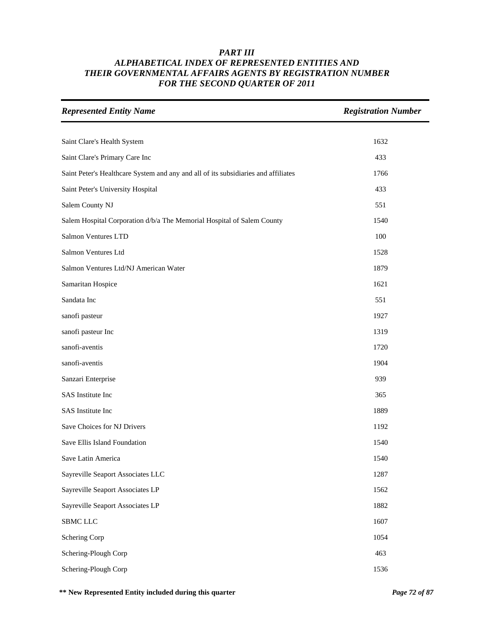| <b>Represented Entity Name</b>                                                     | <b>Registration Number</b> |
|------------------------------------------------------------------------------------|----------------------------|
|                                                                                    |                            |
| Saint Clare's Health System                                                        | 1632                       |
| Saint Clare's Primary Care Inc                                                     | 433                        |
| Saint Peter's Healthcare System and any and all of its subsidiaries and affiliates | 1766                       |
| Saint Peter's University Hospital                                                  | 433                        |
| Salem County NJ                                                                    | 551                        |
| Salem Hospital Corporation d/b/a The Memorial Hospital of Salem County             | 1540                       |
| Salmon Ventures LTD                                                                | 100                        |
| Salmon Ventures Ltd                                                                | 1528                       |
| Salmon Ventures Ltd/NJ American Water                                              | 1879                       |
| Samaritan Hospice                                                                  | 1621                       |
| Sandata Inc                                                                        | 551                        |
| sanofi pasteur                                                                     | 1927                       |
| sanofi pasteur Inc                                                                 | 1319                       |
| sanofi-aventis                                                                     | 1720                       |
| sanofi-aventis                                                                     | 1904                       |
| Sanzari Enterprise                                                                 | 939                        |
| SAS Institute Inc                                                                  | 365                        |
| SAS Institute Inc                                                                  | 1889                       |
| Save Choices for NJ Drivers                                                        | 1192                       |
| Save Ellis Island Foundation                                                       | 1540                       |
| Save Latin America                                                                 | 1540                       |
| Sayreville Seaport Associates LLC                                                  | 1287                       |
| Sayreville Seaport Associates LP                                                   | 1562                       |
| Sayreville Seaport Associates LP                                                   | 1882                       |
| SBMC LLC                                                                           | 1607                       |
| Schering Corp                                                                      | 1054                       |
| Schering-Plough Corp                                                               | 463                        |
| Schering-Plough Corp                                                               | 1536                       |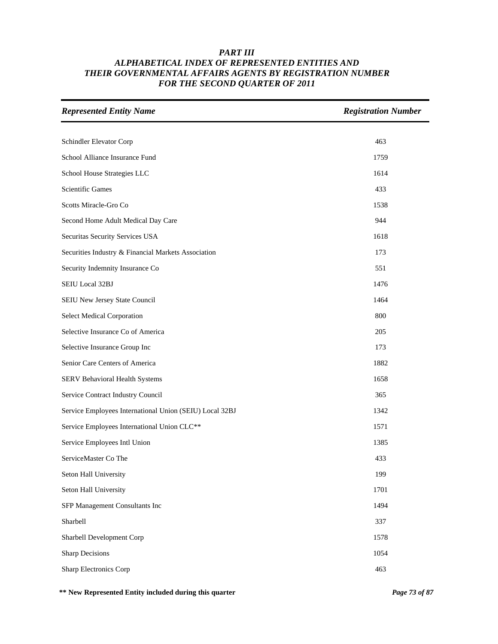| <b>Represented Entity Name</b>                          | <b>Registration Number</b> |
|---------------------------------------------------------|----------------------------|
|                                                         |                            |
| Schindler Elevator Corp                                 | 463                        |
| School Alliance Insurance Fund                          | 1759                       |
| School House Strategies LLC                             | 1614                       |
| <b>Scientific Games</b>                                 | 433                        |
| Scotts Miracle-Gro Co                                   | 1538                       |
| Second Home Adult Medical Day Care                      | 944                        |
| Securitas Security Services USA                         | 1618                       |
| Securities Industry & Financial Markets Association     | 173                        |
| Security Indemnity Insurance Co                         | 551                        |
| SEIU Local 32BJ                                         | 1476                       |
| SEIU New Jersey State Council                           | 1464                       |
| <b>Select Medical Corporation</b>                       | 800                        |
| Selective Insurance Co of America                       | 205                        |
| Selective Insurance Group Inc                           | 173                        |
| Senior Care Centers of America                          | 1882                       |
| SERV Behavioral Health Systems                          | 1658                       |
| Service Contract Industry Council                       | 365                        |
| Service Employees International Union (SEIU) Local 32BJ | 1342                       |
| Service Employees International Union CLC**             | 1571                       |
| Service Employees Intl Union                            | 1385                       |
| ServiceMaster Co The                                    | 433                        |
| Seton Hall University                                   | 199                        |
| Seton Hall University                                   | 1701                       |
| SFP Management Consultants Inc                          | 1494                       |
| Sharbell                                                | 337                        |
| Sharbell Development Corp                               | 1578                       |
| <b>Sharp Decisions</b>                                  | 1054                       |
| <b>Sharp Electronics Corp</b>                           | 463                        |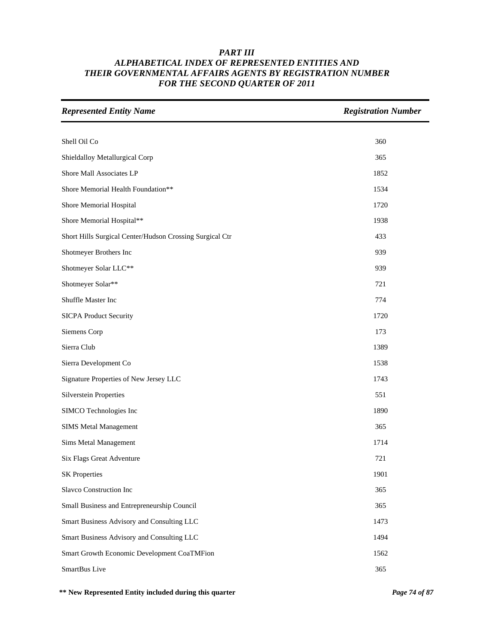| <b>Represented Entity Name</b>                           | <b>Registration Number</b> |
|----------------------------------------------------------|----------------------------|
|                                                          |                            |
| Shell Oil Co                                             | 360                        |
| Shieldalloy Metallurgical Corp                           | 365                        |
| Shore Mall Associates LP                                 | 1852                       |
| Shore Memorial Health Foundation**                       | 1534                       |
| Shore Memorial Hospital                                  | 1720                       |
| Shore Memorial Hospital**                                | 1938                       |
| Short Hills Surgical Center/Hudson Crossing Surgical Ctr | 433                        |
| Shotmeyer Brothers Inc                                   | 939                        |
| Shotmeyer Solar LLC**                                    | 939                        |
| Shotmeyer Solar**                                        | 721                        |
| Shuffle Master Inc                                       | 774                        |
| <b>SICPA Product Security</b>                            | 1720                       |
| Siemens Corp                                             | 173                        |
| Sierra Club                                              | 1389                       |
| Sierra Development Co                                    | 1538                       |
| Signature Properties of New Jersey LLC                   | 1743                       |
| <b>Silverstein Properties</b>                            | 551                        |
| SIMCO Technologies Inc                                   | 1890                       |
| <b>SIMS Metal Management</b>                             | 365                        |
| Sims Metal Management                                    | 1714                       |
| Six Flags Great Adventure                                | 721                        |
| <b>SK Properties</b>                                     | 1901                       |
| Slavco Construction Inc                                  | 365                        |
| Small Business and Entrepreneurship Council              | 365                        |
| Smart Business Advisory and Consulting LLC               | 1473                       |
| Smart Business Advisory and Consulting LLC               | 1494                       |
| Smart Growth Economic Development CoaTMFion              | 1562                       |
| SmartBus Live                                            | 365                        |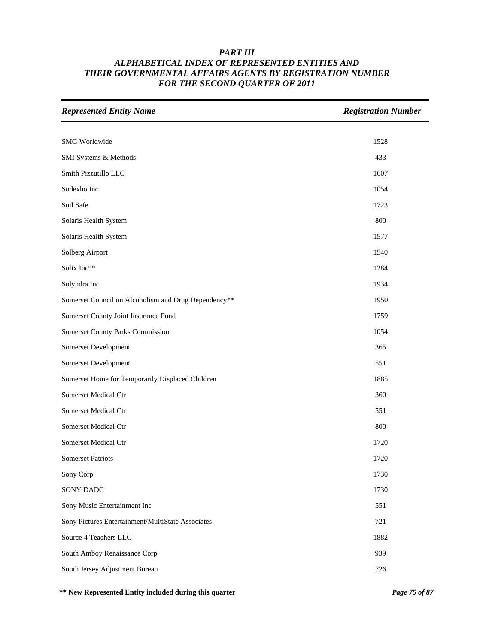| <b>Represented Entity Name</b>                       | <b>Registration Number</b> |
|------------------------------------------------------|----------------------------|
|                                                      |                            |
| SMG Worldwide                                        | 1528                       |
| SMI Systems & Methods                                | 433                        |
| Smith Pizzutillo LLC                                 | 1607                       |
| Sodexho Inc                                          | 1054                       |
| Soil Safe                                            | 1723                       |
| Solaris Health System                                | 800                        |
| Solaris Health System                                | 1577                       |
| Solberg Airport                                      | 1540                       |
| Solix Inc**                                          | 1284                       |
| Solyndra Inc                                         | 1934                       |
| Somerset Council on Alcoholism and Drug Dependency** | 1950                       |
| Somerset County Joint Insurance Fund                 | 1759                       |
| Somerset County Parks Commission                     | 1054                       |
| Somerset Development                                 | 365                        |
| Somerset Development                                 | 551                        |
| Somerset Home for Temporarily Displaced Children     | 1885                       |
| Somerset Medical Ctr                                 | 360                        |
| Somerset Medical Ctr                                 | 551                        |
| Somerset Medical Ctr                                 | 800                        |
| Somerset Medical Ctr                                 | 1720                       |
| <b>Somerset Patriots</b>                             | 1720                       |
| Sony Corp                                            | 1730                       |
| SONY DADC                                            | 1730                       |
| Sony Music Entertainment Inc                         | 551                        |
| Sony Pictures Entertainment/MultiState Associates    | 721                        |
| Source 4 Teachers LLC                                | 1882                       |
| South Amboy Renaissance Corp                         | 939                        |
| South Jersey Adjustment Bureau                       | 726                        |

**\*\* New Represented Entity included during this quarter** *Page 75 of 87*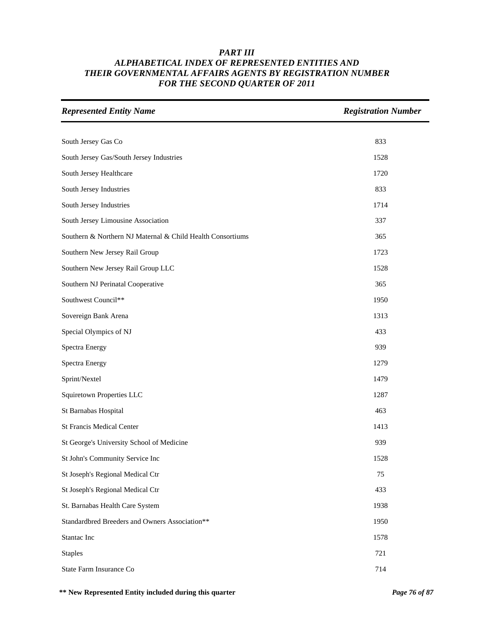| <b>Represented Entity Name</b>                             | <b>Registration Number</b> |
|------------------------------------------------------------|----------------------------|
|                                                            |                            |
| South Jersey Gas Co                                        | 833                        |
| South Jersey Gas/South Jersey Industries                   | 1528                       |
| South Jersey Healthcare                                    | 1720                       |
| South Jersey Industries                                    | 833                        |
| South Jersey Industries                                    | 1714                       |
| South Jersey Limousine Association                         | 337                        |
| Southern & Northern NJ Maternal & Child Health Consortiums | 365                        |
| Southern New Jersey Rail Group                             | 1723                       |
| Southern New Jersey Rail Group LLC                         | 1528                       |
| Southern NJ Perinatal Cooperative                          | 365                        |
| Southwest Council**                                        | 1950                       |
| Sovereign Bank Arena                                       | 1313                       |
| Special Olympics of NJ                                     | 433                        |
| Spectra Energy                                             | 939                        |
| Spectra Energy                                             | 1279                       |
| Sprint/Nextel                                              | 1479                       |
| Squiretown Properties LLC                                  | 1287                       |
| St Barnabas Hospital                                       | 463                        |
| <b>St Francis Medical Center</b>                           | 1413                       |
| St George's University School of Medicine                  | 939                        |
| St John's Community Service Inc                            | 1528                       |
| St Joseph's Regional Medical Ctr                           | 75                         |
| St Joseph's Regional Medical Ctr                           | 433                        |
| St. Barnabas Health Care System                            | 1938                       |
| Standardbred Breeders and Owners Association**             | 1950                       |
| Stantac Inc                                                | 1578                       |
| <b>Staples</b>                                             | 721                        |
| State Farm Insurance Co                                    | 714                        |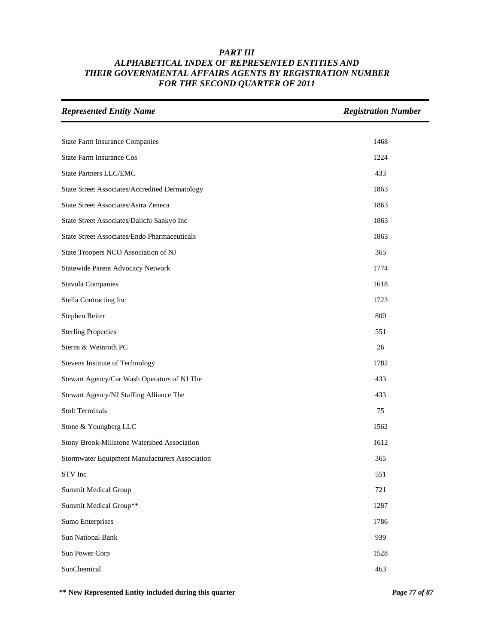| <b>Represented Entity Name</b>                        | <b>Registration Number</b> |
|-------------------------------------------------------|----------------------------|
|                                                       |                            |
| <b>State Farm Insurance Companies</b>                 | 1468                       |
| <b>State Farm Insurance Cos</b>                       | 1224                       |
| <b>State Partners LLC/EMC</b>                         | 433                        |
| <b>State Street Associates/Accredited Dermatology</b> | 1863                       |
| State Street Associates/Astra Zeneca                  | 1863                       |
| State Street Associates/Daiichi Sankyo Inc            | 1863                       |
| <b>State Street Associates/Endo Pharmaceuticals</b>   | 1863                       |
| State Troopers NCO Association of NJ                  | 365                        |
| Statewide Parent Advocacy Network                     | 1774                       |
| <b>Stavola Companies</b>                              | 1618                       |
| Stella Contracting Inc                                | 1723                       |
| Stephen Reiter                                        | 800                        |
| <b>Sterling Properties</b>                            | 551                        |
| Sterns & Weinroth PC                                  | 26                         |
| Stevens Institute of Technology                       | 1782                       |
| Stewart Agency/Car Wash Operators of NJ The           | 433                        |
| Stewart Agency/NJ Staffing Alliance The               | 433                        |
| <b>Stolt Terminals</b>                                | 75                         |
| Stone & Youngberg LLC                                 | 1562                       |
| Stony Brook-Millstone Watershed Association           | 1612                       |
| Stormwater Equipment Manufacturers Association        | 365                        |
| STV Inc                                               | 551                        |
| Summit Medical Group                                  | 721                        |
| Summit Medical Group**                                | 1287                       |
| <b>Sumo Enterprises</b>                               | 1786                       |
| <b>Sun National Bank</b>                              | 939                        |
| Sun Power Corp                                        | 1528                       |
| SunChemical                                           | 463                        |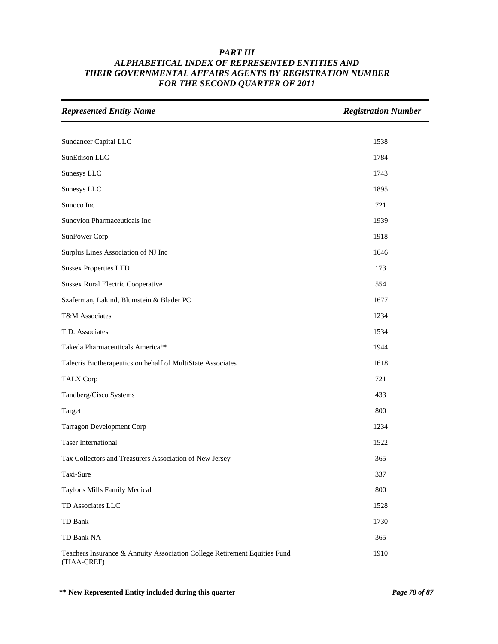| <b>Represented Entity Name</b>                                                           | <b>Registration Number</b> |
|------------------------------------------------------------------------------------------|----------------------------|
|                                                                                          |                            |
| Sundancer Capital LLC                                                                    | 1538                       |
| SunEdison LLC                                                                            | 1784                       |
| Sunesys LLC                                                                              | 1743                       |
| Sunesys LLC                                                                              | 1895                       |
| Sunoco Inc                                                                               | 721                        |
| Sunovion Pharmaceuticals Inc                                                             | 1939                       |
| SunPower Corp                                                                            | 1918                       |
| Surplus Lines Association of NJ Inc                                                      | 1646                       |
| <b>Sussex Properties LTD</b>                                                             | 173                        |
| <b>Sussex Rural Electric Cooperative</b>                                                 | 554                        |
| Szaferman, Lakind, Blumstein & Blader PC                                                 | 1677                       |
| T&M Associates                                                                           | 1234                       |
| T.D. Associates                                                                          | 1534                       |
| Takeda Pharmaceuticals America**                                                         | 1944                       |
| Talecris Biotherapeutics on behalf of MultiState Associates                              | 1618                       |
| <b>TALX Corp</b>                                                                         | 721                        |
| Tandberg/Cisco Systems                                                                   | 433                        |
| Target                                                                                   | 800                        |
| Tarragon Development Corp                                                                | 1234                       |
| <b>Taser International</b>                                                               | 1522                       |
| Tax Collectors and Treasurers Association of New Jersey                                  | 365                        |
| Taxi-Sure                                                                                | 337                        |
| Taylor's Mills Family Medical                                                            | 800                        |
| TD Associates LLC                                                                        | 1528                       |
| TD Bank                                                                                  | 1730                       |
| TD Bank NA                                                                               | 365                        |
| Teachers Insurance & Annuity Association College Retirement Equities Fund<br>(TIAA-CREF) | 1910                       |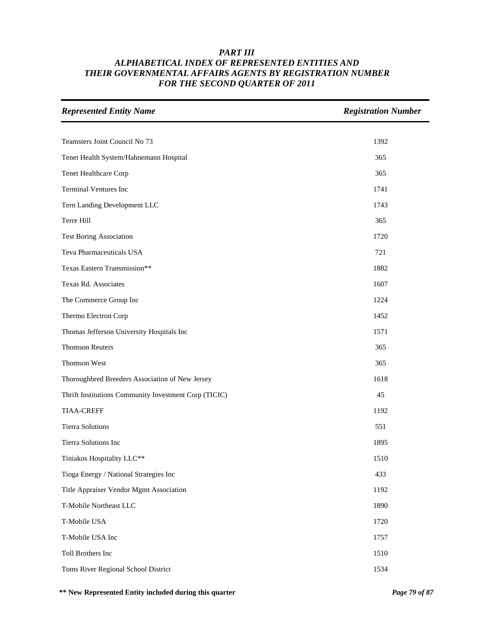| <b>Represented Entity Name</b>                        | <b>Registration Number</b> |
|-------------------------------------------------------|----------------------------|
|                                                       |                            |
| Teamsters Joint Council No 73                         | 1392                       |
| Tenet Health System/Hahnemann Hospital                | 365                        |
| Tenet Healthcare Corp                                 | 365                        |
| <b>Terminal Ventures Inc</b>                          | 1741                       |
| Tern Landing Development LLC                          | 1743                       |
| Terre Hill                                            | 365                        |
| <b>Test Boring Association</b>                        | 1720                       |
| Teva Pharmaceuticals USA                              | 721                        |
| Texas Eastern Transmission**                          | 1882                       |
| Texas Rd. Associates                                  | 1607                       |
| The Commerce Group Inc                                | 1224                       |
| Thermo Electron Corp                                  | 1452                       |
| Thomas Jefferson University Hospitals Inc             | 1571                       |
| <b>Thomson Reuters</b>                                | 365                        |
| Thomson West                                          | 365                        |
| Thoroughbred Breeders Association of New Jersey       | 1618                       |
| Thrift Institutions Community Investment Corp (TICIC) | 45                         |
| <b>TIAA-CREFF</b>                                     | 1192                       |
| <b>Tierra Solutions</b>                               | 551                        |
| Tierra Solutions Inc                                  | 1895                       |
| Tiniakos Hospitality LLC**                            | 1510                       |
| Tioga Energy / National Strategies Inc                | 433                        |
| Title Appraiser Vendor Mgmt Association               | 1192                       |
| T-Mobile Northeast LLC                                | 1890                       |
| T-Mobile USA                                          | 1720                       |
| T-Mobile USA Inc                                      | 1757                       |
| Toll Brothers Inc                                     | 1510                       |
| Toms River Regional School District                   | 1534                       |

**\*\* New Represented Entity included during this quarter** *Page 79 of 87*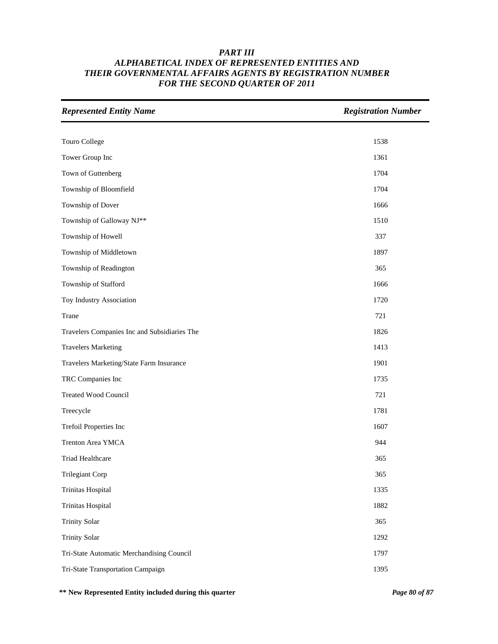| <b>Represented Entity Name</b>               | <b>Registration Number</b> |
|----------------------------------------------|----------------------------|
|                                              |                            |
| Touro College                                | 1538                       |
| Tower Group Inc                              | 1361                       |
| Town of Guttenberg                           | 1704                       |
| Township of Bloomfield                       | 1704                       |
| Township of Dover                            | 1666                       |
| Township of Galloway NJ**                    | 1510                       |
| Township of Howell                           | 337                        |
| Township of Middletown                       | 1897                       |
| Township of Readington                       | 365                        |
| Township of Stafford                         | 1666                       |
| Toy Industry Association                     | 1720                       |
| Trane                                        | 721                        |
| Travelers Companies Inc and Subsidiaries The | 1826                       |
| <b>Travelers Marketing</b>                   | 1413                       |
| Travelers Marketing/State Farm Insurance     | 1901                       |
| TRC Companies Inc                            | 1735                       |
| <b>Treated Wood Council</b>                  | 721                        |
| Treecycle                                    | 1781                       |
| Trefoil Properties Inc                       | 1607                       |
| Trenton Area YMCA                            | 944                        |
| <b>Triad Healthcare</b>                      | 365                        |
| <b>Trilegiant Corp</b>                       | 365                        |
| Trinitas Hospital                            | 1335                       |
| Trinitas Hospital                            | 1882                       |
| <b>Trinity Solar</b>                         | 365                        |
| <b>Trinity Solar</b>                         | 1292                       |
| Tri-State Automatic Merchandising Council    | 1797                       |
| Tri-State Transportation Campaign            | 1395                       |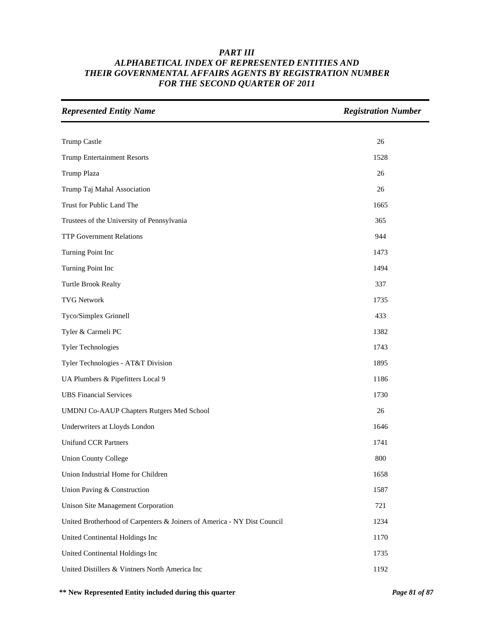| <b>Represented Entity Name</b>                                          | <b>Registration Number</b> |
|-------------------------------------------------------------------------|----------------------------|
|                                                                         |                            |
| Trump Castle                                                            | 26                         |
| <b>Trump Entertainment Resorts</b>                                      | 1528                       |
| Trump Plaza                                                             | 26                         |
| Trump Taj Mahal Association                                             | 26                         |
| Trust for Public Land The                                               | 1665                       |
| Trustees of the University of Pennsylvania                              | 365                        |
| <b>TTP Government Relations</b>                                         | 944                        |
| Turning Point Inc                                                       | 1473                       |
| Turning Point Inc                                                       | 1494                       |
| <b>Turtle Brook Realty</b>                                              | 337                        |
| <b>TVG Network</b>                                                      | 1735                       |
| Tyco/Simplex Grinnell                                                   | 433                        |
| Tyler & Carmeli PC                                                      | 1382                       |
| <b>Tyler Technologies</b>                                               | 1743                       |
| Tyler Technologies - AT&T Division                                      | 1895                       |
| UA Plumbers & Pipefitters Local 9                                       | 1186                       |
| <b>UBS</b> Financial Services                                           | 1730                       |
| UMDNJ Co-AAUP Chapters Rutgers Med School                               | 26                         |
| Underwriters at Lloyds London                                           | 1646                       |
| <b>Unifund CCR Partners</b>                                             | 1741                       |
| <b>Union County College</b>                                             | 800                        |
| Union Industrial Home for Children                                      | 1658                       |
| Union Paving & Construction                                             | 1587                       |
| <b>Unison Site Management Corporation</b>                               | 721                        |
| United Brotherhood of Carpenters & Joiners of America - NY Dist Council | 1234                       |
| United Continental Holdings Inc                                         | 1170                       |
| United Continental Holdings Inc                                         | 1735                       |
| United Distillers & Vintners North America Inc                          | 1192                       |

**\*\* New Represented Entity included during this quarter** *Page 81 of 87*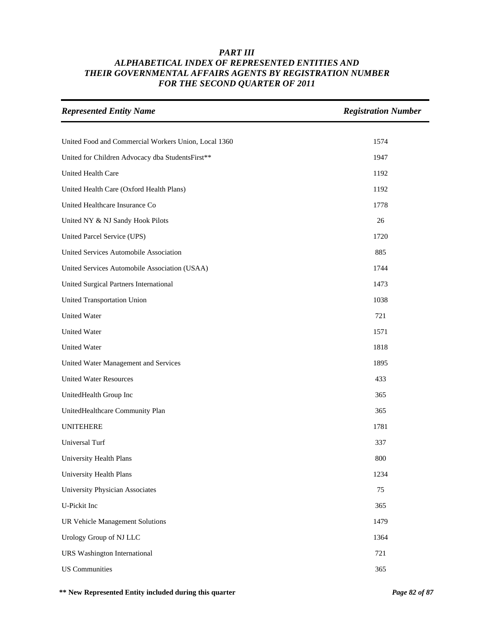| <b>Represented Entity Name</b>                       | <b>Registration Number</b> |
|------------------------------------------------------|----------------------------|
|                                                      |                            |
| United Food and Commercial Workers Union, Local 1360 | 1574                       |
| United for Children Advocacy dba StudentsFirst**     | 1947                       |
| United Health Care                                   | 1192                       |
| United Health Care (Oxford Health Plans)             | 1192                       |
| United Healthcare Insurance Co                       | 1778                       |
| United NY & NJ Sandy Hook Pilots                     | 26                         |
| United Parcel Service (UPS)                          | 1720                       |
| United Services Automobile Association               | 885                        |
| United Services Automobile Association (USAA)        | 1744                       |
| United Surgical Partners International               | 1473                       |
| United Transportation Union                          | 1038                       |
| <b>United Water</b>                                  | 721                        |
| <b>United Water</b>                                  | 1571                       |
| United Water                                         | 1818                       |
| United Water Management and Services                 | 1895                       |
| <b>United Water Resources</b>                        | 433                        |
| UnitedHealth Group Inc                               | 365                        |
| UnitedHealthcare Community Plan                      | 365                        |
| <b>UNITEHERE</b>                                     | 1781                       |
| Universal Turf                                       | 337                        |
| University Health Plans                              | 800                        |
| University Health Plans                              | 1234                       |
| University Physician Associates                      | 75                         |
| U-Pickit Inc                                         | 365                        |
| UR Vehicle Management Solutions                      | 1479                       |
| Urology Group of NJ LLC                              | 1364                       |
| <b>URS</b> Washington International                  | 721                        |
| <b>US</b> Communities                                | 365                        |

**\*\* New Represented Entity included during this quarter** *Page 82 of 87*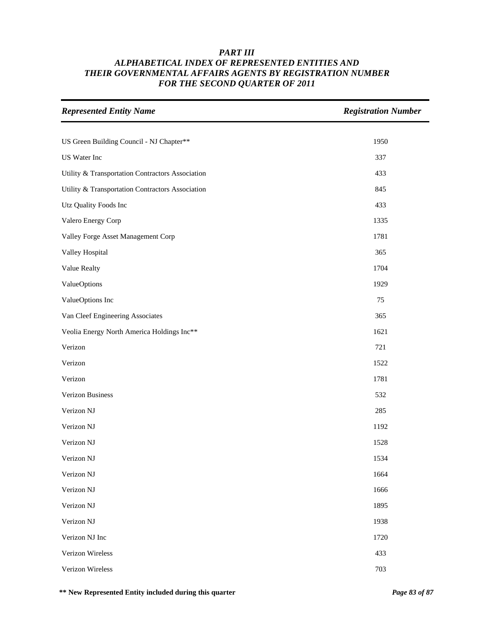| <b>Represented Entity Name</b>                   | <b>Registration Number</b> |
|--------------------------------------------------|----------------------------|
|                                                  |                            |
| US Green Building Council - NJ Chapter**         | 1950                       |
| US Water Inc                                     | 337                        |
| Utility & Transportation Contractors Association | 433                        |
| Utility & Transportation Contractors Association | 845                        |
| Utz Quality Foods Inc                            | 433                        |
| Valero Energy Corp                               | 1335                       |
| Valley Forge Asset Management Corp               | 1781                       |
| Valley Hospital                                  | 365                        |
| Value Realty                                     | 1704                       |
| ValueOptions                                     | 1929                       |
| ValueOptions Inc                                 | 75                         |
| Van Cleef Engineering Associates                 | 365                        |
| Veolia Energy North America Holdings Inc**       | 1621                       |
| Verizon                                          | 721                        |
| Verizon                                          | 1522                       |
| Verizon                                          | 1781                       |
| Verizon Business                                 | 532                        |
| Verizon NJ                                       | 285                        |
| Verizon NJ                                       | 1192                       |
| Verizon NJ                                       | 1528                       |
| Verizon NJ                                       | 1534                       |
| Verizon NJ                                       | 1664                       |
| Verizon NJ                                       | 1666                       |
| Verizon NJ                                       | 1895                       |
| Verizon NJ                                       | 1938                       |
| Verizon NJ Inc                                   | 1720                       |
| Verizon Wireless                                 | 433                        |
| Verizon Wireless                                 | 703                        |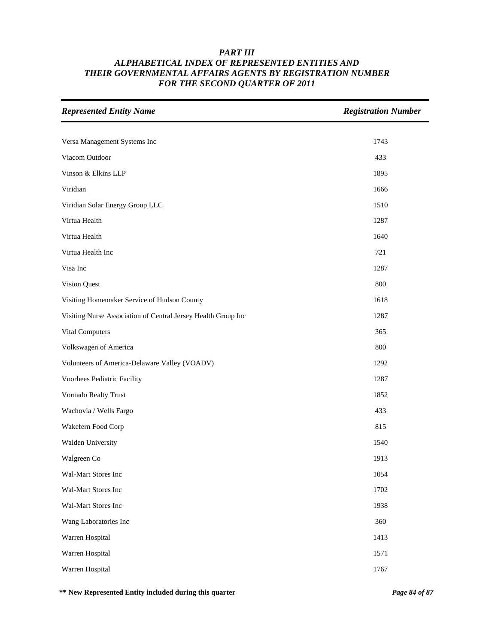| <b>Represented Entity Name</b>                                | <b>Registration Number</b> |
|---------------------------------------------------------------|----------------------------|
|                                                               |                            |
| Versa Management Systems Inc                                  | 1743                       |
| Viacom Outdoor                                                | 433                        |
| Vinson & Elkins LLP                                           | 1895                       |
| Viridian                                                      | 1666                       |
| Viridian Solar Energy Group LLC                               | 1510                       |
| Virtua Health                                                 | 1287                       |
| Virtua Health                                                 | 1640                       |
| Virtua Health Inc                                             | 721                        |
| Visa Inc                                                      | 1287                       |
| Vision Quest                                                  | 800                        |
| Visiting Homemaker Service of Hudson County                   | 1618                       |
| Visiting Nurse Association of Central Jersey Health Group Inc | 1287                       |
| Vital Computers                                               | 365                        |
| Volkswagen of America                                         | 800                        |
| Volunteers of America-Delaware Valley (VOADV)                 | 1292                       |
| Voorhees Pediatric Facility                                   | 1287                       |
| Vornado Realty Trust                                          | 1852                       |
| Wachovia / Wells Fargo                                        | 433                        |
| Wakefern Food Corp                                            | 815                        |
| Walden University                                             | 1540                       |
| Walgreen Co                                                   | 1913                       |
| Wal-Mart Stores Inc                                           | 1054                       |
| Wal-Mart Stores Inc                                           | 1702                       |
| Wal-Mart Stores Inc                                           | 1938                       |
| Wang Laboratories Inc                                         | 360                        |
| Warren Hospital                                               | 1413                       |
| Warren Hospital                                               | 1571                       |
| Warren Hospital                                               | 1767                       |

**\*\* New Represented Entity included during this quarter** *Page 84 of 87*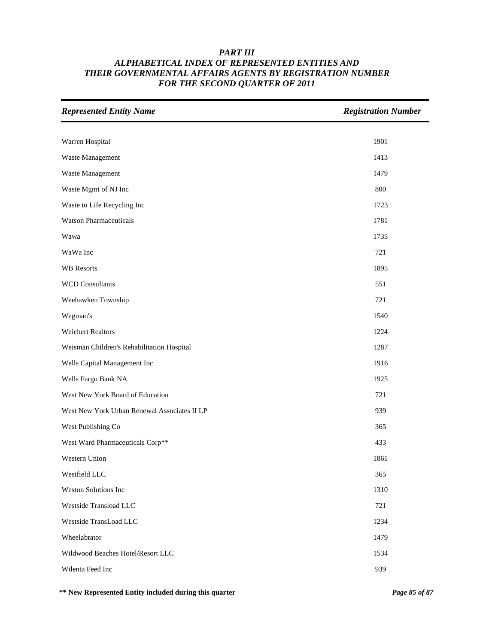| <b>Represented Entity Name</b>               | <b>Registration Number</b> |
|----------------------------------------------|----------------------------|
|                                              |                            |
| Warren Hospital                              | 1901                       |
| Waste Management                             | 1413                       |
| Waste Management                             | 1479                       |
| Waste Mgmt of NJ Inc                         | 800                        |
| Waste to Life Recycling Inc                  | 1723                       |
| <b>Watson Pharmaceuticals</b>                | 1781                       |
| Wawa                                         | 1735                       |
| WaWa Inc                                     | 721                        |
| <b>WB</b> Resorts                            | 1895                       |
| <b>WCD Consultants</b>                       | 551                        |
| Weehawken Township                           | 721                        |
| Wegman's                                     | 1540                       |
| <b>Weichert Realtors</b>                     | 1224                       |
| Weisman Children's Rehabilitation Hospital   | 1287                       |
| Wells Capital Management Inc                 | 1916                       |
| Wells Fargo Bank NA                          | 1925                       |
| West New York Board of Education             | 721                        |
| West New York Urban Renewal Associates II LP | 939                        |
| West Publishing Co                           | 365                        |
| West Ward Pharmaceuticals Corp**             | 433                        |
| Western Union                                | 1861                       |
| Westfield LLC                                | 365                        |
| Weston Solutions Inc                         | 1310                       |
| Westside Transload LLC                       | 721                        |
| Westside TransLoad LLC                       | 1234                       |
| Wheelabrator                                 | 1479                       |
| Wildwood Beaches Hotel/Resort LLC            | 1534                       |
| Wilenta Feed Inc                             | 939                        |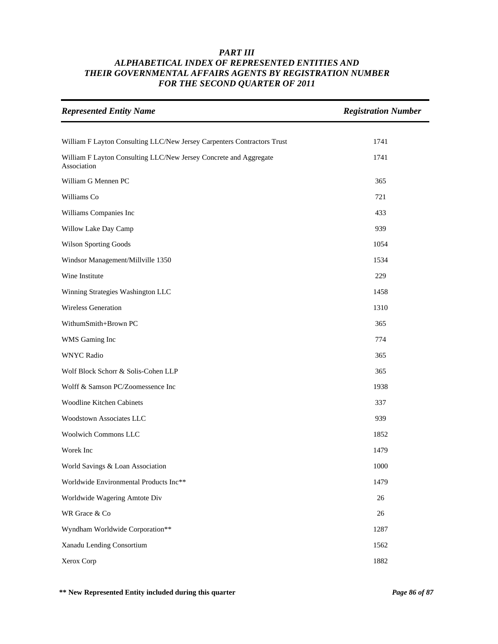| <b>Represented Entity Name</b>                                                   | <b>Registration Number</b> |
|----------------------------------------------------------------------------------|----------------------------|
|                                                                                  |                            |
| William F Layton Consulting LLC/New Jersey Carpenters Contractors Trust          | 1741                       |
| William F Layton Consulting LLC/New Jersey Concrete and Aggregate<br>Association | 1741                       |
| William G Mennen PC                                                              | 365                        |
| Williams Co                                                                      | 721                        |
| Williams Companies Inc                                                           | 433                        |
| Willow Lake Day Camp                                                             | 939                        |
| Wilson Sporting Goods                                                            | 1054                       |
| Windsor Management/Millville 1350                                                | 1534                       |
| Wine Institute                                                                   | 229                        |
| Winning Strategies Washington LLC                                                | 1458                       |
| <b>Wireless Generation</b>                                                       | 1310                       |
| WithumSmith+Brown PC                                                             | 365                        |
| WMS Gaming Inc                                                                   | 774                        |
| <b>WNYC Radio</b>                                                                | 365                        |
| Wolf Block Schorr & Solis-Cohen LLP                                              | 365                        |
| Wolff & Samson PC/Zoomessence Inc                                                | 1938                       |
| <b>Woodline Kitchen Cabinets</b>                                                 | 337                        |
| Woodstown Associates LLC                                                         | 939                        |
| <b>Woolwich Commons LLC</b>                                                      | 1852                       |
| Worek Inc                                                                        | 1479                       |
| World Savings & Loan Association                                                 | 1000                       |
| Worldwide Environmental Products Inc**                                           | 1479                       |
| Worldwide Wagering Amtote Div                                                    | 26                         |
| WR Grace & Co                                                                    | 26                         |
| Wyndham Worldwide Corporation**                                                  | 1287                       |
| Xanadu Lending Consortium                                                        | 1562                       |
| Xerox Corp                                                                       | 1882                       |